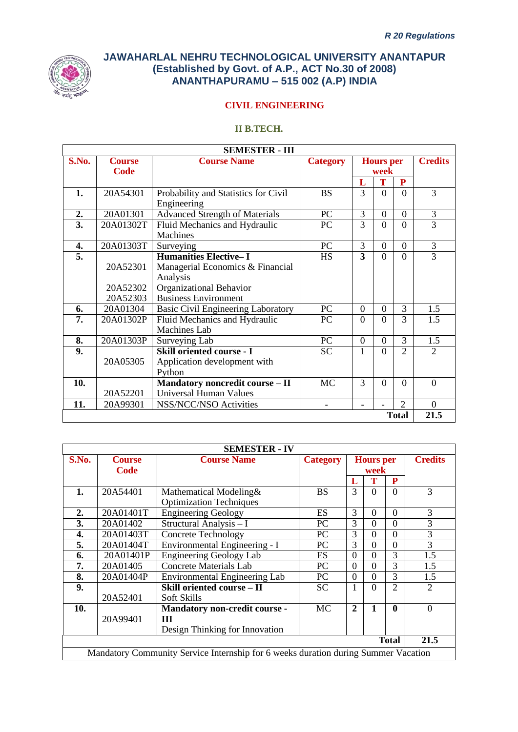

## **CIVIL ENGINEERING**

# **II B.TECH.**

|       |               | <b>SEMESTER - III</b>                     |                 |                |                  |                |                             |
|-------|---------------|-------------------------------------------|-----------------|----------------|------------------|----------------|-----------------------------|
| S.No. | <b>Course</b> | <b>Course Name</b>                        | <b>Category</b> |                | <b>Hours</b> per |                | <b>Credits</b>              |
|       | Code          |                                           |                 |                | week             |                |                             |
|       |               |                                           |                 | L              | T                | P              |                             |
| 1.    | 20A54301      | Probability and Statistics for Civil      | <b>BS</b>       | 3              | $\Omega$         | $\Omega$       | 3                           |
|       |               | Engineering                               |                 |                |                  |                |                             |
| 2.    | 20A01301      | <b>Advanced Strength of Materials</b>     | PC              | 3              | $\Omega$         | $\Omega$       | 3                           |
| 3.    | 20A01302T     | Fluid Mechanics and Hydraulic             | PC              | 3              | $\Omega$         | $\Omega$       | 3                           |
|       |               | Machines                                  |                 |                |                  |                |                             |
| 4.    | 20A01303T     | Surveying                                 | PC              | 3              | $\theta$         | $\Omega$       | 3                           |
| 5.    |               | <b>Humanities Elective-I</b>              | <b>HS</b>       | 3              | $\theta$         | $\theta$       | 3                           |
|       | 20A52301      | Managerial Economics & Financial          |                 |                |                  |                |                             |
|       |               | Analysis                                  |                 |                |                  |                |                             |
|       | 20A52302      | Organizational Behavior                   |                 |                |                  |                |                             |
|       | 20A52303      | <b>Business Environment</b>               |                 |                |                  |                |                             |
| 6.    | 20A01304      | <b>Basic Civil Engineering Laboratory</b> | PC              | $\overline{0}$ | $\theta$         | 3              | 1.5                         |
| 7.    | 20A01302P     | Fluid Mechanics and Hydraulic             | PC              | $\Omega$       | $\Omega$         | 3              | 1.5                         |
|       |               | Machines Lab                              |                 |                |                  |                |                             |
| 8.    | 20A01303P     | Surveying Lab                             | PC              | $\overline{0}$ | $\Omega$         | 3              | 1.5                         |
| 9.    |               | <b>Skill oriented course - I</b>          | <b>SC</b>       | 1              | $\Omega$         | $\mathfrak{D}$ | $\mathcal{D}_{\mathcal{L}}$ |
|       | 20A05305      | Application development with              |                 |                |                  |                |                             |
|       |               | Python                                    |                 |                |                  |                |                             |
| 10.   |               | Mandatory noncredit course - II           | <b>MC</b>       | 3              | $\Omega$         | $\Omega$       | $\Omega$                    |
|       | 20A52201      | <b>Universal Human Values</b>             |                 |                |                  |                |                             |
| 11.   | 20A99301      | NSS/NCC/NSO Activities                    |                 |                |                  | $\overline{2}$ | $\Omega$                    |
|       |               |                                           |                 |                |                  | <b>Total</b>   | 21.5                        |

|       |               | <b>SEMESTER - IV</b>                                                               |                 |              |                  |                |                |
|-------|---------------|------------------------------------------------------------------------------------|-----------------|--------------|------------------|----------------|----------------|
| S.No. | <b>Course</b> | <b>Course Name</b>                                                                 | <b>Category</b> |              | <b>Hours</b> per |                | <b>Credits</b> |
|       | Code          |                                                                                    |                 |              | week             |                |                |
|       |               |                                                                                    |                 | L            | Т                | P              |                |
| 1.    | 20A54401      | Mathematical Modeling&                                                             | <b>BS</b>       | 3            | $\Omega$         | $\Omega$       | 3              |
|       |               | <b>Optimization Techniques</b>                                                     |                 |              |                  |                |                |
| 2.    | 20A01401T     | <b>Engineering Geology</b>                                                         | <b>ES</b>       | 3            | $\Omega$         | $\Omega$       | 3              |
| 3.    | 20A01402      | Structural Analysis - I                                                            | PC              | 3            | $\Omega$         | $\Omega$       | 3              |
| 4.    | 20A01403T     | <b>Concrete Technology</b>                                                         | PC              | 3            | $\Omega$         | $\theta$       | 3              |
| 5.    | 20A01404T     | Environmental Engineering - I                                                      | PC              | 3            | $\Omega$         | $\theta$       | 3              |
| 6.    | 20A01401P     | <b>Engineering Geology Lab</b>                                                     | ES              | 0            | $\Omega$         | 3              | 1.5            |
| 7.    | 20A01405      | <b>Concrete Materials Lab</b>                                                      | PC              | $\Omega$     | $\Omega$         | 3              | 1.5            |
| 8.    | 20A01404P     | Environmental Engineering Lab                                                      | PC              | $\Omega$     | $\Omega$         | 3              | 1.5            |
| 9.    |               | Skill oriented course - II                                                         | <b>SC</b>       |              | $\Omega$         | $\mathfrak{D}$ | $\overline{2}$ |
|       | 20A52401      | <b>Soft Skills</b>                                                                 |                 |              |                  |                |                |
| 10.   |               | Mandatory non-credit course -                                                      | MC              | $\mathbf{2}$ | 1                | $\mathbf{0}$   | $\Omega$       |
|       | 20A99401      | Ш                                                                                  |                 |              |                  |                |                |
|       |               | Design Thinking for Innovation                                                     |                 |              |                  |                |                |
|       |               |                                                                                    |                 |              |                  | <b>Total</b>   | 21.5           |
|       |               | Mandatory Community Service Internship for 6 weeks duration during Summer Vacation |                 |              |                  |                |                |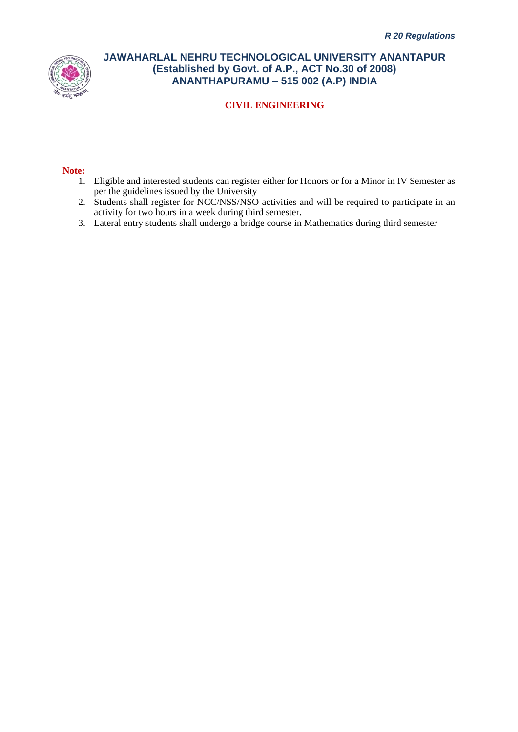

## **CIVIL ENGINEERING**

#### **Note:**

- 1. Eligible and interested students can register either for Honors or for a Minor in IV Semester as per the guidelines issued by the University
- 2. Students shall register for NCC/NSS/NSO activities and will be required to participate in an activity for two hours in a week during third semester.
- 3. Lateral entry students shall undergo a bridge course in Mathematics during third semester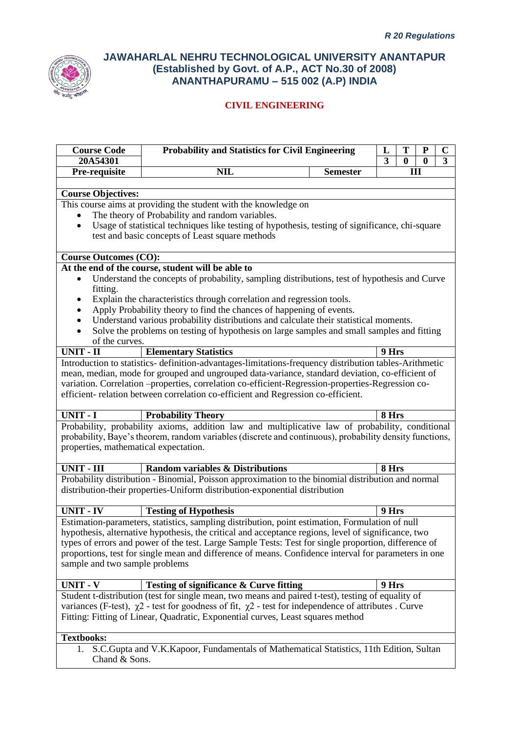

| <b>Course Code</b>                                                              | <b>Probability and Statistics for Civil Engineering</b><br>T<br>${\bf P}$<br>L                                                         |                 |       |          |          | $\mathbf C$    |
|---------------------------------------------------------------------------------|----------------------------------------------------------------------------------------------------------------------------------------|-----------------|-------|----------|----------|----------------|
| 20A54301                                                                        |                                                                                                                                        |                 | 3     | $\bf{0}$ | $\bf{0}$ | $\overline{3}$ |
| Pre-requisite                                                                   | <b>NIL</b>                                                                                                                             | <b>Semester</b> |       |          | III      |                |
| <b>Course Objectives:</b>                                                       |                                                                                                                                        |                 |       |          |          |                |
|                                                                                 | This course aims at providing the student with the knowledge on                                                                        |                 |       |          |          |                |
|                                                                                 | The theory of Probability and random variables.                                                                                        |                 |       |          |          |                |
| $\bullet$                                                                       | Usage of statistical techniques like testing of hypothesis, testing of significance, chi-square                                        |                 |       |          |          |                |
|                                                                                 | test and basic concepts of Least square methods                                                                                        |                 |       |          |          |                |
| <b>Course Outcomes (CO):</b>                                                    |                                                                                                                                        |                 |       |          |          |                |
|                                                                                 | At the end of the course, student will be able to                                                                                      |                 |       |          |          |                |
|                                                                                 | Understand the concepts of probability, sampling distributions, test of hypothesis and Curve                                           |                 |       |          |          |                |
| fitting.                                                                        |                                                                                                                                        |                 |       |          |          |                |
| ٠                                                                               | Explain the characteristics through correlation and regression tools.                                                                  |                 |       |          |          |                |
|                                                                                 | Apply Probability theory to find the chances of happening of events.                                                                   |                 |       |          |          |                |
|                                                                                 | Understand various probability distributions and calculate their statistical moments.                                                  |                 |       |          |          |                |
|                                                                                 | Solve the problems on testing of hypothesis on large samples and small samples and fitting                                             |                 |       |          |          |                |
| of the curves.                                                                  |                                                                                                                                        |                 |       |          |          |                |
| <b>UNIT - II</b>                                                                | <b>Elementary Statistics</b><br>Introduction to statistics- definition-advantages-limitations-frequency distribution tables-Arithmetic |                 | 9 Hrs |          |          |                |
|                                                                                 | mean, median, mode for grouped and ungrouped data-variance, standard deviation, co-efficient of                                        |                 |       |          |          |                |
|                                                                                 | variation. Correlation --properties, correlation co-efficient-Regression-properties-Regression co-                                     |                 |       |          |          |                |
|                                                                                 | efficient-relation between correlation co-efficient and Regression co-efficient.                                                       |                 |       |          |          |                |
|                                                                                 |                                                                                                                                        |                 |       |          |          |                |
| <b>UNIT - I</b>                                                                 | <b>Probability Theory</b>                                                                                                              |                 | 8 Hrs |          |          |                |
|                                                                                 | Probability, probability axioms, addition law and multiplicative law of probability, conditional                                       |                 |       |          |          |                |
|                                                                                 | probability, Baye's theorem, random variables (discrete and continuous), probability density functions,                                |                 |       |          |          |                |
| properties, mathematical expectation.                                           |                                                                                                                                        |                 |       |          |          |                |
|                                                                                 |                                                                                                                                        |                 |       |          |          |                |
| <b>UNIT - III</b>                                                               | <b>Random variables &amp; Distributions</b>                                                                                            |                 | 8 Hrs |          |          |                |
|                                                                                 | Probability distribution - Binomial, Poisson approximation to the binomial distribution and normal                                     |                 |       |          |          |                |
|                                                                                 | distribution-their properties-Uniform distribution-exponential distribution                                                            |                 |       |          |          |                |
| <b>UNIT - IV</b>                                                                | <b>Testing of Hypothesis</b>                                                                                                           |                 | 9 Hrs |          |          |                |
|                                                                                 | Estimation-parameters, statistics, sampling distribution, point estimation, Formulation of null                                        |                 |       |          |          |                |
|                                                                                 | hypothesis, alternative hypothesis, the critical and acceptance regions, level of significance, two                                    |                 |       |          |          |                |
|                                                                                 | types of errors and power of the test. Large Sample Tests: Test for single proportion, difference of                                   |                 |       |          |          |                |
|                                                                                 | proportions, test for single mean and difference of means. Confidence interval for parameters in one                                   |                 |       |          |          |                |
| sample and two sample problems                                                  |                                                                                                                                        |                 |       |          |          |                |
|                                                                                 |                                                                                                                                        |                 |       |          |          |                |
| <b>UNIT - V</b>                                                                 | <b>Testing of significance &amp; Curve fitting</b>                                                                                     |                 | 9 Hrs |          |          |                |
|                                                                                 | Student t-distribution (test for single mean, two means and paired t-test), testing of equality of                                     |                 |       |          |          |                |
|                                                                                 | variances (F-test), $\chi$ 2 - test for goodness of fit, $\chi$ 2 - test for independence of attributes. Curve                         |                 |       |          |          |                |
| Fitting: Fitting of Linear, Quadratic, Exponential curves, Least squares method |                                                                                                                                        |                 |       |          |          |                |
|                                                                                 |                                                                                                                                        |                 |       |          |          |                |
| <b>Textbooks:</b>                                                               |                                                                                                                                        |                 |       |          |          |                |
| 1.<br>Chand & Sons.                                                             | S.C.Gupta and V.K.Kapoor, Fundamentals of Mathematical Statistics, 11th Edition, Sultan                                                |                 |       |          |          |                |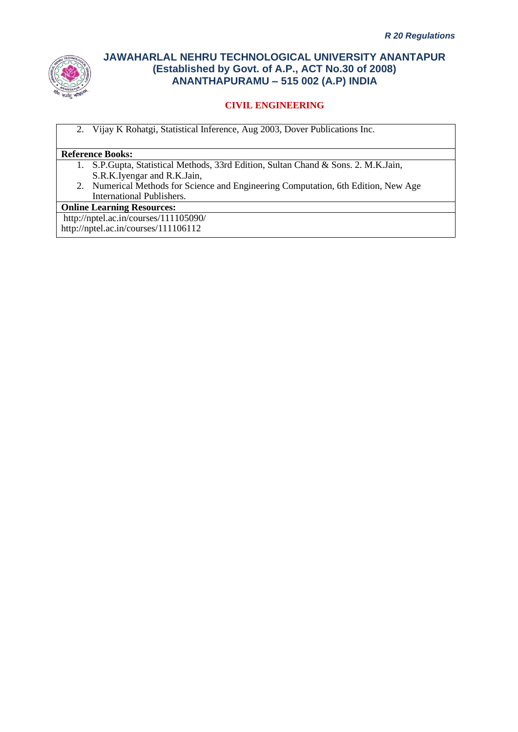

# **CIVIL ENGINEERING**

2. Vijay K Rohatgi, Statistical Inference, Aug 2003, Dover Publications Inc.

### **Reference Books:**

- 1. S.P.Gupta, Statistical Methods, 33rd Edition, Sultan Chand & Sons. 2. M.K.Jain, S.R.K.Iyengar and R.K.Jain,
- 2. Numerical Methods for Science and Engineering Computation, 6th Edition, New Age International Publishers.

#### **Online Learning Resources:**

http://nptel.ac.in/courses/111105090/ http://nptel.ac.in/courses/111106112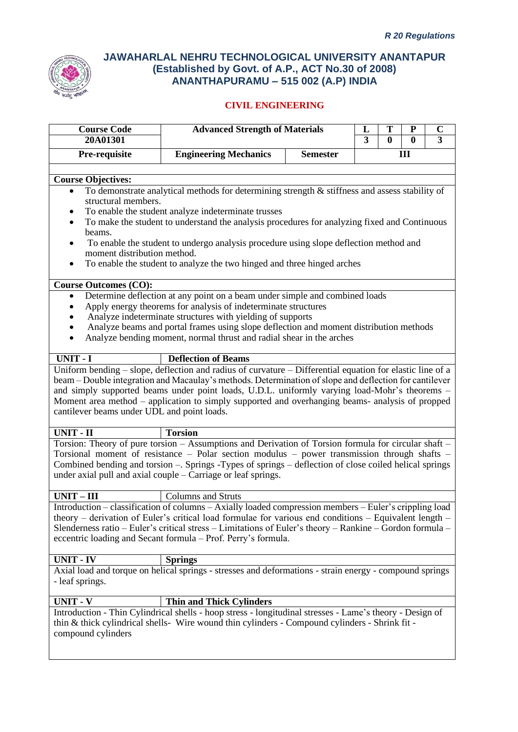

| <b>Course Code</b><br>20A01301                                                                                                                                                                                                                                                                                                                                                                                                                                                                                                      | <b>Advanced Strength of Materials</b>                                                                                                                                                                                                                                                                                                                                                                                   |                 | L<br>3 | Т<br>$\bf{0}$ | P<br>$\mathbf{0}$ | C<br>$\overline{\mathbf{3}}$ |  |  |
|-------------------------------------------------------------------------------------------------------------------------------------------------------------------------------------------------------------------------------------------------------------------------------------------------------------------------------------------------------------------------------------------------------------------------------------------------------------------------------------------------------------------------------------|-------------------------------------------------------------------------------------------------------------------------------------------------------------------------------------------------------------------------------------------------------------------------------------------------------------------------------------------------------------------------------------------------------------------------|-----------------|--------|---------------|-------------------|------------------------------|--|--|
| Pre-requisite                                                                                                                                                                                                                                                                                                                                                                                                                                                                                                                       | <b>Engineering Mechanics</b>                                                                                                                                                                                                                                                                                                                                                                                            | <b>Semester</b> |        |               | Ш                 |                              |  |  |
| <b>Course Objectives:</b><br>To demonstrate analytical methods for determining strength & stiffness and assess stability of<br>$\bullet$<br>structural members.<br>To enable the student analyze indeterminate trusses<br>To make the student to understand the analysis procedures for analyzing fixed and Continuous<br>beams.<br>To enable the student to undergo analysis procedure using slope deflection method and<br>moment distribution method.<br>To enable the student to analyze the two hinged and three hinged arches |                                                                                                                                                                                                                                                                                                                                                                                                                         |                 |        |               |                   |                              |  |  |
| <b>Course Outcomes (CO):</b>                                                                                                                                                                                                                                                                                                                                                                                                                                                                                                        |                                                                                                                                                                                                                                                                                                                                                                                                                         |                 |        |               |                   |                              |  |  |
| $\bullet$                                                                                                                                                                                                                                                                                                                                                                                                                                                                                                                           | Determine deflection at any point on a beam under simple and combined loads<br>Apply energy theorems for analysis of indeterminate structures<br>Analyze indeterminate structures with yielding of supports<br>Analyze beams and portal frames using slope deflection and moment distribution methods<br>Analyze bending moment, normal thrust and radial shear in the arches                                           |                 |        |               |                   |                              |  |  |
| UNIT - I                                                                                                                                                                                                                                                                                                                                                                                                                                                                                                                            | <b>Deflection of Beams</b>                                                                                                                                                                                                                                                                                                                                                                                              |                 |        |               |                   |                              |  |  |
| cantilever beams under UDL and point loads.                                                                                                                                                                                                                                                                                                                                                                                                                                                                                         | Uniform bending – slope, deflection and radius of curvature – Differential equation for elastic line of a<br>beam – Double integration and Macaulay's methods. Determination of slope and deflection for cantilever<br>and simply supported beams under point loads, U.D.L. uniformly varying load-Mohr's theorems -<br>Moment area method – application to simply supported and overhanging beams- analysis of propped |                 |        |               |                   |                              |  |  |
| <b>UNIT - II</b>                                                                                                                                                                                                                                                                                                                                                                                                                                                                                                                    | <b>Torsion</b>                                                                                                                                                                                                                                                                                                                                                                                                          |                 |        |               |                   |                              |  |  |
|                                                                                                                                                                                                                                                                                                                                                                                                                                                                                                                                     | Torsion: Theory of pure torsion - Assumptions and Derivation of Torsion formula for circular shaft -<br>Torsional moment of resistance - Polar section modulus - power transmission through shafts -<br>Combined bending and torsion - Springs - Types of springs - deflection of close coiled helical springs<br>under axial pull and axial couple $-$ Carriage or leaf springs.                                       |                 |        |               |                   |                              |  |  |
| $UNIT - III$                                                                                                                                                                                                                                                                                                                                                                                                                                                                                                                        | <b>Columns</b> and Struts                                                                                                                                                                                                                                                                                                                                                                                               |                 |        |               |                   |                              |  |  |
|                                                                                                                                                                                                                                                                                                                                                                                                                                                                                                                                     | Introduction - classification of columns - Axially loaded compression members - Euler's crippling load<br>theory – derivation of Euler's critical load formulae for various end conditions – Equivalent length –<br>Slenderness ratio – Euler's critical stress – Limitations of Euler's theory – Rankine – Gordon formula –<br>eccentric loading and Secant formula – Prof. Perry's formula.                           |                 |        |               |                   |                              |  |  |
| UNIT - IV                                                                                                                                                                                                                                                                                                                                                                                                                                                                                                                           | <b>Springs</b>                                                                                                                                                                                                                                                                                                                                                                                                          |                 |        |               |                   |                              |  |  |
| - leaf springs.                                                                                                                                                                                                                                                                                                                                                                                                                                                                                                                     | Axial load and torque on helical springs - stresses and deformations - strain energy - compound springs                                                                                                                                                                                                                                                                                                                 |                 |        |               |                   |                              |  |  |
| UNIT - V                                                                                                                                                                                                                                                                                                                                                                                                                                                                                                                            | <b>Thin and Thick Cylinders</b>                                                                                                                                                                                                                                                                                                                                                                                         |                 |        |               |                   |                              |  |  |
| compound cylinders                                                                                                                                                                                                                                                                                                                                                                                                                                                                                                                  | Introduction - Thin Cylindrical shells - hoop stress - longitudinal stresses - Lame's theory - Design of<br>thin & thick cylindrical shells- Wire wound thin cylinders - Compound cylinders - Shrink fit -                                                                                                                                                                                                              |                 |        |               |                   |                              |  |  |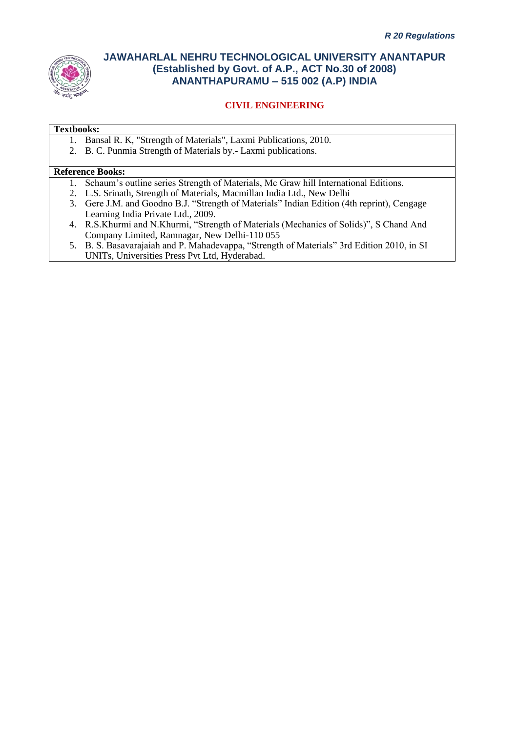

## **CIVIL ENGINEERING**

#### **Textbooks:**

- 1. Bansal R. K, "Strength of Materials", Laxmi Publications, 2010.
- 2. B. C. Punmia Strength of Materials by.- Laxmi publications.

#### **Reference Books:**

- 1. Schaum's outline series Strength of Materials, Mc Graw hill International Editions.
- 2. L.S. Srinath, Strength of Materials, Macmillan India Ltd., New Delhi
- 3. Gere J.M. and Goodno B.J. "Strength of Materials" Indian Edition (4th reprint), Cengage Learning India Private Ltd., 2009.
- 4. R.S.Khurmi and N.Khurmi, "Strength of Materials (Mechanics of Solids)", S Chand And Company Limited, Ramnagar, New Delhi-110 055
- 5. B. S. Basavarajaiah and P. Mahadevappa, "Strength of Materials" 3rd Edition 2010, in SI UNITs, Universities Press Pvt Ltd, Hyderabad.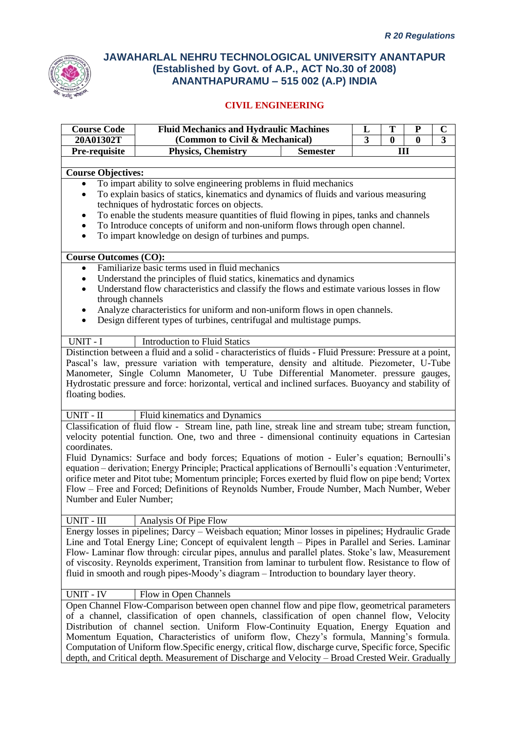

| <b>Course Code</b>                                                                                                          | <b>Fluid Mechanics and Hydraulic Machines</b><br>T<br>L                                                               |                 |              | ${\bf P}$ | $\mathbf C$ |  |
|-----------------------------------------------------------------------------------------------------------------------------|-----------------------------------------------------------------------------------------------------------------------|-----------------|--------------|-----------|-------------|--|
| 20A01302T                                                                                                                   | (Common to Civil & Mechanical)<br>3                                                                                   |                 | $\mathbf{0}$ | $\bf{0}$  | 3           |  |
| Pre-requisite                                                                                                               | Physics, Chemistry                                                                                                    | <b>Semester</b> |              | Ш         |             |  |
| <b>Course Objectives:</b>                                                                                                   |                                                                                                                       |                 |              |           |             |  |
|                                                                                                                             | To impart ability to solve engineering problems in fluid mechanics                                                    |                 |              |           |             |  |
| $\bullet$                                                                                                                   | To explain basics of statics, kinematics and dynamics of fluids and various measuring                                 |                 |              |           |             |  |
|                                                                                                                             | techniques of hydrostatic forces on objects.                                                                          |                 |              |           |             |  |
|                                                                                                                             | To enable the students measure quantities of fluid flowing in pipes, tanks and channels                               |                 |              |           |             |  |
| $\bullet$                                                                                                                   | To Introduce concepts of uniform and non-uniform flows through open channel.                                          |                 |              |           |             |  |
| $\bullet$                                                                                                                   | To impart knowledge on design of turbines and pumps.                                                                  |                 |              |           |             |  |
|                                                                                                                             |                                                                                                                       |                 |              |           |             |  |
| <b>Course Outcomes (CO):</b>                                                                                                |                                                                                                                       |                 |              |           |             |  |
| $\bullet$                                                                                                                   | Familiarize basic terms used in fluid mechanics                                                                       |                 |              |           |             |  |
| ٠                                                                                                                           | Understand the principles of fluid statics, kinematics and dynamics                                                   |                 |              |           |             |  |
| Understand flow characteristics and classify the flows and estimate various losses in flow<br>$\bullet$<br>through channels |                                                                                                                       |                 |              |           |             |  |
|                                                                                                                             | Analyze characteristics for uniform and non-uniform flows in open channels.                                           |                 |              |           |             |  |
| ٠<br>$\bullet$                                                                                                              | Design different types of turbines, centrifugal and multistage pumps.                                                 |                 |              |           |             |  |
|                                                                                                                             |                                                                                                                       |                 |              |           |             |  |
| UNIT - I                                                                                                                    | <b>Introduction to Fluid Statics</b>                                                                                  |                 |              |           |             |  |
|                                                                                                                             | Distinction between a fluid and a solid - characteristics of fluids - Fluid Pressure: Pressure at a point,            |                 |              |           |             |  |
|                                                                                                                             | Pascal's law, pressure variation with temperature, density and altitude. Piezometer, U-Tube                           |                 |              |           |             |  |
|                                                                                                                             | Manometer, Single Column Manometer, U Tube Differential Manometer. pressure gauges,                                   |                 |              |           |             |  |
|                                                                                                                             | Hydrostatic pressure and force: horizontal, vertical and inclined surfaces. Buoyancy and stability of                 |                 |              |           |             |  |
| floating bodies.                                                                                                            |                                                                                                                       |                 |              |           |             |  |
|                                                                                                                             |                                                                                                                       |                 |              |           |             |  |
| UNIT - II                                                                                                                   | Fluid kinematics and Dynamics                                                                                         |                 |              |           |             |  |
|                                                                                                                             | Classification of fluid flow - Stream line, path line, streak line and stream tube; stream function,                  |                 |              |           |             |  |
| coordinates.                                                                                                                | velocity potential function. One, two and three - dimensional continuity equations in Cartesian                       |                 |              |           |             |  |
|                                                                                                                             | Fluid Dynamics: Surface and body forces; Equations of motion - Euler's equation; Bernoulli's                          |                 |              |           |             |  |
|                                                                                                                             | equation – derivation; Energy Principle; Practical applications of Bernoulli's equation : Venturimeter,               |                 |              |           |             |  |
|                                                                                                                             | orifice meter and Pitot tube; Momentum principle; Forces exerted by fluid flow on pipe bend; Vortex                   |                 |              |           |             |  |
|                                                                                                                             | Flow – Free and Forced; Definitions of Reynolds Number, Froude Number, Mach Number, Weber                             |                 |              |           |             |  |
| Number and Euler Number;                                                                                                    |                                                                                                                       |                 |              |           |             |  |
|                                                                                                                             |                                                                                                                       |                 |              |           |             |  |
| <b>UNIT - III</b>                                                                                                           | Analysis Of Pipe Flow                                                                                                 |                 |              |           |             |  |
|                                                                                                                             | Energy losses in pipelines; Darcy – Weisbach equation; Minor losses in pipelines; Hydraulic Grade                     |                 |              |           |             |  |
|                                                                                                                             | Line and Total Energy Line; Concept of equivalent length – Pipes in Parallel and Series. Laminar                      |                 |              |           |             |  |
|                                                                                                                             | Flow- Laminar flow through: circular pipes, annulus and parallel plates. Stoke's law, Measurement                     |                 |              |           |             |  |
|                                                                                                                             | of viscosity. Reynolds experiment, Transition from laminar to turbulent flow. Resistance to flow of                   |                 |              |           |             |  |
|                                                                                                                             | fluid in smooth and rough pipes-Moody's diagram – Introduction to boundary layer theory.                              |                 |              |           |             |  |
|                                                                                                                             |                                                                                                                       |                 |              |           |             |  |
| <b>UNIT - IV</b>                                                                                                            | Flow in Open Channels<br>Open Channel Flow-Comparison between open channel flow and pipe flow, geometrical parameters |                 |              |           |             |  |
|                                                                                                                             | of a channel, classification of open channels, classification of open channel flow, Velocity                          |                 |              |           |             |  |
|                                                                                                                             | Distribution of channel section. Uniform Flow-Continuity Equation, Energy Equation and                                |                 |              |           |             |  |
|                                                                                                                             | Momentum Equation, Characteristics of uniform flow, Chezy's formula, Manning's formula.                               |                 |              |           |             |  |
|                                                                                                                             | Computation of Uniform flow. Specific energy, critical flow, discharge curve, Specific force, Specific                |                 |              |           |             |  |
|                                                                                                                             | depth, and Critical depth. Measurement of Discharge and Velocity - Broad Crested Weir. Gradually                      |                 |              |           |             |  |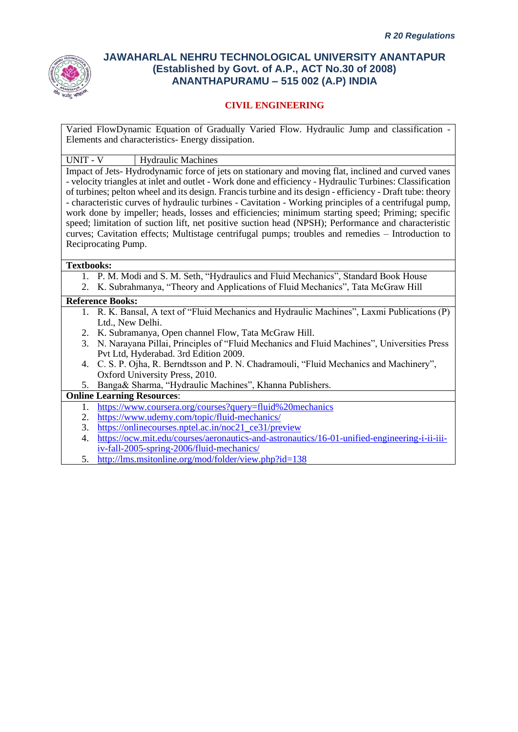

## **CIVIL ENGINEERING**

Varied FlowDynamic Equation of Gradually Varied Flow. Hydraulic Jump and classification - Elements and characteristics- Energy dissipation.

UNIT - V Hydraulic Machines

Impact of Jets- Hydrodynamic force of jets on stationary and moving flat, inclined and curved vanes - velocity triangles at inlet and outlet - Work done and efficiency - Hydraulic Turbines: Classification of turbines; pelton wheel and its design. Francis turbine and its design - efficiency - Draft tube: theory - characteristic curves of hydraulic turbines - Cavitation - Working principles of a centrifugal pump, work done by impeller; heads, losses and efficiencies; minimum starting speed; Priming; specific speed; limitation of suction lift, net positive suction head (NPSH); Performance and characteristic curves; Cavitation effects; Multistage centrifugal pumps; troubles and remedies – Introduction to Reciprocating Pump.

#### **Textbooks:**

- 1. P. M. Modi and S. M. Seth, "Hydraulics and Fluid Mechanics", Standard Book House
- 2. K. Subrahmanya, "Theory and Applications of Fluid Mechanics", Tata McGraw Hill

#### **Reference Books:**

- 1. R. K. Bansal, A text of "Fluid Mechanics and Hydraulic Machines", Laxmi Publications (P) Ltd., New Delhi.
- 2. K. Subramanya, Open channel Flow, Tata McGraw Hill.
- 3. N. Narayana Pillai, Principles of "Fluid Mechanics and Fluid Machines", Universities Press Pvt Ltd, Hyderabad. 3rd Edition 2009.
- 4. C. S. P. Ojha, R. Berndtsson and P. N. Chadramouli, "Fluid Mechanics and Machinery", Oxford University Press, 2010.
- 5. Banga& Sharma, "Hydraulic Machines", Khanna Publishers.

## **Online Learning Resources**:

- 1. <https://www.coursera.org/courses?query=fluid%20mechanics>
- 2. <https://www.udemy.com/topic/fluid-mechanics/>
- 3. [https://onlinecourses.nptel.ac.in/noc21\\_ce31/preview](https://onlinecourses.nptel.ac.in/noc21_ce31/preview)
- 4. [https://ocw.mit.edu/courses/aeronautics-and-astronautics/16-01-unified-engineering-i-ii-iii](https://ocw.mit.edu/courses/aeronautics-and-astronautics/16-01-unified-engineering-i-ii-iii-iv-fall-2005-spring-2006/fluid-mechanics/)[iv-fall-2005-spring-2006/fluid-mechanics/](https://ocw.mit.edu/courses/aeronautics-and-astronautics/16-01-unified-engineering-i-ii-iii-iv-fall-2005-spring-2006/fluid-mechanics/)
- 5. <http://lms.msitonline.org/mod/folder/view.php?id=138>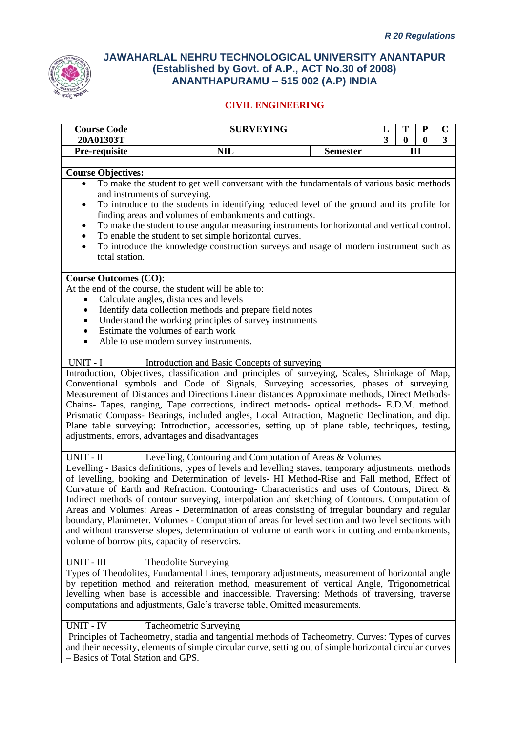

| <b>Course Code</b>                                                                          | <b>SURVEYING</b>                                                                                                                                                                                             |  | L              | T        | ${\bf P}$    | $\mathbf C$    |
|---------------------------------------------------------------------------------------------|--------------------------------------------------------------------------------------------------------------------------------------------------------------------------------------------------------------|--|----------------|----------|--------------|----------------|
| 20A01303T                                                                                   |                                                                                                                                                                                                              |  | $\overline{3}$ | $\bf{0}$ | $\mathbf{0}$ | $\overline{3}$ |
| Pre-requisite                                                                               | Ш<br><b>NIL</b><br><b>Semester</b>                                                                                                                                                                           |  |                |          |              |                |
|                                                                                             |                                                                                                                                                                                                              |  |                |          |              |                |
| <b>Course Objectives:</b>                                                                   |                                                                                                                                                                                                              |  |                |          |              |                |
|                                                                                             | To make the student to get well conversant with the fundamentals of various basic methods                                                                                                                    |  |                |          |              |                |
|                                                                                             | and instruments of surveying.                                                                                                                                                                                |  |                |          |              |                |
| To introduce to the students in identifying reduced level of the ground and its profile for |                                                                                                                                                                                                              |  |                |          |              |                |
| finding areas and volumes of embankments and cuttings.                                      |                                                                                                                                                                                                              |  |                |          |              |                |
|                                                                                             | To make the student to use angular measuring instruments for horizontal and vertical control.                                                                                                                |  |                |          |              |                |
|                                                                                             | To enable the student to set simple horizontal curves.                                                                                                                                                       |  |                |          |              |                |
| $\bullet$                                                                                   | To introduce the knowledge construction surveys and usage of modern instrument such as                                                                                                                       |  |                |          |              |                |
| total station.                                                                              |                                                                                                                                                                                                              |  |                |          |              |                |
|                                                                                             |                                                                                                                                                                                                              |  |                |          |              |                |
| <b>Course Outcomes (CO):</b>                                                                | At the end of the course, the student will be able to:                                                                                                                                                       |  |                |          |              |                |
|                                                                                             | Calculate angles, distances and levels                                                                                                                                                                       |  |                |          |              |                |
| ٠                                                                                           | Identify data collection methods and prepare field notes                                                                                                                                                     |  |                |          |              |                |
|                                                                                             | Understand the working principles of survey instruments                                                                                                                                                      |  |                |          |              |                |
|                                                                                             | Estimate the volumes of earth work                                                                                                                                                                           |  |                |          |              |                |
|                                                                                             | Able to use modern survey instruments.                                                                                                                                                                       |  |                |          |              |                |
|                                                                                             |                                                                                                                                                                                                              |  |                |          |              |                |
| UNIT - I                                                                                    | Introduction and Basic Concepts of surveying                                                                                                                                                                 |  |                |          |              |                |
|                                                                                             | Introduction, Objectives, classification and principles of surveying, Scales, Shrinkage of Map,                                                                                                              |  |                |          |              |                |
|                                                                                             | Conventional symbols and Code of Signals, Surveying accessories, phases of surveying.                                                                                                                        |  |                |          |              |                |
|                                                                                             | Measurement of Distances and Directions Linear distances Approximate methods, Direct Methods-                                                                                                                |  |                |          |              |                |
|                                                                                             | Chains- Tapes, ranging, Tape corrections, indirect methods- optical methods- E.D.M. method.                                                                                                                  |  |                |          |              |                |
|                                                                                             | Prismatic Compass- Bearings, included angles, Local Attraction, Magnetic Declination, and dip.                                                                                                               |  |                |          |              |                |
|                                                                                             | Plane table surveying: Introduction, accessories, setting up of plane table, techniques, testing,                                                                                                            |  |                |          |              |                |
|                                                                                             | adjustments, errors, advantages and disadvantages                                                                                                                                                            |  |                |          |              |                |
|                                                                                             |                                                                                                                                                                                                              |  |                |          |              |                |
| UNIT - II                                                                                   | Levelling, Contouring and Computation of Areas & Volumes                                                                                                                                                     |  |                |          |              |                |
|                                                                                             | Levelling - Basics definitions, types of levels and levelling staves, temporary adjustments, methods                                                                                                         |  |                |          |              |                |
|                                                                                             | of levelling, booking and Determination of levels- HI Method-Rise and Fall method, Effect of                                                                                                                 |  |                |          |              |                |
|                                                                                             | Curvature of Earth and Refraction. Contouring- Characteristics and uses of Contours, Direct &                                                                                                                |  |                |          |              |                |
|                                                                                             | Indirect methods of contour surveying, interpolation and sketching of Contours. Computation of                                                                                                               |  |                |          |              |                |
|                                                                                             | Areas and Volumes: Areas - Determination of areas consisting of irregular boundary and regular                                                                                                               |  |                |          |              |                |
|                                                                                             | boundary, Planimeter. Volumes - Computation of areas for level section and two level sections with                                                                                                           |  |                |          |              |                |
|                                                                                             | and without transverse slopes, determination of volume of earth work in cutting and embankments,                                                                                                             |  |                |          |              |                |
|                                                                                             | volume of borrow pits, capacity of reservoirs.                                                                                                                                                               |  |                |          |              |                |
|                                                                                             |                                                                                                                                                                                                              |  |                |          |              |                |
| UNIT - III                                                                                  | Theodolite Surveying                                                                                                                                                                                         |  |                |          |              |                |
|                                                                                             | Types of Theodolites, Fundamental Lines, temporary adjustments, measurement of horizontal angle                                                                                                              |  |                |          |              |                |
|                                                                                             | by repetition method and reiteration method, measurement of vertical Angle, Trigonometrical                                                                                                                  |  |                |          |              |                |
|                                                                                             | levelling when base is accessible and inaccessible. Traversing: Methods of traversing, traverse                                                                                                              |  |                |          |              |                |
|                                                                                             | computations and adjustments, Gale's traverse table, Omitted measurements.                                                                                                                                   |  |                |          |              |                |
| UNIT - IV                                                                                   |                                                                                                                                                                                                              |  |                |          |              |                |
|                                                                                             | Tacheometric Surveying                                                                                                                                                                                       |  |                |          |              |                |
|                                                                                             | Principles of Tacheometry, stadia and tangential methods of Tacheometry. Curves: Types of curves<br>and their necessity, elements of simple circular curve, setting out of simple horizontal circular curves |  |                |          |              |                |
| - Basics of Total Station and GPS.                                                          |                                                                                                                                                                                                              |  |                |          |              |                |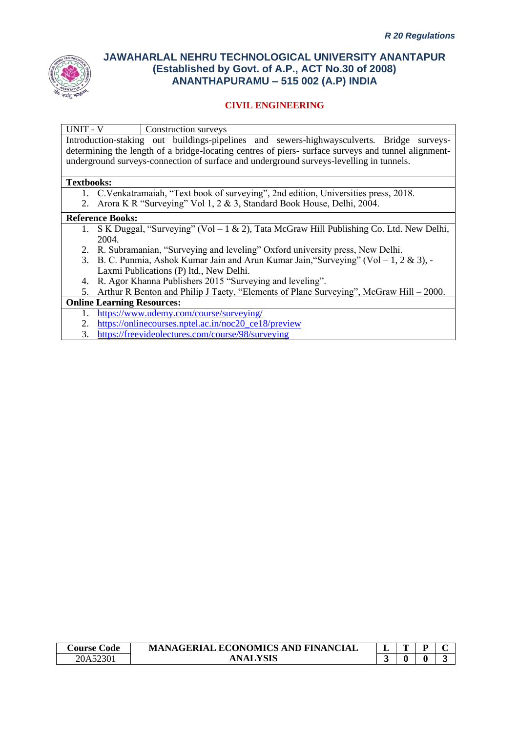

## **CIVIL ENGINEERING**

UNIT - V Construction surveys

Introduction-staking out buildings-pipelines and sewers-highwaysculverts. Bridge surveysdetermining the length of a bridge-locating centres of piers- surface surveys and tunnel alignmentunderground surveys-connection of surface and underground surveys-levelling in tunnels.

#### **Textbooks:**

- 1. C.Venkatramaiah, "Text book of surveying", 2nd edition, Universities press, 2018.
- 2. Arora K R "Surveying" Vol 1, 2 & 3, Standard Book House, Delhi, 2004.

#### **Reference Books:**

- 1. S K Duggal, "Surveying" (Vol 1 & 2), Tata McGraw Hill Publishing Co. Ltd. New Delhi, 2004.
- 2. R. Subramanian, "Surveying and leveling" Oxford university press, New Delhi.
- 3. B. C. Punmia, Ashok Kumar Jain and Arun Kumar Jain,"Surveying" (Vol 1, 2 & 3), Laxmi Publications (P) ltd., New Delhi.
- 4. R. Agor Khanna Publishers 2015 "Surveying and leveling".

5. Arthur R Benton and Philip J Taety, "Elements of Plane Surveying", McGraw Hill – 2000.

#### **Online Learning Resources:**

- 1. <https://www.udemy.com/course/surveying/>
- 2. [https://onlinecourses.nptel.ac.in/noc20\\_ce18/preview](https://onlinecourses.nptel.ac.in/noc20_ce18/preview)
- 3. <https://freevideolectures.com/course/98/surveying>

| <b>Course</b> €<br>∴ode | <b>MANAGERIAL ECONOMICS AND FINANCIAL</b> | - | ~ | D |  |
|-------------------------|-------------------------------------------|---|---|---|--|
| 20A52301                | NAI                                       |   |   |   |  |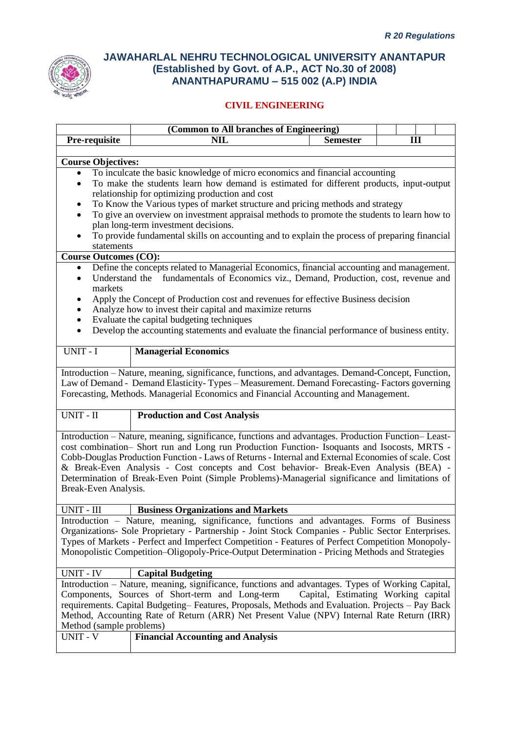

|                                                                                                          | (Common to All branches of Engineering)                                                             |                                     |  |   |  |  |
|----------------------------------------------------------------------------------------------------------|-----------------------------------------------------------------------------------------------------|-------------------------------------|--|---|--|--|
| Pre-requisite                                                                                            | NIL                                                                                                 | <b>Semester</b>                     |  | Ш |  |  |
|                                                                                                          |                                                                                                     |                                     |  |   |  |  |
| <b>Course Objectives:</b>                                                                                |                                                                                                     |                                     |  |   |  |  |
| $\bullet$                                                                                                | To inculcate the basic knowledge of micro economics and financial accounting                        |                                     |  |   |  |  |
| To make the students learn how demand is estimated for different products, input-output<br>٠             |                                                                                                     |                                     |  |   |  |  |
| relationship for optimizing production and cost                                                          |                                                                                                     |                                     |  |   |  |  |
| ٠                                                                                                        | To Know the Various types of market structure and pricing methods and strategy                      |                                     |  |   |  |  |
| To give an overview on investment appraisal methods to promote the students to learn how to<br>$\bullet$ |                                                                                                     |                                     |  |   |  |  |
|                                                                                                          | plan long-term investment decisions.                                                                |                                     |  |   |  |  |
| $\bullet$                                                                                                | To provide fundamental skills on accounting and to explain the process of preparing financial       |                                     |  |   |  |  |
| statements                                                                                               |                                                                                                     |                                     |  |   |  |  |
| <b>Course Outcomes (CO):</b>                                                                             |                                                                                                     |                                     |  |   |  |  |
| ٠                                                                                                        | Define the concepts related to Managerial Economics, financial accounting and management.           |                                     |  |   |  |  |
| Understand the<br>$\bullet$                                                                              | fundamentals of Economics viz., Demand, Production, cost, revenue and                               |                                     |  |   |  |  |
| markets                                                                                                  |                                                                                                     |                                     |  |   |  |  |
| ٠                                                                                                        | Apply the Concept of Production cost and revenues for effective Business decision                   |                                     |  |   |  |  |
| ٠                                                                                                        | Analyze how to invest their capital and maximize returns                                            |                                     |  |   |  |  |
| $\bullet$                                                                                                | Evaluate the capital budgeting techniques                                                           |                                     |  |   |  |  |
| $\bullet$                                                                                                | Develop the accounting statements and evaluate the financial performance of business entity.        |                                     |  |   |  |  |
|                                                                                                          |                                                                                                     |                                     |  |   |  |  |
| UNIT - I                                                                                                 | <b>Managerial Economics</b>                                                                         |                                     |  |   |  |  |
|                                                                                                          | Introduction - Nature, meaning, significance, functions, and advantages. Demand-Concept, Function,  |                                     |  |   |  |  |
|                                                                                                          | Law of Demand - Demand Elasticity-Types - Measurement. Demand Forecasting-Factors governing         |                                     |  |   |  |  |
|                                                                                                          | Forecasting, Methods. Managerial Economics and Financial Accounting and Management.                 |                                     |  |   |  |  |
|                                                                                                          |                                                                                                     |                                     |  |   |  |  |
| UNIT - II                                                                                                | <b>Production and Cost Analysis</b>                                                                 |                                     |  |   |  |  |
|                                                                                                          |                                                                                                     |                                     |  |   |  |  |
|                                                                                                          | Introduction - Nature, meaning, significance, functions and advantages. Production Function-Least-  |                                     |  |   |  |  |
|                                                                                                          | cost combination- Short run and Long run Production Function- Isoquants and Isocosts, MRTS -        |                                     |  |   |  |  |
|                                                                                                          | Cobb-Douglas Production Function - Laws of Returns - Internal and External Economies of scale. Cost |                                     |  |   |  |  |
|                                                                                                          | & Break-Even Analysis - Cost concepts and Cost behavior- Break-Even Analysis (BEA) -                |                                     |  |   |  |  |
|                                                                                                          | Determination of Break-Even Point (Simple Problems)-Managerial significance and limitations of      |                                     |  |   |  |  |
| Break-Even Analysis.                                                                                     |                                                                                                     |                                     |  |   |  |  |
|                                                                                                          |                                                                                                     |                                     |  |   |  |  |
| UNIT - III                                                                                               | <b>Business Organizations and Markets</b>                                                           |                                     |  |   |  |  |
|                                                                                                          | Introduction – Nature, meaning, significance, functions and advantages. Forms of Business           |                                     |  |   |  |  |
|                                                                                                          | Organizations- Sole Proprietary - Partnership - Joint Stock Companies - Public Sector Enterprises.  |                                     |  |   |  |  |
|                                                                                                          | Types of Markets - Perfect and Imperfect Competition - Features of Perfect Competition Monopoly-    |                                     |  |   |  |  |
|                                                                                                          | Monopolistic Competition-Oligopoly-Price-Output Determination - Pricing Methods and Strategies      |                                     |  |   |  |  |
|                                                                                                          |                                                                                                     |                                     |  |   |  |  |
| <b>UNIT - IV</b>                                                                                         | <b>Capital Budgeting</b>                                                                            |                                     |  |   |  |  |
|                                                                                                          | Introduction – Nature, meaning, significance, functions and advantages. Types of Working Capital,   |                                     |  |   |  |  |
|                                                                                                          | Components, Sources of Short-term and Long-term                                                     | Capital, Estimating Working capital |  |   |  |  |
| requirements. Capital Budgeting-Features, Proposals, Methods and Evaluation. Projects - Pay Back         |                                                                                                     |                                     |  |   |  |  |
|                                                                                                          | Method, Accounting Rate of Return (ARR) Net Present Value (NPV) Internal Rate Return (IRR)          |                                     |  |   |  |  |
| Method (sample problems)                                                                                 |                                                                                                     |                                     |  |   |  |  |
| <b>UNIT - V</b>                                                                                          | <b>Financial Accounting and Analysis</b>                                                            |                                     |  |   |  |  |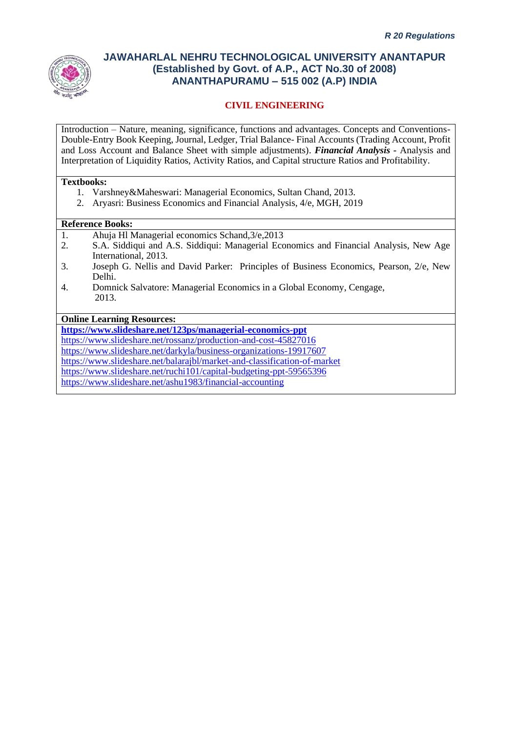

## **CIVIL ENGINEERING**

Introduction – Nature, meaning, significance, functions and advantages. Concepts and Conventions-Double-Entry Book Keeping, Journal, Ledger, Trial Balance- Final Accounts (Trading Account, Profit and Loss Account and Balance Sheet with simple adjustments). *Financial Analysis -* Analysis and Interpretation of Liquidity Ratios, Activity Ratios, and Capital structure Ratios and Profitability.

#### **Textbooks:**

- 1. Varshney&Maheswari: Managerial Economics, Sultan Chand, 2013.
- 2. Aryasri: Business Economics and Financial Analysis, 4/e, MGH, 2019

### **Reference Books:**

- 1. Ahuja Hl Managerial economics Schand,3/e,2013
- 2. S.A. Siddiqui and A.S. Siddiqui: Managerial Economics and Financial Analysis, New Age International, 2013.
- 3. Joseph G. Nellis and David Parker: Principles of Business Economics, Pearson, 2/e, New Delhi.
- 4. Domnick Salvatore: Managerial Economics in a Global Economy, Cengage, 2013.

**Online Learning Resources:**

**<https://www.slideshare.net/123ps/managerial-economics-ppt>**

<https://www.slideshare.net/rossanz/production-and-cost-45827016>

<https://www.slideshare.net/darkyla/business-organizations-19917607>

<https://www.slideshare.net/balarajbl/market-and-classification-of-market>

<https://www.slideshare.net/ruchi101/capital-budgeting-ppt-59565396>

<https://www.slideshare.net/ashu1983/financial-accounting>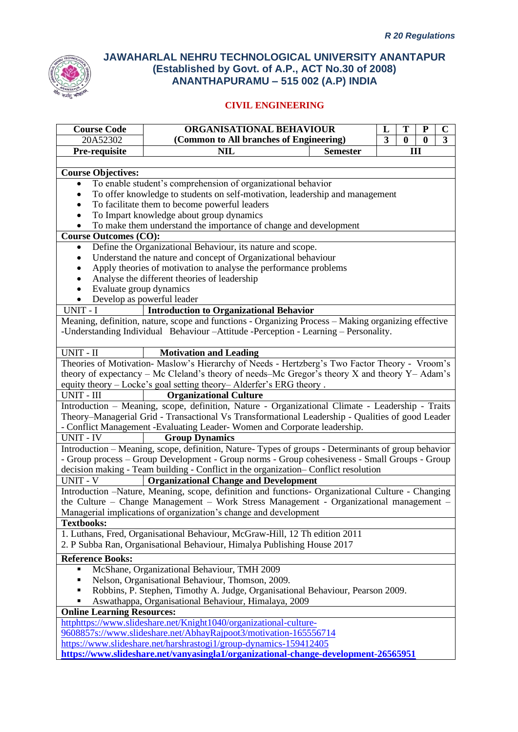

| <b>Course Code</b>                                               | ORGANISATIONAL BEHAVIOUR<br>L<br>T                                                                        |  |              |          | ${\bf P}$ | $\mathbf C$ |
|------------------------------------------------------------------|-----------------------------------------------------------------------------------------------------------|--|--------------|----------|-----------|-------------|
| 20A52302                                                         | (Common to All branches of Engineering)<br>3                                                              |  | $\mathbf{0}$ | $\bf{0}$ | 3         |             |
| Pre-requisite                                                    | <b>NIL</b><br>III<br><b>Semester</b>                                                                      |  |              |          |           |             |
|                                                                  |                                                                                                           |  |              |          |           |             |
| <b>Course Objectives:</b>                                        |                                                                                                           |  |              |          |           |             |
|                                                                  | To enable student's comprehension of organizational behavior                                              |  |              |          |           |             |
|                                                                  | To offer knowledge to students on self-motivation, leadership and management                              |  |              |          |           |             |
|                                                                  | To facilitate them to become powerful leaders                                                             |  |              |          |           |             |
|                                                                  | To Impart knowledge about group dynamics                                                                  |  |              |          |           |             |
|                                                                  | To make them understand the importance of change and development                                          |  |              |          |           |             |
| <b>Course Outcomes (CO):</b>                                     |                                                                                                           |  |              |          |           |             |
| ٠                                                                | Define the Organizational Behaviour, its nature and scope.                                                |  |              |          |           |             |
|                                                                  | Understand the nature and concept of Organizational behaviour                                             |  |              |          |           |             |
|                                                                  | Apply theories of motivation to analyse the performance problems                                          |  |              |          |           |             |
|                                                                  | Analyse the different theories of leadership                                                              |  |              |          |           |             |
| Evaluate group dynamics                                          |                                                                                                           |  |              |          |           |             |
|                                                                  | Develop as powerful leader                                                                                |  |              |          |           |             |
| UNIT - I                                                         | <b>Introduction to Organizational Behavior</b>                                                            |  |              |          |           |             |
|                                                                  | Meaning, definition, nature, scope and functions - Organizing Process - Making organizing effective       |  |              |          |           |             |
|                                                                  | -Understanding Individual Behaviour - Attitude - Perception - Learning - Personality.                     |  |              |          |           |             |
| UNIT - II                                                        | <b>Motivation and Leading</b>                                                                             |  |              |          |           |             |
|                                                                  | Theories of Motivation-Maslow's Hierarchy of Needs - Hertzberg's Two Factor Theory - Vroom's              |  |              |          |           |             |
|                                                                  | theory of expectancy – Mc Cleland's theory of needs–Mc Gregor's theory $X$ and theory $Y - \text{Adam's}$ |  |              |          |           |             |
|                                                                  | equity theory – Locke's goal setting theory– Alderfer's ERG theory.                                       |  |              |          |           |             |
| UNIT - III                                                       | <b>Organizational Culture</b>                                                                             |  |              |          |           |             |
|                                                                  | Introduction - Meaning, scope, definition, Nature - Organizational Climate - Leadership - Traits          |  |              |          |           |             |
|                                                                  | Theory–Managerial Grid - Transactional Vs Transformational Leadership - Qualities of good Leader          |  |              |          |           |             |
|                                                                  | - Conflict Management -Evaluating Leader-Women and Corporate leadership.                                  |  |              |          |           |             |
| <b>UNIT - IV</b>                                                 | <b>Group Dynamics</b>                                                                                     |  |              |          |           |             |
|                                                                  | Introduction – Meaning, scope, definition, Nature-Types of groups - Determinants of group behavior        |  |              |          |           |             |
|                                                                  | - Group process - Group Development - Group norms - Group cohesiveness - Small Groups - Group             |  |              |          |           |             |
|                                                                  | decision making - Team building - Conflict in the organization- Conflict resolution                       |  |              |          |           |             |
| <b>UNIT - V</b>                                                  | <b>Organizational Change and Development</b>                                                              |  |              |          |           |             |
|                                                                  | Introduction -Nature, Meaning, scope, definition and functions- Organizational Culture - Changing         |  |              |          |           |             |
|                                                                  | the Culture - Change Management - Work Stress Management - Organizational management -                    |  |              |          |           |             |
|                                                                  | Managerial implications of organization's change and development                                          |  |              |          |           |             |
| <b>Textbooks:</b>                                                |                                                                                                           |  |              |          |           |             |
|                                                                  | 1. Luthans, Fred, Organisational Behaviour, McGraw-Hill, 12 Th edition 2011                               |  |              |          |           |             |
|                                                                  | 2. P Subba Ran, Organisational Behaviour, Himalya Publishing House 2017                                   |  |              |          |           |             |
| <b>Reference Books:</b>                                          |                                                                                                           |  |              |          |           |             |
| ٠                                                                | McShane, Organizational Behaviour, TMH 2009                                                               |  |              |          |           |             |
|                                                                  | Nelson, Organisational Behaviour, Thomson, 2009.                                                          |  |              |          |           |             |
|                                                                  | Robbins, P. Stephen, Timothy A. Judge, Organisational Behaviour, Pearson 2009.                            |  |              |          |           |             |
|                                                                  | Aswathappa, Organisational Behaviour, Himalaya, 2009                                                      |  |              |          |           |             |
| <b>Online Learning Resources:</b>                                |                                                                                                           |  |              |          |           |             |
|                                                                  | httphttps://www.slideshare.net/Knight1040/organizational-culture-                                         |  |              |          |           |             |
| 9608857s://www.slideshare.net/AbhayRajpoot3/motivation-165556714 |                                                                                                           |  |              |          |           |             |
|                                                                  | https://www.slideshare.net/harshrastogi1/group-dynamics-159412405                                         |  |              |          |           |             |
|                                                                  | https://www.slideshare.net/vanyasingla1/organizational-change-development-26565951                        |  |              |          |           |             |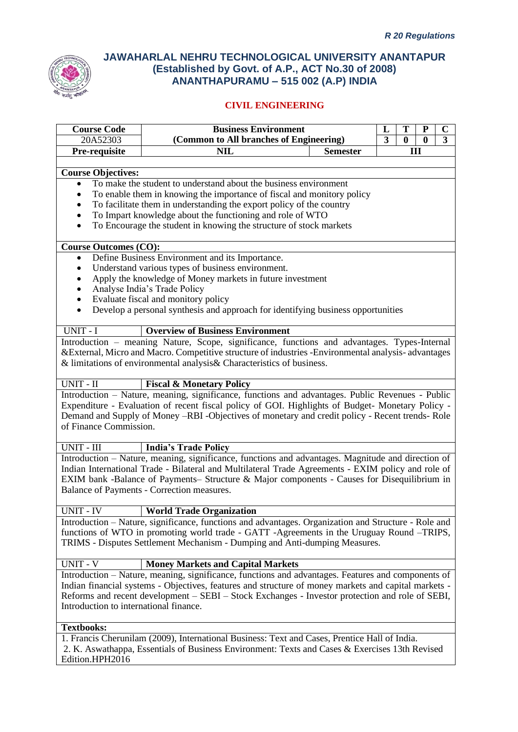

| <b>Course Code</b>                                                                             | <b>Business Environment</b><br>T<br>L<br>${\bf P}$                                                   |                                                                           |  |  |   | $\mathbf C$ |
|------------------------------------------------------------------------------------------------|------------------------------------------------------------------------------------------------------|---------------------------------------------------------------------------|--|--|---|-------------|
| 20A52303                                                                                       |                                                                                                      | (Common to All branches of Engineering)<br>3<br>$\bf{0}$<br>3<br>$\bf{0}$ |  |  |   |             |
| Pre-requisite                                                                                  | <b>NIL</b>                                                                                           | <b>Semester</b>                                                           |  |  | Ш |             |
| <b>Course Objectives:</b>                                                                      |                                                                                                      |                                                                           |  |  |   |             |
|                                                                                                | To make the student to understand about the business environment                                     |                                                                           |  |  |   |             |
|                                                                                                | To enable them in knowing the importance of fiscal and monitory policy                               |                                                                           |  |  |   |             |
|                                                                                                | To facilitate them in understanding the export policy of the country                                 |                                                                           |  |  |   |             |
| ٠                                                                                              | To Impart knowledge about the functioning and role of WTO                                            |                                                                           |  |  |   |             |
| $\bullet$                                                                                      | To Encourage the student in knowing the structure of stock markets                                   |                                                                           |  |  |   |             |
| <b>Course Outcomes (CO):</b>                                                                   |                                                                                                      |                                                                           |  |  |   |             |
| $\bullet$                                                                                      | Define Business Environment and its Importance.                                                      |                                                                           |  |  |   |             |
|                                                                                                | Understand various types of business environment.                                                    |                                                                           |  |  |   |             |
|                                                                                                | Apply the knowledge of Money markets in future investment                                            |                                                                           |  |  |   |             |
|                                                                                                | Analyse India's Trade Policy                                                                         |                                                                           |  |  |   |             |
| $\bullet$                                                                                      | Evaluate fiscal and monitory policy                                                                  |                                                                           |  |  |   |             |
| $\bullet$                                                                                      | Develop a personal synthesis and approach for identifying business opportunities                     |                                                                           |  |  |   |             |
| UNIT - I                                                                                       | <b>Overview of Business Environment</b>                                                              |                                                                           |  |  |   |             |
|                                                                                                | Introduction – meaning Nature, Scope, significance, functions and advantages. Types-Internal         |                                                                           |  |  |   |             |
|                                                                                                | & External, Micro and Macro. Competitive structure of industries - Environmental analysis-advantages |                                                                           |  |  |   |             |
|                                                                                                | & limitations of environmental analysis& Characteristics of business.                                |                                                                           |  |  |   |             |
| UNIT - II                                                                                      | <b>Fiscal &amp; Monetary Policy</b>                                                                  |                                                                           |  |  |   |             |
|                                                                                                | Introduction - Nature, meaning, significance, functions and advantages. Public Revenues - Public     |                                                                           |  |  |   |             |
|                                                                                                | Expenditure - Evaluation of recent fiscal policy of GOI. Highlights of Budget- Monetary Policy -     |                                                                           |  |  |   |             |
|                                                                                                | Demand and Supply of Money -RBI -Objectives of monetary and credit policy - Recent trends- Role      |                                                                           |  |  |   |             |
| of Finance Commission.                                                                         |                                                                                                      |                                                                           |  |  |   |             |
| UNIT - III                                                                                     | <b>India's Trade Policy</b>                                                                          |                                                                           |  |  |   |             |
|                                                                                                | Introduction - Nature, meaning, significance, functions and advantages. Magnitude and direction of   |                                                                           |  |  |   |             |
|                                                                                                | Indian International Trade - Bilateral and Multilateral Trade Agreements - EXIM policy and role of   |                                                                           |  |  |   |             |
|                                                                                                | EXIM bank -Balance of Payments- Structure & Major components - Causes for Disequilibrium in          |                                                                           |  |  |   |             |
|                                                                                                | Balance of Payments - Correction measures.                                                           |                                                                           |  |  |   |             |
| UNIT - IV                                                                                      | <b>World Trade Organization</b>                                                                      |                                                                           |  |  |   |             |
|                                                                                                | Introduction - Nature, significance, functions and advantages. Organization and Structure - Role and |                                                                           |  |  |   |             |
|                                                                                                | functions of WTO in promoting world trade - GATT -Agreements in the Uruguay Round -TRIPS,            |                                                                           |  |  |   |             |
|                                                                                                | TRIMS - Disputes Settlement Mechanism - Dumping and Anti-dumping Measures.                           |                                                                           |  |  |   |             |
| UNIT - V                                                                                       | <b>Money Markets and Capital Markets</b>                                                             |                                                                           |  |  |   |             |
|                                                                                                | Introduction - Nature, meaning, significance, functions and advantages. Features and components of   |                                                                           |  |  |   |             |
|                                                                                                | Indian financial systems - Objectives, features and structure of money markets and capital markets - |                                                                           |  |  |   |             |
|                                                                                                | Reforms and recent development - SEBI - Stock Exchanges - Investor protection and role of SEBI,      |                                                                           |  |  |   |             |
| Introduction to international finance.                                                         |                                                                                                      |                                                                           |  |  |   |             |
| <b>Textbooks:</b>                                                                              |                                                                                                      |                                                                           |  |  |   |             |
| 1. Francis Cherunilam (2009), International Business: Text and Cases, Prentice Hall of India.  |                                                                                                      |                                                                           |  |  |   |             |
| 2. K. Aswathappa, Essentials of Business Environment: Texts and Cases & Exercises 13th Revised |                                                                                                      |                                                                           |  |  |   |             |
| Edition.HPH2016                                                                                |                                                                                                      |                                                                           |  |  |   |             |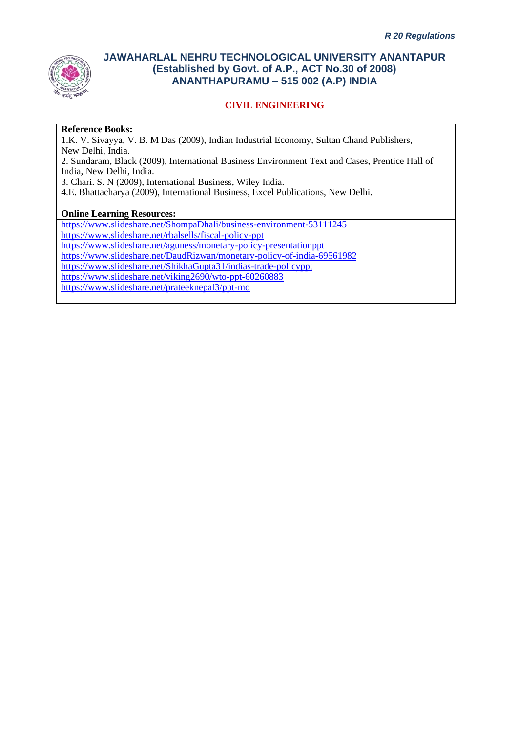

## **CIVIL ENGINEERING**

#### **Reference Books:**

1.K. V. Sivayya, V. B. M Das (2009), Indian Industrial Economy, Sultan Chand Publishers, New Delhi, India.

2. Sundaram, Black (2009), International Business Environment Text and Cases, Prentice Hall of India, New Delhi, India.

3. Chari. S. N (2009), International Business, Wiley India.

4.E. Bhattacharya (2009), International Business, Excel Publications, New Delhi.

### **Online Learning Resources:**

<https://www.slideshare.net/ShompaDhali/business-environment-53111245>

<https://www.slideshare.net/rbalsells/fiscal-policy-ppt>

<https://www.slideshare.net/aguness/monetary-policy-presentationppt>

<https://www.slideshare.net/DaudRizwan/monetary-policy-of-india-69561982>

<https://www.slideshare.net/ShikhaGupta31/indias-trade-policyppt>

<https://www.slideshare.net/viking2690/wto-ppt-60260883>

<https://www.slideshare.net/prateeknepal3/ppt-mo>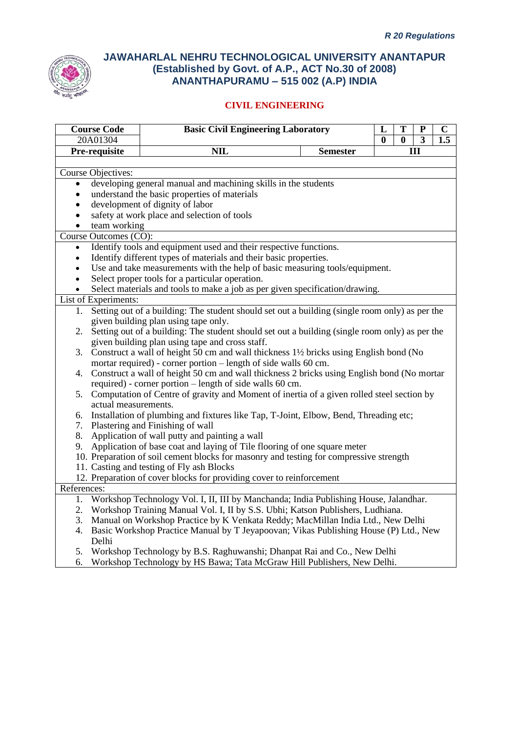

| <b>Course Code</b>        | <b>Basic Civil Engineering Laboratory</b>                                                                                                                     |                 | L            | T                       | ${\bf P}$      | $\mathbf C$ |
|---------------------------|---------------------------------------------------------------------------------------------------------------------------------------------------------------|-----------------|--------------|-------------------------|----------------|-------------|
| 20A01304                  |                                                                                                                                                               |                 | $\mathbf{0}$ | $\overline{\mathbf{0}}$ | $\overline{3}$ | 1.5         |
| Pre-requisite             | $\overline{\text{NIL}}$                                                                                                                                       | <b>Semester</b> |              |                         | Ш              |             |
|                           |                                                                                                                                                               |                 |              |                         |                |             |
| <b>Course Objectives:</b> |                                                                                                                                                               |                 |              |                         |                |             |
| $\bullet$                 | developing general manual and machining skills in the students                                                                                                |                 |              |                         |                |             |
|                           | understand the basic properties of materials                                                                                                                  |                 |              |                         |                |             |
|                           | development of dignity of labor                                                                                                                               |                 |              |                         |                |             |
|                           | safety at work place and selection of tools                                                                                                                   |                 |              |                         |                |             |
| team working              |                                                                                                                                                               |                 |              |                         |                |             |
| Course Outcomes (CO):     |                                                                                                                                                               |                 |              |                         |                |             |
|                           | Identify tools and equipment used and their respective functions.                                                                                             |                 |              |                         |                |             |
| $\bullet$                 | Identify different types of materials and their basic properties.                                                                                             |                 |              |                         |                |             |
| $\bullet$                 | Use and take measurements with the help of basic measuring tools/equipment.                                                                                   |                 |              |                         |                |             |
| $\bullet$                 | Select proper tools for a particular operation.                                                                                                               |                 |              |                         |                |             |
|                           | Select materials and tools to make a job as per given specification/drawing.                                                                                  |                 |              |                         |                |             |
| List of Experiments:      |                                                                                                                                                               |                 |              |                         |                |             |
| 1.                        | Setting out of a building: The student should set out a building (single room only) as per the                                                                |                 |              |                         |                |             |
|                           | given building plan using tape only.                                                                                                                          |                 |              |                         |                |             |
| 2.                        | Setting out of a building: The student should set out a building (single room only) as per the                                                                |                 |              |                         |                |             |
|                           | given building plan using tape and cross staff.                                                                                                               |                 |              |                         |                |             |
|                           | 3. Construct a wall of height 50 cm and wall thickness 1\% bricks using English bond (No                                                                      |                 |              |                         |                |             |
|                           | mortar required) - corner portion - length of side walls 60 cm.<br>Construct a wall of height 50 cm and wall thickness 2 bricks using English bond (No mortar |                 |              |                         |                |             |
| 4.                        | required) - corner portion – length of side walls 60 cm.                                                                                                      |                 |              |                         |                |             |
| 5.                        | Computation of Centre of gravity and Moment of inertia of a given rolled steel section by                                                                     |                 |              |                         |                |             |
| actual measurements.      |                                                                                                                                                               |                 |              |                         |                |             |
| 6.                        | Installation of plumbing and fixtures like Tap, T-Joint, Elbow, Bend, Threading etc;                                                                          |                 |              |                         |                |             |
| 7.                        | Plastering and Finishing of wall                                                                                                                              |                 |              |                         |                |             |
| 8.                        | Application of wall putty and painting a wall                                                                                                                 |                 |              |                         |                |             |
| 9.                        | Application of base coat and laying of Tile flooring of one square meter                                                                                      |                 |              |                         |                |             |
|                           | 10. Preparation of soil cement blocks for masonry and testing for compressive strength                                                                        |                 |              |                         |                |             |
|                           | 11. Casting and testing of Fly ash Blocks                                                                                                                     |                 |              |                         |                |             |
|                           | 12. Preparation of cover blocks for providing cover to reinforcement                                                                                          |                 |              |                         |                |             |
| References:               |                                                                                                                                                               |                 |              |                         |                |             |
| 1.                        | Workshop Technology Vol. I, II, III by Manchanda; India Publishing House, Jalandhar.                                                                          |                 |              |                         |                |             |
| 2.                        | Workshop Training Manual Vol. I, II by S.S. Ubhi; Katson Publishers, Ludhiana.                                                                                |                 |              |                         |                |             |
| 3.                        | Manual on Workshop Practice by K Venkata Reddy; MacMillan India Ltd., New Delhi                                                                               |                 |              |                         |                |             |
| 4.                        | Basic Workshop Practice Manual by T Jeyapoovan; Vikas Publishing House (P) Ltd., New                                                                          |                 |              |                         |                |             |
| Delhi                     |                                                                                                                                                               |                 |              |                         |                |             |
| 5.                        | Workshop Technology by B.S. Raghuwanshi; Dhanpat Rai and Co., New Delhi                                                                                       |                 |              |                         |                |             |
| 6.                        | Workshop Technology by HS Bawa; Tata McGraw Hill Publishers, New Delhi.                                                                                       |                 |              |                         |                |             |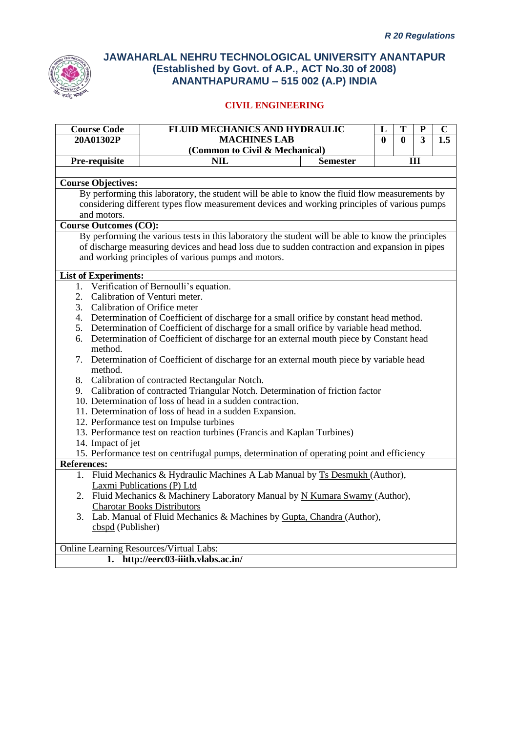

| <b>Course Code</b>                             | <b>FLUID MECHANICS AND HYDRAULIC</b>                                                               |                 | L   | T        | ${\bf P}$               | $\mathbf C$ |
|------------------------------------------------|----------------------------------------------------------------------------------------------------|-----------------|-----|----------|-------------------------|-------------|
| 20A01302P                                      | <b>MACHINES LAB</b>                                                                                |                 |     | $\bf{0}$ | $\overline{\mathbf{3}}$ | 1.5         |
|                                                | (Common to Civil & Mechanical)                                                                     |                 |     |          |                         |             |
| Pre-requisite                                  | <b>NIL</b>                                                                                         | <b>Semester</b> | III |          |                         |             |
|                                                |                                                                                                    |                 |     |          |                         |             |
| <b>Course Objectives:</b>                      |                                                                                                    |                 |     |          |                         |             |
|                                                | By performing this laboratory, the student will be able to know the fluid flow measurements by     |                 |     |          |                         |             |
|                                                | considering different types flow measurement devices and working principles of various pumps       |                 |     |          |                         |             |
| and motors.                                    |                                                                                                    |                 |     |          |                         |             |
| <b>Course Outcomes (CO):</b>                   |                                                                                                    |                 |     |          |                         |             |
|                                                | By performing the various tests in this laboratory the student will be able to know the principles |                 |     |          |                         |             |
|                                                | of discharge measuring devices and head loss due to sudden contraction and expansion in pipes      |                 |     |          |                         |             |
|                                                | and working principles of various pumps and motors.                                                |                 |     |          |                         |             |
|                                                |                                                                                                    |                 |     |          |                         |             |
| <b>List of Experiments:</b>                    |                                                                                                    |                 |     |          |                         |             |
| 1.                                             | Verification of Bernoulli's equation.                                                              |                 |     |          |                         |             |
| 2.                                             | Calibration of Venturi meter.                                                                      |                 |     |          |                         |             |
| 3.                                             | Calibration of Orifice meter                                                                       |                 |     |          |                         |             |
| 4.                                             | Determination of Coefficient of discharge for a small orifice by constant head method.             |                 |     |          |                         |             |
| 5.                                             | Determination of Coefficient of discharge for a small orifice by variable head method.             |                 |     |          |                         |             |
| 6.                                             | Determination of Coefficient of discharge for an external mouth piece by Constant head             |                 |     |          |                         |             |
| method.                                        |                                                                                                    |                 |     |          |                         |             |
| 7.<br>method.                                  | Determination of Coefficient of discharge for an external mouth piece by variable head             |                 |     |          |                         |             |
|                                                | 8. Calibration of contracted Rectangular Notch.                                                    |                 |     |          |                         |             |
|                                                | 9. Calibration of contracted Triangular Notch. Determination of friction factor                    |                 |     |          |                         |             |
|                                                | 10. Determination of loss of head in a sudden contraction.                                         |                 |     |          |                         |             |
|                                                | 11. Determination of loss of head in a sudden Expansion.                                           |                 |     |          |                         |             |
|                                                | 12. Performance test on Impulse turbines                                                           |                 |     |          |                         |             |
|                                                | 13. Performance test on reaction turbines (Francis and Kaplan Turbines)                            |                 |     |          |                         |             |
| 14. Impact of jet                              |                                                                                                    |                 |     |          |                         |             |
|                                                | 15. Performance test on centrifugal pumps, determination of operating point and efficiency         |                 |     |          |                         |             |
| <b>References:</b>                             |                                                                                                    |                 |     |          |                         |             |
|                                                | 1. Fluid Mechanics & Hydraulic Machines A Lab Manual by Ts Desmukh (Author),                       |                 |     |          |                         |             |
|                                                | Laxmi Publications (P) Ltd                                                                         |                 |     |          |                         |             |
|                                                | 2. Fluid Mechanics & Machinery Laboratory Manual by N Kumara Swamy (Author),                       |                 |     |          |                         |             |
|                                                | <b>Charotar Books Distributors</b>                                                                 |                 |     |          |                         |             |
|                                                | Lab. Manual of Fluid Mechanics & Machines by Gupta, Chandra (Author),                              |                 |     |          |                         |             |
| cbspd (Publisher)                              |                                                                                                    |                 |     |          |                         |             |
|                                                |                                                                                                    |                 |     |          |                         |             |
| <b>Online Learning Resources/Virtual Labs:</b> |                                                                                                    |                 |     |          |                         |             |
|                                                | 1. http://eerc03-iiith.vlabs.ac.in/                                                                |                 |     |          |                         |             |
|                                                |                                                                                                    |                 |     |          |                         |             |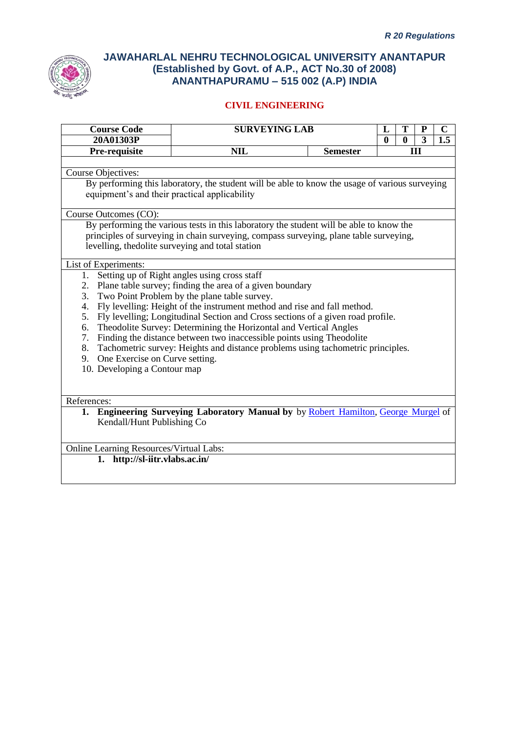

| <b>Course Code</b>                                                                                                                  | <b>SURVEYING LAB</b>                                                                                                                                                                                                                                                                                                                                                                                                                                                                                                                                        |                 | T<br>L                       | ${\bf P}$      | $\mathbf C$ |
|-------------------------------------------------------------------------------------------------------------------------------------|-------------------------------------------------------------------------------------------------------------------------------------------------------------------------------------------------------------------------------------------------------------------------------------------------------------------------------------------------------------------------------------------------------------------------------------------------------------------------------------------------------------------------------------------------------------|-----------------|------------------------------|----------------|-------------|
| 20A01303P                                                                                                                           |                                                                                                                                                                                                                                                                                                                                                                                                                                                                                                                                                             |                 | $\mathbf{0}$<br>$\mathbf{0}$ | $\overline{3}$ | 1.5         |
| Pre-requisite                                                                                                                       | <b>NIL</b>                                                                                                                                                                                                                                                                                                                                                                                                                                                                                                                                                  | <b>Semester</b> |                              | Ш              |             |
| <b>Course Objectives:</b><br>equipment's and their practical applicability                                                          | By performing this laboratory, the student will be able to know the usage of various surveying                                                                                                                                                                                                                                                                                                                                                                                                                                                              |                 |                              |                |             |
| Course Outcomes (CO):                                                                                                               |                                                                                                                                                                                                                                                                                                                                                                                                                                                                                                                                                             |                 |                              |                |             |
|                                                                                                                                     | By performing the various tests in this laboratory the student will be able to know the<br>principles of surveying in chain surveying, compass surveying, plane table surveying,<br>levelling, the dolite surveying and total station                                                                                                                                                                                                                                                                                                                       |                 |                              |                |             |
| List of Experiments:<br>1.<br>2.<br>3.<br>4.<br>5.<br>6.<br>7.<br>9. One Exercise on Curve setting.<br>10. Developing a Contour map | Setting up of Right angles using cross staff<br>Plane table survey; finding the area of a given boundary<br>Two Point Problem by the plane table survey.<br>Fly levelling: Height of the instrument method and rise and fall method.<br>Fly levelling; Longitudinal Section and Cross sections of a given road profile.<br>Theodolite Survey: Determining the Horizontal and Vertical Angles<br>Finding the distance between two inaccessible points using Theodolite<br>8. Tachometric survey: Heights and distance problems using tachometric principles. |                 |                              |                |             |
| References:                                                                                                                         |                                                                                                                                                                                                                                                                                                                                                                                                                                                                                                                                                             |                 |                              |                |             |
| Kendall/Hunt Publishing Co                                                                                                          | 1. Engineering Surveying Laboratory Manual by by Robert Hamilton, George Murgel of                                                                                                                                                                                                                                                                                                                                                                                                                                                                          |                 |                              |                |             |
| <b>Online Learning Resources/Virtual Labs:</b><br>1. http://sl-iitr.vlabs.ac.in/                                                    |                                                                                                                                                                                                                                                                                                                                                                                                                                                                                                                                                             |                 |                              |                |             |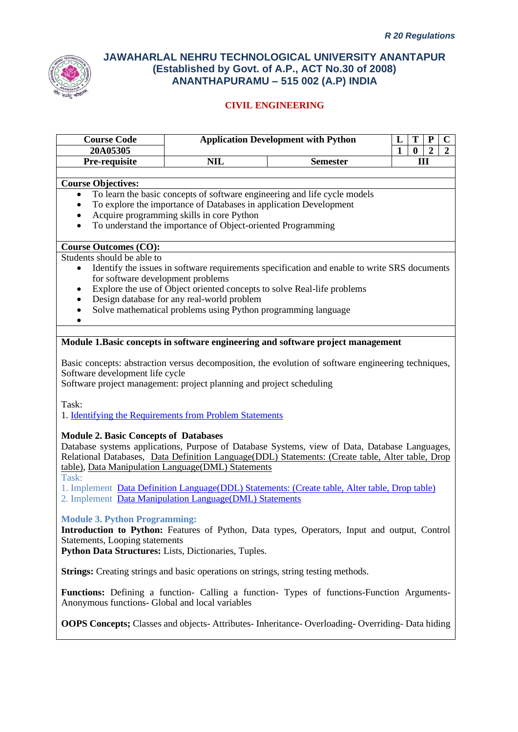

| <b>Course Code</b>                                                   | <b>Application Development with Python</b><br>T<br>${\bf P}$<br>$\mathbf C$<br>L |                                                                                                     |                                                                |  |  |
|----------------------------------------------------------------------|----------------------------------------------------------------------------------|-----------------------------------------------------------------------------------------------------|----------------------------------------------------------------|--|--|
| 20A05305                                                             |                                                                                  |                                                                                                     | $\overline{1}$<br>$\bf{0}$<br>$\overline{2}$<br>$\overline{2}$ |  |  |
| Pre-requisite                                                        | <b>NIL</b>                                                                       | <b>Semester</b>                                                                                     | III                                                            |  |  |
|                                                                      |                                                                                  |                                                                                                     |                                                                |  |  |
| Course Objectives:                                                   |                                                                                  |                                                                                                     |                                                                |  |  |
| $\bullet$                                                            |                                                                                  | To learn the basic concepts of software engineering and life cycle models                           |                                                                |  |  |
|                                                                      | To explore the importance of Databases in application Development                |                                                                                                     |                                                                |  |  |
|                                                                      | Acquire programming skills in core Python                                        |                                                                                                     |                                                                |  |  |
| $\bullet$                                                            | To understand the importance of Object-oriented Programming                      |                                                                                                     |                                                                |  |  |
| <b>Course Outcomes (CO):</b>                                         |                                                                                  |                                                                                                     |                                                                |  |  |
| Students should be able to                                           |                                                                                  |                                                                                                     |                                                                |  |  |
| $\bullet$                                                            |                                                                                  | Identify the issues in software requirements specification and enable to write SRS documents        |                                                                |  |  |
| for software development problems                                    |                                                                                  |                                                                                                     |                                                                |  |  |
| ٠                                                                    |                                                                                  | Explore the use of Object oriented concepts to solve Real-life problems                             |                                                                |  |  |
| ٠                                                                    | Design database for any real-world problem                                       |                                                                                                     |                                                                |  |  |
| ٠                                                                    | Solve mathematical problems using Python programming language                    |                                                                                                     |                                                                |  |  |
| $\bullet$                                                            |                                                                                  |                                                                                                     |                                                                |  |  |
|                                                                      |                                                                                  |                                                                                                     |                                                                |  |  |
|                                                                      |                                                                                  | Module 1.Basic concepts in software engineering and software project management                     |                                                                |  |  |
|                                                                      |                                                                                  |                                                                                                     |                                                                |  |  |
|                                                                      |                                                                                  | Basic concepts: abstraction versus decomposition, the evolution of software engineering techniques, |                                                                |  |  |
| Software development life cycle                                      |                                                                                  |                                                                                                     |                                                                |  |  |
| Software project management: project planning and project scheduling |                                                                                  |                                                                                                     |                                                                |  |  |
| Task:                                                                |                                                                                  |                                                                                                     |                                                                |  |  |
| 1. Identifying the Requirements from Problem Statements              |                                                                                  |                                                                                                     |                                                                |  |  |
|                                                                      |                                                                                  |                                                                                                     |                                                                |  |  |
| <b>Module 2. Basic Concepts of Databases</b>                         |                                                                                  |                                                                                                     |                                                                |  |  |
|                                                                      |                                                                                  | Database systems applications, Purpose of Database Systems, view of Data, Database Languages,       |                                                                |  |  |
|                                                                      |                                                                                  | Relational Databases, Data Definition Language(DDL) Statements: (Create table, Alter table, Drop    |                                                                |  |  |
| table), Data Manipulation Language(DML) Statements                   |                                                                                  |                                                                                                     |                                                                |  |  |
| Task:                                                                |                                                                                  |                                                                                                     |                                                                |  |  |
|                                                                      |                                                                                  | 1. Implement Data Definition Language (DDL) Statements: (Create table, Alter table, Drop table)     |                                                                |  |  |
| 2. Implement Data Manipulation Language(DML) Statements              |                                                                                  |                                                                                                     |                                                                |  |  |
|                                                                      |                                                                                  |                                                                                                     |                                                                |  |  |
| <b>Module 3. Python Programming:</b>                                 |                                                                                  |                                                                                                     |                                                                |  |  |
|                                                                      |                                                                                  | Introduction to Python: Features of Python, Data types, Operators, Input and output, Control        |                                                                |  |  |
| Statements, Looping statements                                       |                                                                                  |                                                                                                     |                                                                |  |  |
| Python Data Structures: Lists, Dictionaries, Tuples.                 |                                                                                  |                                                                                                     |                                                                |  |  |
|                                                                      |                                                                                  |                                                                                                     |                                                                |  |  |
|                                                                      |                                                                                  | <b>Strings:</b> Creating strings and basic operations on strings, string testing methods.           |                                                                |  |  |
|                                                                      |                                                                                  | Functions: Defining a function- Calling a function- Types of functions-Function Arguments-          |                                                                |  |  |
| Anonymous functions- Global and local variables                      |                                                                                  |                                                                                                     |                                                                |  |  |
|                                                                      |                                                                                  |                                                                                                     |                                                                |  |  |
|                                                                      |                                                                                  | <b>OOPS Concepts;</b> Classes and objects-Attributes-Inheritance-Overloading-Overriding-Data hiding |                                                                |  |  |
|                                                                      |                                                                                  |                                                                                                     |                                                                |  |  |
|                                                                      |                                                                                  |                                                                                                     |                                                                |  |  |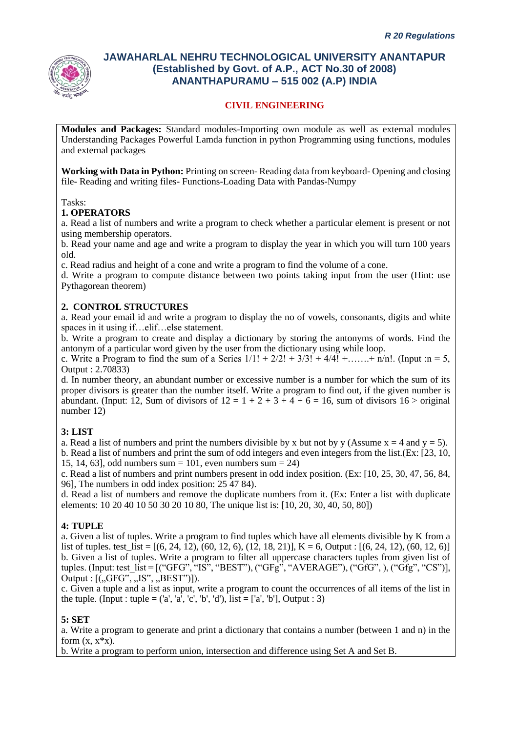

## **CIVIL ENGINEERING**

**Modules and Packages:** Standard modules-Importing own module as well as external modules Understanding Packages Powerful Lamda function in python Programming using functions, modules and external packages

**Working with Data in Python:** Printing on screen- Reading data from keyboard- Opening and closing file- Reading and writing files- Functions-Loading Data with Pandas-Numpy

Tasks:

#### **1. OPERATORS**

a. Read a list of numbers and write a program to check whether a particular element is present or not using membership operators.

b. Read your name and age and write a program to display the year in which you will turn 100 years old.

c. Read radius and height of a cone and write a program to find the volume of a cone.

d. Write a program to compute distance between two points taking input from the user (Hint: use Pythagorean theorem)

#### **2. CONTROL STRUCTURES**

a. Read your email id and write a program to display the no of vowels, consonants, digits and white spaces in it using if…elif…else statement.

b. Write a program to create and display a dictionary by storing the antonyms of words. Find the antonym of a particular word given by the user from the dictionary using while loop.

c. Write a Program to find the sum of a Series  $1/1! + 2/2! + 3/3! + 4/4! + \dots + n/n!$ . (Input :n = 5, Output : 2.70833)

d. In number theory, an abundant number or excessive number is a number for which the sum of its proper divisors is greater than the number itself. Write a program to find out, if the given number is abundant. (Input: 12, Sum of divisors of  $12 = 1 + 2 + 3 + 4 + 6 = 16$ , sum of divisors  $16 >$  original number 12)

### **3: LIST**

a. Read a list of numbers and print the numbers divisible by x but not by y (Assume  $x = 4$  and  $y = 5$ ). b. Read a list of numbers and print the sum of odd integers and even integers from the list.(Ex: [23, 10, 15, 14, 63], odd numbers sum = 101, even numbers sum = 24)

c. Read a list of numbers and print numbers present in odd index position. (Ex: [10, 25, 30, 47, 56, 84, 96], The numbers in odd index position: 25 47 84).

d. Read a list of numbers and remove the duplicate numbers from it. (Ex: Enter a list with duplicate elements: 10 20 40 10 50 30 20 10 80, The unique list is: [10, 20, 30, 40, 50, 80])

#### **4: TUPLE**

a. Given a list of tuples. Write a program to find tuples which have all elements divisible by K from a list of tuples. test  $list = [(6, 24, 12), (60, 12, 6), (12, 18, 21)]$ , K = 6, Output :  $[(6, 24, 12), (60, 12, 6)]$ b. Given a list of tuples. Write a program to filter all uppercase characters tuples from given list of tuples. (Input: test\_list =  $[(``GFG", ``IS", "BEST"), ("GFG", "AVERAGE"), ("GfG", ), ("Gfg", "CS"]],$ Output :  $[(, GFG^{\prime\prime}, , JS^{\prime\prime}, , BEST^{\prime\prime})])$ .

c. Given a tuple and a list as input, write a program to count the occurrences of all items of the list in the tuple. (Input : tuple =  $(a', 'a', 'c', 'b', 'd'),$  list =  $[a', 'b'],$  Output : 3)

#### **5: SET**

a. Write a program to generate and print a dictionary that contains a number (between 1 and n) in the form  $(x, x^*x)$ .

b. Write a program to perform union, intersection and difference using Set A and Set B.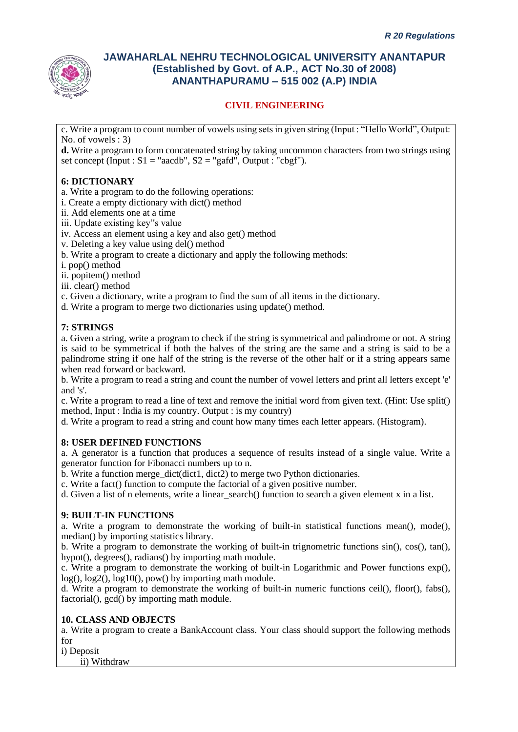

# **CIVIL ENGINEERING**

c. Write a program to count number of vowels using sets in given string (Input : "Hello World", Output: No. of vowels  $\cdot$  3)

**d.** Write a program to form concatenated string by taking uncommon characters from two strings using set concept (Input :  $S1 = "aacdb", S2 = "gafd", Output : "cbef").$ 

## **6: DICTIONARY**

a. Write a program to do the following operations:

i. Create a empty dictionary with dict() method

- ii. Add elements one at a time
- iii. Update existing key"s value

iv. Access an element using a key and also get() method

- v. Deleting a key value using del() method
- b. Write a program to create a dictionary and apply the following methods:
- i. pop() method

ii. popitem() method

iii. clear() method

c. Given a dictionary, write a program to find the sum of all items in the dictionary.

d. Write a program to merge two dictionaries using update() method.

# **7: STRINGS**

a. Given a string, write a program to check if the string is symmetrical and palindrome or not. A string is said to be symmetrical if both the halves of the string are the same and a string is said to be a palindrome string if one half of the string is the reverse of the other half or if a string appears same when read forward or backward.

b. Write a program to read a string and count the number of vowel letters and print all letters except 'e' and 's'.

c. Write a program to read a line of text and remove the initial word from given text. (Hint: Use split() method, Input : India is my country. Output : is my country)

d. Write a program to read a string and count how many times each letter appears. (Histogram).

### **8: USER DEFINED FUNCTIONS**

a. A generator is a function that produces a sequence of results instead of a single value. Write a generator function for Fibonacci numbers up to n.

b. Write a function merge dict(dict1, dict2) to merge two Python dictionaries.

c. Write a fact() function to compute the factorial of a given positive number.

d. Given a list of n elements, write a linear search() function to search a given element x in a list.

### **9: BUILT-IN FUNCTIONS**

a. Write a program to demonstrate the working of built-in statistical functions mean(), mode(), median() by importing statistics library.

b. Write a program to demonstrate the working of built-in trignometric functions sin(), cos(), tan(), hypot(), degrees(), radians() by importing math module.

c. Write a program to demonstrate the working of built-in Logarithmic and Power functions exp(), log(),  $log(2)$ ,  $log(10)$ , pow() by importing math module.

d. Write a program to demonstrate the working of built-in numeric functions ceil(), floor(), fabs(), factorial(), gcd() by importing math module.

### **10. CLASS AND OBJECTS**

a. Write a program to create a BankAccount class. Your class should support the following methods for

i) Deposit

ii) Withdraw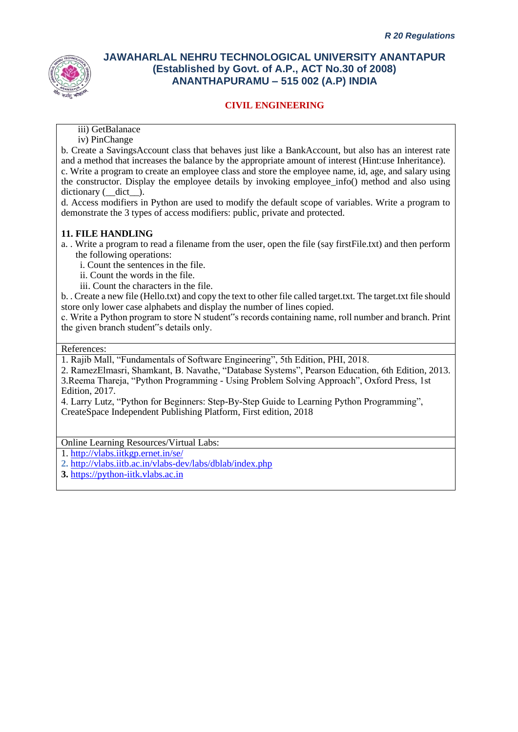

## **CIVIL ENGINEERING**

iii) GetBalanace

iv) PinChange

b. Create a SavingsAccount class that behaves just like a BankAccount, but also has an interest rate and a method that increases the balance by the appropriate amount of interest (Hint:use Inheritance). c. Write a program to create an employee class and store the employee name, id, age, and salary using the constructor. Display the employee details by invoking employee\_info() method and also using dictionary ( $\det$ ).

d. Access modifiers in Python are used to modify the default scope of variables. Write a program to demonstrate the 3 types of access modifiers: public, private and protected.

#### **11. FILE HANDLING**

a. . Write a program to read a filename from the user, open the file (say firstFile.txt) and then perform the following operations:

i. Count the sentences in the file.

ii. Count the words in the file.

iii. Count the characters in the file.

b. . Create a new file (Hello.txt) and copy the text to other file called target.txt. The target.txt file should store only lower case alphabets and display the number of lines copied.

c. Write a Python program to store N student"s records containing name, roll number and branch. Print the given branch student"s details only.

#### References:

1. Rajib Mall, "Fundamentals of Software Engineering", 5th Edition, PHI, 2018.

2. RamezElmasri, Shamkant, B. Navathe, "Database Systems", Pearson Education, 6th Edition, 2013. 3.Reema Thareja, "Python Programming - Using Problem Solving Approach", Oxford Press, 1st Edition, 2017.

4. Larry Lutz, "Python for Beginners: Step-By-Step Guide to Learning Python Programming", CreateSpace Independent Publishing Platform, First edition, 2018

Online Learning Resources/Virtual Labs:

1.<http://vlabs.iitkgp.ernet.in/se/>

**2.** <http://vlabs.iitb.ac.in/vlabs-dev/labs/dblab/index.php>

**3.** [https://python-iitk.vlabs.ac.in](https://python-iitk.vlabs.ac.in/)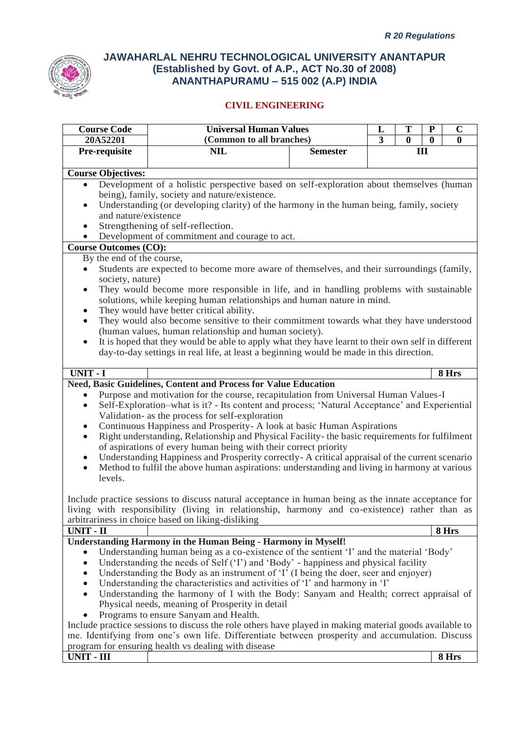

| <b>Course Code</b>                                                                      | <b>Universal Human Values</b><br>$\mathbf C$<br>T<br>${\bf P}$<br>L                                                                                               |                 |                |          |          |              |
|-----------------------------------------------------------------------------------------|-------------------------------------------------------------------------------------------------------------------------------------------------------------------|-----------------|----------------|----------|----------|--------------|
| 20A52201                                                                                | (Common to all branches)                                                                                                                                          |                 | $\overline{3}$ | $\bf{0}$ | $\bf{0}$ | $\mathbf{0}$ |
| Pre-requisite                                                                           | <b>NIL</b>                                                                                                                                                        | <b>Semester</b> |                | Ш        |          |              |
|                                                                                         |                                                                                                                                                                   |                 |                |          |          |              |
| <b>Course Objectives:</b>                                                               |                                                                                                                                                                   |                 |                |          |          |              |
| $\bullet$                                                                               | Development of a holistic perspective based on self-exploration about themselves (human                                                                           |                 |                |          |          |              |
|                                                                                         | being), family, society and nature/existence.                                                                                                                     |                 |                |          |          |              |
| ٠                                                                                       | Understanding (or developing clarity) of the harmony in the human being, family, society                                                                          |                 |                |          |          |              |
| and nature/existence                                                                    |                                                                                                                                                                   |                 |                |          |          |              |
| Strengthening of self-reflection.<br>٠<br>Development of commitment and courage to act. |                                                                                                                                                                   |                 |                |          |          |              |
| $\bullet$<br><b>Course Outcomes (CO):</b>                                               |                                                                                                                                                                   |                 |                |          |          |              |
| By the end of the course,                                                               |                                                                                                                                                                   |                 |                |          |          |              |
| ٠                                                                                       | Students are expected to become more aware of themselves, and their surroundings (family,                                                                         |                 |                |          |          |              |
| society, nature)                                                                        |                                                                                                                                                                   |                 |                |          |          |              |
| $\bullet$                                                                               | They would become more responsible in life, and in handling problems with sustainable                                                                             |                 |                |          |          |              |
|                                                                                         | solutions, while keeping human relationships and human nature in mind.                                                                                            |                 |                |          |          |              |
| ٠                                                                                       | They would have better critical ability.                                                                                                                          |                 |                |          |          |              |
| $\bullet$                                                                               | They would also become sensitive to their commitment towards what they have understood                                                                            |                 |                |          |          |              |
|                                                                                         | (human values, human relationship and human society).                                                                                                             |                 |                |          |          |              |
| $\bullet$                                                                               | It is hoped that they would be able to apply what they have learnt to their own self in different                                                                 |                 |                |          |          |              |
|                                                                                         | day-to-day settings in real life, at least a beginning would be made in this direction.                                                                           |                 |                |          |          |              |
|                                                                                         |                                                                                                                                                                   |                 |                |          |          |              |
| UNIT - I                                                                                |                                                                                                                                                                   |                 |                |          |          | 8 Hrs        |
|                                                                                         | Need, Basic Guidelines, Content and Process for Value Education                                                                                                   |                 |                |          |          |              |
| $\bullet$                                                                               | Purpose and motivation for the course, recapitulation from Universal Human Values-I                                                                               |                 |                |          |          |              |
| $\bullet$                                                                               | Self-Exploration–what is it? - Its content and process; 'Natural Acceptance' and Experiential                                                                     |                 |                |          |          |              |
|                                                                                         | Validation- as the process for self-exploration                                                                                                                   |                 |                |          |          |              |
| ٠                                                                                       | Continuous Happiness and Prosperity- A look at basic Human Aspirations                                                                                            |                 |                |          |          |              |
| $\bullet$                                                                               | Right understanding, Relationship and Physical Facility- the basic requirements for fulfilment<br>of aspirations of every human being with their correct priority |                 |                |          |          |              |
| $\bullet$                                                                               | Understanding Happiness and Prosperity correctly-A critical appraisal of the current scenario                                                                     |                 |                |          |          |              |
| $\bullet$                                                                               | Method to fulfil the above human aspirations: understanding and living in harmony at various                                                                      |                 |                |          |          |              |
| levels.                                                                                 |                                                                                                                                                                   |                 |                |          |          |              |
|                                                                                         |                                                                                                                                                                   |                 |                |          |          |              |
|                                                                                         | Include practice sessions to discuss natural acceptance in human being as the innate acceptance for                                                               |                 |                |          |          |              |
|                                                                                         | living with responsibility (living in relationship, harmony and co-existence) rather than as                                                                      |                 |                |          |          |              |
|                                                                                         | arbitrariness in choice based on liking-disliking                                                                                                                 |                 |                |          |          |              |
| <b>UNIT - II</b>                                                                        |                                                                                                                                                                   |                 |                |          |          | 8 Hrs        |
|                                                                                         | <b>Understanding Harmony in the Human Being - Harmony in Myself!</b>                                                                                              |                 |                |          |          |              |
|                                                                                         | Understanding human being as a co-existence of the sentient 'I' and the material 'Body'                                                                           |                 |                |          |          |              |
| $\bullet$                                                                               | Understanding the needs of Self ('I') and 'Body' - happiness and physical facility                                                                                |                 |                |          |          |              |
|                                                                                         | Understanding the Body as an instrument of 'I' (I being the doer, seer and enjoyer)                                                                               |                 |                |          |          |              |
|                                                                                         | Understanding the characteristics and activities of 'I' and harmony in 'I'                                                                                        |                 |                |          |          |              |
| $\bullet$                                                                               | Understanding the harmony of I with the Body: Sanyam and Health; correct appraisal of                                                                             |                 |                |          |          |              |
|                                                                                         | Physical needs, meaning of Prosperity in detail                                                                                                                   |                 |                |          |          |              |
| ٠                                                                                       | Programs to ensure Sanyam and Health.                                                                                                                             |                 |                |          |          |              |
|                                                                                         | Include practice sessions to discuss the role others have played in making material goods available to                                                            |                 |                |          |          |              |
|                                                                                         | me. Identifying from one's own life. Differentiate between prosperity and accumulation. Discuss<br>program for ensuring health vs dealing with disease            |                 |                |          |          |              |
| <b>UNIT - III</b>                                                                       |                                                                                                                                                                   |                 |                |          |          | 8 Hrs        |
|                                                                                         |                                                                                                                                                                   |                 |                |          |          |              |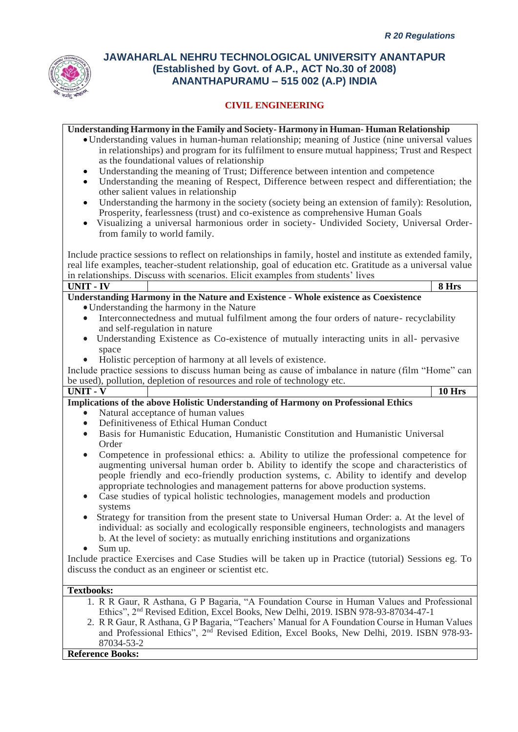

## **CIVIL ENGINEERING**

|                               | <b>Understanding Harmony in the Family and Society-Harmony in Human-Human Relationship</b>                |  |
|-------------------------------|-----------------------------------------------------------------------------------------------------------|--|
|                               | • Understanding values in human-human relationship; meaning of Justice (nine universal values             |  |
|                               | in relationships) and program for its fulfilment to ensure mutual happiness; Trust and Respect            |  |
|                               | as the foundational values of relationship                                                                |  |
| $\bullet$                     | Understanding the meaning of Trust; Difference between intention and competence                           |  |
| $\bullet$                     | Understanding the meaning of Respect, Difference between respect and differentiation; the                 |  |
|                               | other salient values in relationship                                                                      |  |
| $\bullet$                     | Understanding the harmony in the society (society being an extension of family): Resolution,              |  |
|                               | Prosperity, fearlessness (trust) and co-existence as comprehensive Human Goals                            |  |
|                               | Visualizing a universal harmonious order in society- Undivided Society, Universal Order-                  |  |
| from family to world family.  |                                                                                                           |  |
|                               |                                                                                                           |  |
|                               | Include practice sessions to reflect on relationships in family, hostel and institute as extended family, |  |
|                               | real life examples, teacher-student relationship, goal of education etc. Gratitude as a universal value   |  |
|                               | in relationships. Discuss with scenarios. Elicit examples from students' lives                            |  |
| <b>UNIT - IV</b>              | 8 Hrs                                                                                                     |  |
|                               | Understanding Harmony in the Nature and Existence - Whole existence as Coexistence                        |  |
|                               | • Understanding the harmony in the Nature                                                                 |  |
|                               | Interconnectedness and mutual fulfilment among the four orders of nature- recyclability                   |  |
| and self-regulation in nature |                                                                                                           |  |
| $\bullet$                     | Understanding Existence as Co-existence of mutually interacting units in all- pervasive                   |  |
| space                         |                                                                                                           |  |
|                               | Holistic perception of harmony at all levels of existence.                                                |  |
|                               | Include practice sessions to discuss human being as cause of imbalance in nature (film "Home" can         |  |
|                               | be used), pollution, depletion of resources and role of technology etc.                                   |  |
| $\overline{UNIT - V}$         | 10 Hrs                                                                                                    |  |
|                               | Implications of the above Holistic Understanding of Harmony on Professional Ethics                        |  |
|                               | Natural acceptance of human values                                                                        |  |
| $\bullet$                     | Definitiveness of Ethical Human Conduct                                                                   |  |
| $\bullet$                     | Basis for Humanistic Education, Humanistic Constitution and Humanistic Universal                          |  |
| Order                         |                                                                                                           |  |
| $\bullet$                     | Competence in professional ethics: a. Ability to utilize the professional competence for                  |  |
|                               | augmenting universal human order b. Ability to identify the scope and characteristics of                  |  |
|                               | people friendly and eco-friendly production systems, c. Ability to identify and develop                   |  |
|                               | appropriate technologies and management patterns for above production systems.                            |  |
| $\bullet$                     | Case studies of typical holistic technologies, management models and production                           |  |
| systems                       |                                                                                                           |  |
|                               | Strategy for transition from the present state to Universal Human Order: a. At the level of               |  |
|                               | individual: as socially and ecologically responsible engineers, technologists and managers                |  |
|                               | b. At the level of society: as mutually enriching institutions and organizations                          |  |
| Sum up.                       |                                                                                                           |  |
|                               | Include practice Exercises and Case Studies will be taken up in Practice (tutorial) Sessions eg. To       |  |
|                               | discuss the conduct as an engineer or scientist etc.                                                      |  |
| <b>Textbooks:</b>             |                                                                                                           |  |
|                               |                                                                                                           |  |
|                               |                                                                                                           |  |
|                               | 1. R R Gaur, R Asthana, G P Bagaria, "A Foundation Course in Human Values and Professional                |  |
|                               | Ethics", 2 <sup>nd</sup> Revised Edition, Excel Books, New Delhi, 2019. ISBN 978-93-87034-47-1            |  |
|                               | 2. R R Gaur, R Asthana, G P Bagaria, "Teachers' Manual for A Foundation Course in Human Values            |  |
| 87034-53-2                    | and Professional Ethics", 2 <sup>nd</sup> Revised Edition, Excel Books, New Delhi, 2019. ISBN 978-93-     |  |

**Reference Books:**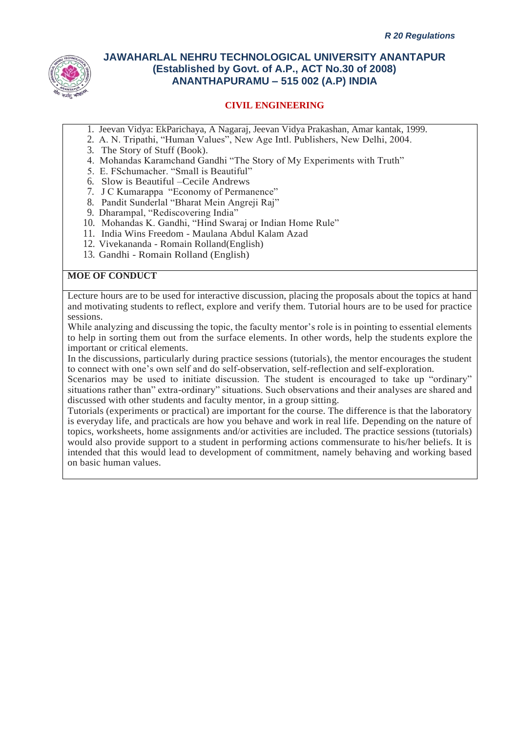

## **CIVIL ENGINEERING**

- 1. Jeevan Vidya: EkParichaya, A Nagaraj, Jeevan Vidya Prakashan, Amar kantak, 1999.
- 2. A. N. Tripathi, "Human Values", New Age Intl. Publishers, New Delhi, 2004.
- 3. The Story of Stuff (Book).
- 4. Mohandas Karamchand Gandhi "The Story of My Experiments with Truth"
- 5. E. FSchumacher. "Small is Beautiful"
- 6. Slow is Beautiful –Cecile Andrews
- 7. J C Kumarappa "Economy of Permanence"
- 8. Pandit Sunderlal "Bharat Mein Angreji Raj"
- 9. Dharampal, "Rediscovering India"
- 10. Mohandas K. Gandhi, "Hind Swaraj or Indian Home Rule"
- 11. India Wins Freedom Maulana Abdul Kalam Azad
- 12. Vivekananda Romain Rolland(English)
- 13. Gandhi Romain Rolland (English)

### **MOE OF CONDUCT**

Lecture hours are to be used for interactive discussion, placing the proposals about the topics at hand and motivating students to reflect, explore and verify them. Tutorial hours are to be used for practice sessions.

While analyzing and discussing the topic, the faculty mentor's role is in pointing to essential elements to help in sorting them out from the surface elements. In other words, help the students explore the important or critical elements.

In the discussions, particularly during practice sessions (tutorials), the mentor encourages the student to connect with one's own self and do self-observation, self-reflection and self-exploration.

Scenarios may be used to initiate discussion. The student is encouraged to take up "ordinary" situations rather than" extra-ordinary" situations. Such observations and their analyses are shared and discussed with other students and faculty mentor, in a group sitting.

Tutorials (experiments or practical) are important for the course. The difference is that the laboratory is everyday life, and practicals are how you behave and work in real life. Depending on the nature of topics, worksheets, home assignments and/or activities are included. The practice sessions (tutorials) would also provide support to a student in performing actions commensurate to his/her beliefs. It is intended that this would lead to development of commitment, namely behaving and working based on basic human values.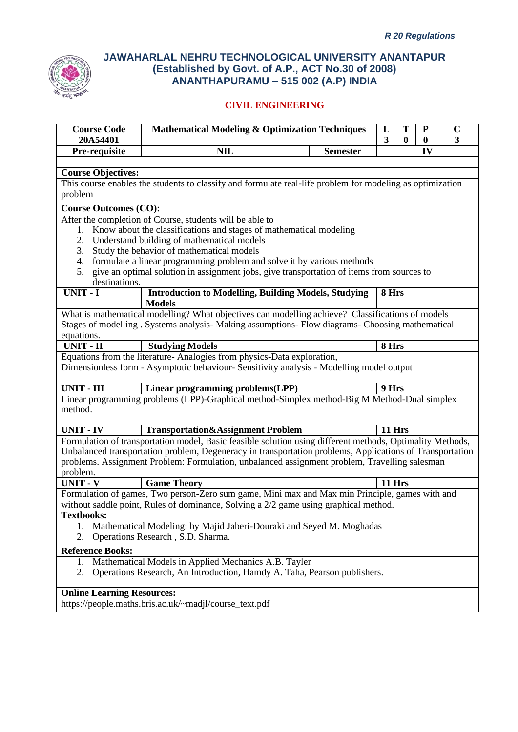

| <b>Course Code</b><br>20A54401                  | <b>Mathematical Modeling &amp; Optimization Techniques</b>                                                                                                                               |                 | L<br>3 | T        | ${\bf P}$                            | $\mathbf C$<br>3 |  |
|-------------------------------------------------|------------------------------------------------------------------------------------------------------------------------------------------------------------------------------------------|-----------------|--------|----------|--------------------------------------|------------------|--|
| Pre-requisite                                   | <b>NIL</b>                                                                                                                                                                               | <b>Semester</b> |        | $\bf{0}$ | $\bf{0}$<br>$\overline{\mathbf{IV}}$ |                  |  |
|                                                 |                                                                                                                                                                                          |                 |        |          |                                      |                  |  |
| <b>Course Objectives:</b>                       |                                                                                                                                                                                          |                 |        |          |                                      |                  |  |
|                                                 | This course enables the students to classify and formulate real-life problem for modeling as optimization                                                                                |                 |        |          |                                      |                  |  |
| problem                                         |                                                                                                                                                                                          |                 |        |          |                                      |                  |  |
| <b>Course Outcomes (CO):</b>                    |                                                                                                                                                                                          |                 |        |          |                                      |                  |  |
|                                                 | After the completion of Course, students will be able to                                                                                                                                 |                 |        |          |                                      |                  |  |
|                                                 | 1. Know about the classifications and stages of mathematical modeling                                                                                                                    |                 |        |          |                                      |                  |  |
| 2. Understand building of mathematical models   |                                                                                                                                                                                          |                 |        |          |                                      |                  |  |
| Study the behavior of mathematical models<br>3. |                                                                                                                                                                                          |                 |        |          |                                      |                  |  |
| 4.                                              | formulate a linear programming problem and solve it by various methods                                                                                                                   |                 |        |          |                                      |                  |  |
| 5.                                              | give an optimal solution in assignment jobs, give transportation of items from sources to                                                                                                |                 |        |          |                                      |                  |  |
| destinations.                                   |                                                                                                                                                                                          |                 |        |          |                                      |                  |  |
| UNIT - I                                        | <b>Introduction to Modelling, Building Models, Studying</b><br><b>Models</b>                                                                                                             |                 | 8 Hrs  |          |                                      |                  |  |
|                                                 | What is mathematical modelling? What objectives can modelling achieve? Classifications of models                                                                                         |                 |        |          |                                      |                  |  |
|                                                 | Stages of modelling . Systems analysis- Making assumptions- Flow diagrams- Choosing mathematical                                                                                         |                 |        |          |                                      |                  |  |
| equations.                                      |                                                                                                                                                                                          |                 |        |          |                                      |                  |  |
| UNIT - II                                       | <b>Studying Models</b>                                                                                                                                                                   |                 | 8 Hrs  |          |                                      |                  |  |
|                                                 | Equations from the literature- Analogies from physics-Data exploration,<br>Dimensionless form - Asymptotic behaviour- Sensitivity analysis - Modelling model output                      |                 |        |          |                                      |                  |  |
| <b>UNIT - III</b>                               | Linear programming problems(LPP)                                                                                                                                                         |                 | 9 Hrs  |          |                                      |                  |  |
| method.                                         | Linear programming problems (LPP)-Graphical method-Simplex method-Big M Method-Dual simplex                                                                                              |                 |        |          |                                      |                  |  |
| <b>UNIT - IV</b>                                | Transportation&Assignment Problem                                                                                                                                                        |                 | 11 Hrs |          |                                      |                  |  |
|                                                 | Formulation of transportation model, Basic feasible solution using different methods, Optimality Methods,                                                                                |                 |        |          |                                      |                  |  |
|                                                 | Unbalanced transportation problem, Degeneracy in transportation problems, Applications of Transportation                                                                                 |                 |        |          |                                      |                  |  |
|                                                 | problems. Assignment Problem: Formulation, unbalanced assignment problem, Travelling salesman                                                                                            |                 |        |          |                                      |                  |  |
| problem.                                        |                                                                                                                                                                                          |                 |        |          |                                      |                  |  |
| <b>UNIT - V</b>                                 | <b>Game Theory</b>                                                                                                                                                                       |                 | 11 Hrs |          |                                      |                  |  |
|                                                 | Formulation of games, Two person-Zero sum game, Mini max and Max min Principle, games with and<br>without saddle point, Rules of dominance, Solving a $2/2$ game using graphical method. |                 |        |          |                                      |                  |  |
| <b>Textbooks:</b>                               |                                                                                                                                                                                          |                 |        |          |                                      |                  |  |
| 1.<br>2.                                        | Mathematical Modeling: by Majid Jaberi-Douraki and Seyed M. Moghadas<br>Operations Research, S.D. Sharma.                                                                                |                 |        |          |                                      |                  |  |
| <b>Reference Books:</b>                         |                                                                                                                                                                                          |                 |        |          |                                      |                  |  |
| 1.                                              | Mathematical Models in Applied Mechanics A.B. Tayler                                                                                                                                     |                 |        |          |                                      |                  |  |
| 2.                                              | Operations Research, An Introduction, Hamdy A. Taha, Pearson publishers.                                                                                                                 |                 |        |          |                                      |                  |  |
| <b>Online Learning Resources:</b>               |                                                                                                                                                                                          |                 |        |          |                                      |                  |  |
|                                                 | https://people.maths.bris.ac.uk/~madjl/course_text.pdf                                                                                                                                   |                 |        |          |                                      |                  |  |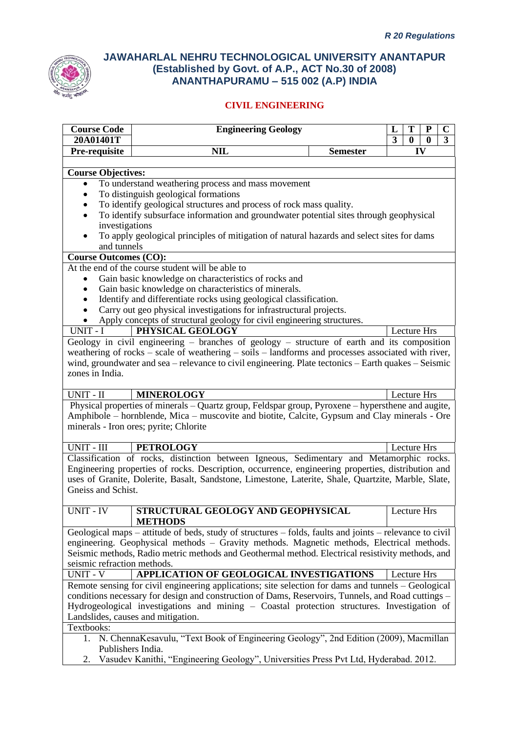

## **CIVIL ENGINEERING**

|                                        | <b>Course Code</b><br><b>Engineering Geology</b><br>C<br>L<br>3<br>20A01401T<br>3<br>$\bf{0}$<br>0      |                 |             |  |  |  |  |  |
|----------------------------------------|---------------------------------------------------------------------------------------------------------|-----------------|-------------|--|--|--|--|--|
| Pre-requisite                          | <b>NIL</b>                                                                                              | <b>Semester</b> | IV          |  |  |  |  |  |
|                                        |                                                                                                         |                 |             |  |  |  |  |  |
| <b>Course Objectives:</b>              |                                                                                                         |                 |             |  |  |  |  |  |
|                                        | To understand weathering process and mass movement                                                      |                 |             |  |  |  |  |  |
|                                        | To distinguish geological formations                                                                    |                 |             |  |  |  |  |  |
|                                        | To identify geological structures and process of rock mass quality.                                     |                 |             |  |  |  |  |  |
|                                        | To identify subsurface information and groundwater potential sites through geophysical                  |                 |             |  |  |  |  |  |
|                                        | investigations                                                                                          |                 |             |  |  |  |  |  |
| $\bullet$                              | To apply geological principles of mitigation of natural hazards and select sites for dams               |                 |             |  |  |  |  |  |
| and tunnels                            |                                                                                                         |                 |             |  |  |  |  |  |
| <b>Course Outcomes (CO):</b>           |                                                                                                         |                 |             |  |  |  |  |  |
|                                        | At the end of the course student will be able to                                                        |                 |             |  |  |  |  |  |
|                                        | Gain basic knowledge on characteristics of rocks and                                                    |                 |             |  |  |  |  |  |
|                                        | Gain basic knowledge on characteristics of minerals.                                                    |                 |             |  |  |  |  |  |
|                                        | Identify and differentiate rocks using geological classification.                                       |                 |             |  |  |  |  |  |
|                                        | Carry out geo physical investigations for infrastructural projects.                                     |                 |             |  |  |  |  |  |
|                                        | Apply concepts of structural geology for civil engineering structures.                                  |                 |             |  |  |  |  |  |
| $UNIT - I$                             | PHYSICAL GEOLOGY                                                                                        |                 | Lecture Hrs |  |  |  |  |  |
|                                        | Geology in civil engineering – branches of geology – structure of earth and its composition             |                 |             |  |  |  |  |  |
|                                        | weathering of rocks – scale of weathering – soils – landforms and processes associated with river,      |                 |             |  |  |  |  |  |
|                                        | wind, groundwater and sea – relevance to civil engineering. Plate tectonics – Earth quakes – Seismic    |                 |             |  |  |  |  |  |
| zones in India.                        |                                                                                                         |                 |             |  |  |  |  |  |
|                                        |                                                                                                         |                 |             |  |  |  |  |  |
| UNIT - II                              | <b>MINEROLOGY</b>                                                                                       |                 | Lecture Hrs |  |  |  |  |  |
|                                        | Physical properties of minerals - Quartz group, Feldspar group, Pyroxene - hypersthene and augite,      |                 |             |  |  |  |  |  |
|                                        | Amphibole – hornblende, Mica – muscovite and biotite, Calcite, Gypsum and Clay minerals - Ore           |                 |             |  |  |  |  |  |
| minerals - Iron ores; pyrite; Chlorite |                                                                                                         |                 |             |  |  |  |  |  |
|                                        |                                                                                                         |                 |             |  |  |  |  |  |
|                                        |                                                                                                         |                 |             |  |  |  |  |  |
| UNIT - III                             | <b>PETROLOGY</b>                                                                                        |                 | Lecture Hrs |  |  |  |  |  |
|                                        | Classification of rocks, distinction between Igneous, Sedimentary and Metamorphic rocks.                |                 |             |  |  |  |  |  |
|                                        | Engineering properties of rocks. Description, occurrence, engineering properties, distribution and      |                 |             |  |  |  |  |  |
|                                        | uses of Granite, Dolerite, Basalt, Sandstone, Limestone, Laterite, Shale, Quartzite, Marble, Slate,     |                 |             |  |  |  |  |  |
| Gneiss and Schist.                     |                                                                                                         |                 |             |  |  |  |  |  |
|                                        |                                                                                                         |                 |             |  |  |  |  |  |
| UNIT - IV                              | STRUCTURAL GEOLOGY AND GEOPHYSICAL                                                                      |                 | Lecture Hrs |  |  |  |  |  |
|                                        | <b>METHODS</b>                                                                                          |                 |             |  |  |  |  |  |
|                                        | Geological maps – attitude of beds, study of structures – folds, faults and joints – relevance to civil |                 |             |  |  |  |  |  |
|                                        | engineering. Geophysical methods - Gravity methods. Magnetic methods, Electrical methods.               |                 |             |  |  |  |  |  |
|                                        | Seismic methods, Radio metric methods and Geothermal method. Electrical resistivity methods, and        |                 |             |  |  |  |  |  |
| seismic refraction methods.            |                                                                                                         |                 |             |  |  |  |  |  |
| $\overline{UNIT}$ - V                  | APPLICATION OF GEOLOGICAL INVESTIGATIONS                                                                |                 | Lecture Hrs |  |  |  |  |  |
|                                        | Remote sensing for civil engineering applications; site selection for dams and tunnels – Geological     |                 |             |  |  |  |  |  |
|                                        | conditions necessary for design and construction of Dams, Reservoirs, Tunnels, and Road cuttings -      |                 |             |  |  |  |  |  |
|                                        | Hydrogeological investigations and mining - Coastal protection structures. Investigation of             |                 |             |  |  |  |  |  |
|                                        | Landslides, causes and mitigation.                                                                      |                 |             |  |  |  |  |  |
| Textbooks:                             |                                                                                                         |                 |             |  |  |  |  |  |
|                                        | 1. N. ChennaKesavulu, "Text Book of Engineering Geology", 2nd Edition (2009), Macmillan                 |                 |             |  |  |  |  |  |

2. Vasudev Kanithi, "Engineering Geology", Universities Press Pvt Ltd, Hyderabad. 2012.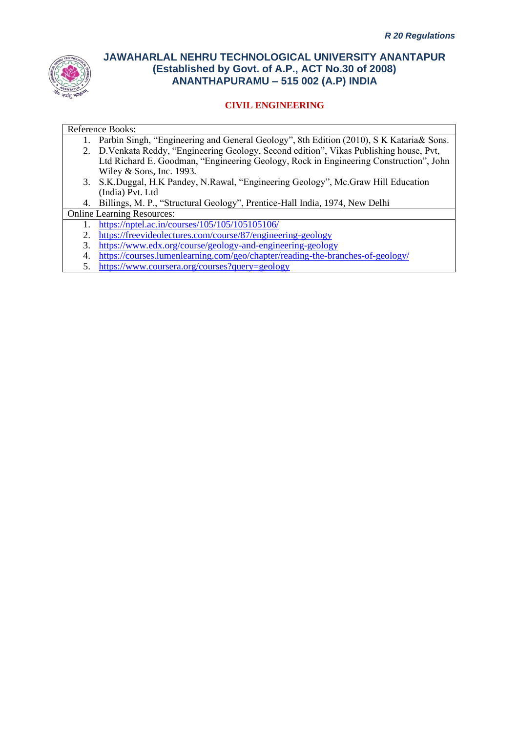

## **CIVIL ENGINEERING**

- 1. Parbin Singh, "Engineering and General Geology", 8th Edition (2010), S K Kataria& Sons.
- 2. D.Venkata Reddy, "Engineering Geology, Second edition", Vikas Publishing house, Pvt, Ltd Richard E. Goodman, "Engineering Geology, Rock in Engineering Construction", John Wiley & Sons, Inc. 1993.
- 3. S.K.Duggal, H.K Pandey, N.Rawal, "Engineering Geology", Mc.Graw Hill Education (India) Pvt. Ltd
- 4. Billings, M. P., "Structural Geology", Prentice-Hall India, 1974, New Delhi

Online Learning Resources:

- 1. <https://nptel.ac.in/courses/105/105/105105106/>
- 2. <https://freevideolectures.com/course/87/engineering-geology>
- 3. <https://www.edx.org/course/geology-and-engineering-geology>
- 4. <https://courses.lumenlearning.com/geo/chapter/reading-the-branches-of-geology/>
- 5. <https://www.coursera.org/courses?query=geology>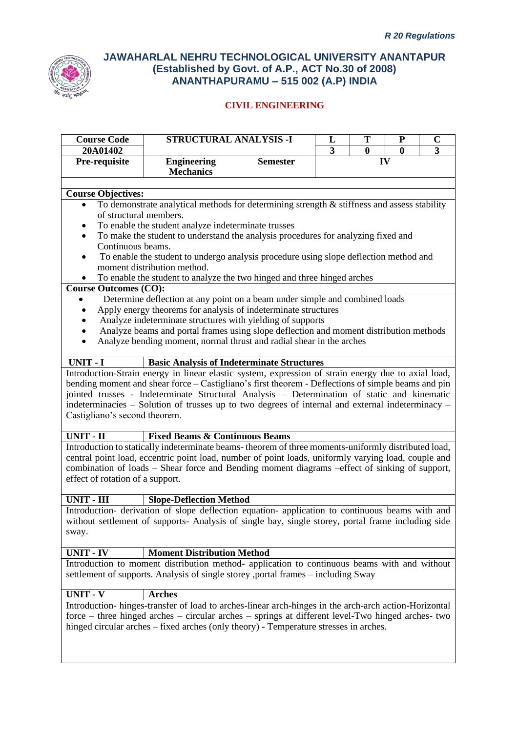

| <b>Course Code</b>               | <b>STRUCTURAL ANALYSIS -I</b>                                                                                                                                                                                                                                                                                                                                                                                |                 | L              | T        | ${\bf P}$ | $\overline{C}$ |
|----------------------------------|--------------------------------------------------------------------------------------------------------------------------------------------------------------------------------------------------------------------------------------------------------------------------------------------------------------------------------------------------------------------------------------------------------------|-----------------|----------------|----------|-----------|----------------|
| 20A01402                         |                                                                                                                                                                                                                                                                                                                                                                                                              |                 | $\overline{3}$ | $\bf{0}$ | $\bf{0}$  | 3              |
| Pre-requisite                    | <b>Engineering</b><br><b>Mechanics</b>                                                                                                                                                                                                                                                                                                                                                                       | <b>Semester</b> |                |          | IV        |                |
|                                  |                                                                                                                                                                                                                                                                                                                                                                                                              |                 |                |          |           |                |
| <b>Course Objectives:</b>        |                                                                                                                                                                                                                                                                                                                                                                                                              |                 |                |          |           |                |
|                                  | To demonstrate analytical methods for determining strength $\&$ stiffness and assess stability                                                                                                                                                                                                                                                                                                               |                 |                |          |           |                |
| of structural members.           |                                                                                                                                                                                                                                                                                                                                                                                                              |                 |                |          |           |                |
|                                  | To enable the student analyze indeterminate trusses                                                                                                                                                                                                                                                                                                                                                          |                 |                |          |           |                |
| ٠                                | To make the student to understand the analysis procedures for analyzing fixed and                                                                                                                                                                                                                                                                                                                            |                 |                |          |           |                |
| Continuous beams.                |                                                                                                                                                                                                                                                                                                                                                                                                              |                 |                |          |           |                |
| $\bullet$                        | To enable the student to undergo analysis procedure using slope deflection method and                                                                                                                                                                                                                                                                                                                        |                 |                |          |           |                |
|                                  | moment distribution method.                                                                                                                                                                                                                                                                                                                                                                                  |                 |                |          |           |                |
|                                  | To enable the student to analyze the two hinged and three hinged arches                                                                                                                                                                                                                                                                                                                                      |                 |                |          |           |                |
| <b>Course Outcomes (CO):</b>     | Determine deflection at any point on a beam under simple and combined loads                                                                                                                                                                                                                                                                                                                                  |                 |                |          |           |                |
|                                  | Apply energy theorems for analysis of indeterminate structures                                                                                                                                                                                                                                                                                                                                               |                 |                |          |           |                |
|                                  | Analyze indeterminate structures with yielding of supports                                                                                                                                                                                                                                                                                                                                                   |                 |                |          |           |                |
| ٠                                | Analyze beams and portal frames using slope deflection and moment distribution methods                                                                                                                                                                                                                                                                                                                       |                 |                |          |           |                |
| $\bullet$                        | Analyze bending moment, normal thrust and radial shear in the arches                                                                                                                                                                                                                                                                                                                                         |                 |                |          |           |                |
|                                  |                                                                                                                                                                                                                                                                                                                                                                                                              |                 |                |          |           |                |
| <b>UNIT - I</b>                  | <b>Basic Analysis of Indeterminate Structures</b>                                                                                                                                                                                                                                                                                                                                                            |                 |                |          |           |                |
| Castigliano's second theorem.    | Introduction-Strain energy in linear elastic system, expression of strain energy due to axial load,<br>bending moment and shear force – Castigliano's first theorem - Deflections of simple beams and pin<br>jointed trusses - Indeterminate Structural Analysis - Determination of static and kinematic<br>indeterminacies – Solution of trusses up to two degrees of internal and external indeterminacy – |                 |                |          |           |                |
| <b>UNIT - II</b>                 | <b>Fixed Beams &amp; Continuous Beams</b>                                                                                                                                                                                                                                                                                                                                                                    |                 |                |          |           |                |
|                                  | Introduction to statically indeterminate beams- theorem of three moments-uniformly distributed load,                                                                                                                                                                                                                                                                                                         |                 |                |          |           |                |
|                                  | central point load, eccentric point load, number of point loads, uniformly varying load, couple and                                                                                                                                                                                                                                                                                                          |                 |                |          |           |                |
|                                  | combination of loads - Shear force and Bending moment diagrams -effect of sinking of support,                                                                                                                                                                                                                                                                                                                |                 |                |          |           |                |
| effect of rotation of a support. |                                                                                                                                                                                                                                                                                                                                                                                                              |                 |                |          |           |                |
| <b>UNIT - III</b>                | <b>Slope-Deflection Method</b>                                                                                                                                                                                                                                                                                                                                                                               |                 |                |          |           |                |
|                                  | Introduction- derivation of slope deflection equation- application to continuous beams with and                                                                                                                                                                                                                                                                                                              |                 |                |          |           |                |
|                                  | without settlement of supports- Analysis of single bay, single storey, portal frame including side                                                                                                                                                                                                                                                                                                           |                 |                |          |           |                |
| sway.                            |                                                                                                                                                                                                                                                                                                                                                                                                              |                 |                |          |           |                |
|                                  |                                                                                                                                                                                                                                                                                                                                                                                                              |                 |                |          |           |                |
| UNIT - IV                        | <b>Moment Distribution Method</b>                                                                                                                                                                                                                                                                                                                                                                            |                 |                |          |           |                |
|                                  | Introduction to moment distribution method- application to continuous beams with and without<br>settlement of supports. Analysis of single storey ,portal frames - including Sway                                                                                                                                                                                                                            |                 |                |          |           |                |
| <b>UNIT - V</b>                  | <b>Arches</b>                                                                                                                                                                                                                                                                                                                                                                                                |                 |                |          |           |                |
|                                  | Introduction-hinges-transfer of load to arches-linear arch-hinges in the arch-arch action-Horizontal                                                                                                                                                                                                                                                                                                         |                 |                |          |           |                |
|                                  | force – three hinged arches – circular arches – springs at different level-Two hinged arches- two                                                                                                                                                                                                                                                                                                            |                 |                |          |           |                |
|                                  | hinged circular arches - fixed arches (only theory) - Temperature stresses in arches.                                                                                                                                                                                                                                                                                                                        |                 |                |          |           |                |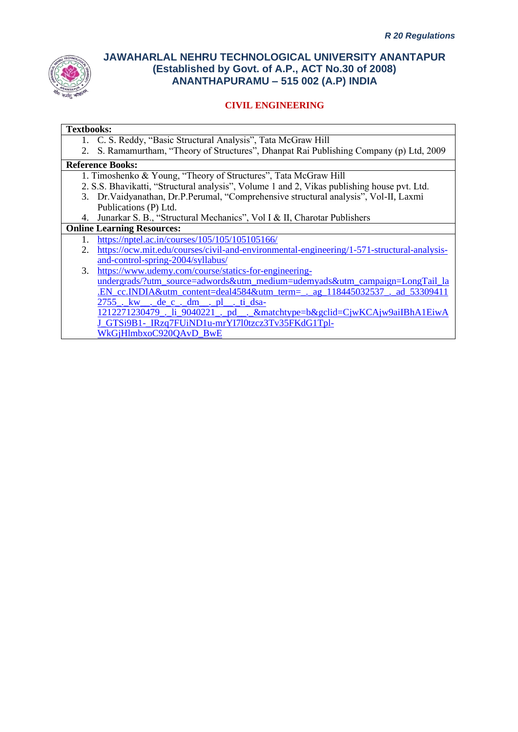

## **CIVIL ENGINEERING**

#### **Textbooks:**

- 1. C. S. Reddy, "Basic Structural Analysis", Tata McGraw Hill
- 2. S. Ramamurtham, "Theory of Structures", Dhanpat Rai Publishing Company (p) Ltd, 2009

## **Reference Books:**

- 1. Timoshenko & Young, "Theory of Structures", Tata McGraw Hill
- 2. S.S. Bhavikatti, "Structural analysis", Volume 1 and 2, Vikas publishing house pvt. Ltd.
- 3. Dr.Vaidyanathan, Dr.P.Perumal, "Comprehensive structural analysis", Vol-II, Laxmi Publications (P) Ltd.
- 4. Junarkar S. B., "Structural Mechanics", Vol I & II, Charotar Publishers

#### **Online Learning Resources:**

- 1. <https://nptel.ac.in/courses/105/105/105105166/>
	- 2. [https://ocw.mit.edu/courses/civil-and-environmental-engineering/1-571-structural-analysis](https://ocw.mit.edu/courses/civil-and-environmental-engineering/1-571-structural-analysis-and-control-spring-2004/syllabus/)[and-control-spring-2004/syllabus/](https://ocw.mit.edu/courses/civil-and-environmental-engineering/1-571-structural-analysis-and-control-spring-2004/syllabus/)

3. [https://www.udemy.com/course/statics-for-engineering](https://www.udemy.com/course/statics-for-engineering-undergrads/?utm_source=adwords&utm_medium=udemyads&utm_campaign=LongTail_la.EN_cc.INDIA&utm_content=deal4584&utm_term=_._ag_118445032537_._ad_533094112755_._kw__._de_c_._dm__._pl__._ti_dsa-1212271230479_._li_9040221_._pd__._&matchtype=b&gclid=CjwKCAjw9aiIBhA1EiwAJ_GTSi9B1-_IRzq7FUiND1u-mrYI7l0tzcz3Tv35FKdG1Tpl-WkGjHlmbxoC920QAvD_BwE)[undergrads/?utm\\_source=adwords&utm\\_medium=udemyads&utm\\_campaign=LongTail\\_la](https://www.udemy.com/course/statics-for-engineering-undergrads/?utm_source=adwords&utm_medium=udemyads&utm_campaign=LongTail_la.EN_cc.INDIA&utm_content=deal4584&utm_term=_._ag_118445032537_._ad_533094112755_._kw__._de_c_._dm__._pl__._ti_dsa-1212271230479_._li_9040221_._pd__._&matchtype=b&gclid=CjwKCAjw9aiIBhA1EiwAJ_GTSi9B1-_IRzq7FUiND1u-mrYI7l0tzcz3Tv35FKdG1Tpl-WkGjHlmbxoC920QAvD_BwE) [.EN\\_cc.INDIA&utm\\_content=deal4584&utm\\_term=\\_.\\_ag\\_118445032537\\_.\\_ad\\_53309411](https://www.udemy.com/course/statics-for-engineering-undergrads/?utm_source=adwords&utm_medium=udemyads&utm_campaign=LongTail_la.EN_cc.INDIA&utm_content=deal4584&utm_term=_._ag_118445032537_._ad_533094112755_._kw__._de_c_._dm__._pl__._ti_dsa-1212271230479_._li_9040221_._pd__._&matchtype=b&gclid=CjwKCAjw9aiIBhA1EiwAJ_GTSi9B1-_IRzq7FUiND1u-mrYI7l0tzcz3Tv35FKdG1Tpl-WkGjHlmbxoC920QAvD_BwE)  $2755.$  kw $\overline{dec.}$ dm $\overline{p}$ . ti dsa- $\frac{212271230479}{1212271230479}$ . li  $\frac{9040221}{9040221}$ . pd. . &matchtype=b&gclid=CjwKCAjw9aiIBhA1EiwA [J\\_GTSi9B1-\\_IRzq7FUiND1u-mrYI7l0tzcz3Tv35FKdG1Tpl-](https://www.udemy.com/course/statics-for-engineering-undergrads/?utm_source=adwords&utm_medium=udemyads&utm_campaign=LongTail_la.EN_cc.INDIA&utm_content=deal4584&utm_term=_._ag_118445032537_._ad_533094112755_._kw__._de_c_._dm__._pl__._ti_dsa-1212271230479_._li_9040221_._pd__._&matchtype=b&gclid=CjwKCAjw9aiIBhA1EiwAJ_GTSi9B1-_IRzq7FUiND1u-mrYI7l0tzcz3Tv35FKdG1Tpl-WkGjHlmbxoC920QAvD_BwE)WkGiHlmbxoC920OAvD\_BwE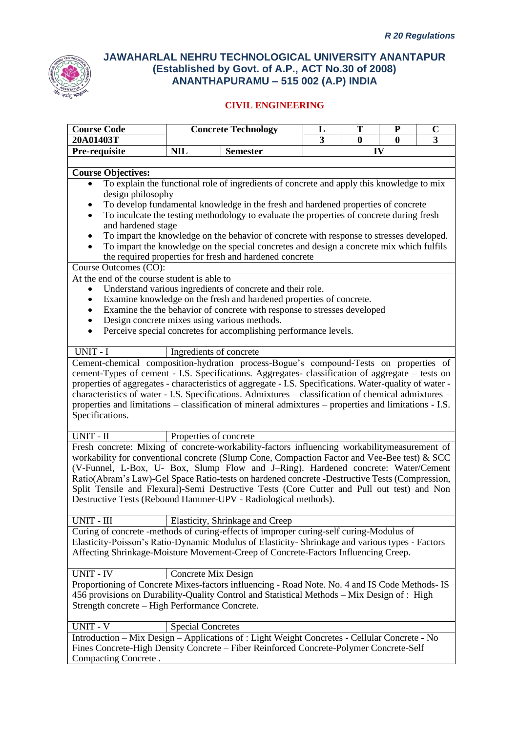

| <b>Course Code</b>                                                                                      |                          | <b>Concrete Technology</b>                                                                                                                                                    | T<br>${\bf P}$<br>L<br>$\mathbf C$ |          |              |   |  |
|---------------------------------------------------------------------------------------------------------|--------------------------|-------------------------------------------------------------------------------------------------------------------------------------------------------------------------------|------------------------------------|----------|--------------|---|--|
| 20A01403T                                                                                               |                          |                                                                                                                                                                               | 3                                  | $\bf{0}$ | $\mathbf{0}$ | 3 |  |
| Pre-requisite                                                                                           | <b>NIL</b>               | <b>Semester</b>                                                                                                                                                               |                                    |          | IV           |   |  |
| <b>Course Objectives:</b>                                                                               |                          |                                                                                                                                                                               |                                    |          |              |   |  |
|                                                                                                         |                          | To explain the functional role of ingredients of concrete and apply this knowledge to mix                                                                                     |                                    |          |              |   |  |
| design philosophy                                                                                       |                          |                                                                                                                                                                               |                                    |          |              |   |  |
|                                                                                                         |                          | To develop fundamental knowledge in the fresh and hardened properties of concrete<br>To inculcate the testing methodology to evaluate the properties of concrete during fresh |                                    |          |              |   |  |
| and hardened stage                                                                                      |                          |                                                                                                                                                                               |                                    |          |              |   |  |
|                                                                                                         |                          | To impart the knowledge on the behavior of concrete with response to stresses developed.                                                                                      |                                    |          |              |   |  |
| $\bullet$                                                                                               |                          | To impart the knowledge on the special concretes and design a concrete mix which fulfils                                                                                      |                                    |          |              |   |  |
|                                                                                                         |                          | the required properties for fresh and hardened concrete                                                                                                                       |                                    |          |              |   |  |
| Course Outcomes (CO):                                                                                   |                          |                                                                                                                                                                               |                                    |          |              |   |  |
| At the end of the course student is able to                                                             |                          |                                                                                                                                                                               |                                    |          |              |   |  |
| $\bullet$                                                                                               |                          | Understand various ingredients of concrete and their role.                                                                                                                    |                                    |          |              |   |  |
| ٠                                                                                                       |                          | Examine knowledge on the fresh and hardened properties of concrete.                                                                                                           |                                    |          |              |   |  |
| ٠                                                                                                       |                          | Examine the the behavior of concrete with response to stresses developed                                                                                                      |                                    |          |              |   |  |
| $\bullet$                                                                                               |                          | Design concrete mixes using various methods.                                                                                                                                  |                                    |          |              |   |  |
| $\bullet$                                                                                               |                          | Perceive special concretes for accomplishing performance levels.                                                                                                              |                                    |          |              |   |  |
| UNIT - I                                                                                                | Ingredients of concrete  |                                                                                                                                                                               |                                    |          |              |   |  |
| Cement-chemical composition-hydration process-Bogue's compound-Tests on properties of                   |                          |                                                                                                                                                                               |                                    |          |              |   |  |
| cement-Types of cement - I.S. Specifications. Aggregates- classification of aggregate - tests on        |                          |                                                                                                                                                                               |                                    |          |              |   |  |
| properties of aggregates - characteristics of aggregate - I.S. Specifications. Water-quality of water - |                          |                                                                                                                                                                               |                                    |          |              |   |  |
| characteristics of water - I.S. Specifications. Admixtures - classification of chemical admixtures -    |                          |                                                                                                                                                                               |                                    |          |              |   |  |
| properties and limitations – classification of mineral admixtures – properties and limitations - I.S.   |                          |                                                                                                                                                                               |                                    |          |              |   |  |
| Specifications.                                                                                         |                          |                                                                                                                                                                               |                                    |          |              |   |  |
|                                                                                                         |                          |                                                                                                                                                                               |                                    |          |              |   |  |
| UNIT - II                                                                                               | Properties of concrete   |                                                                                                                                                                               |                                    |          |              |   |  |
| Fresh concrete: Mixing of concrete-workability-factors influencing workabilitymeasurement of            |                          |                                                                                                                                                                               |                                    |          |              |   |  |
| workability for conventional concrete (Slump Cone, Compaction Factor and Vee-Bee test) & SCC            |                          |                                                                                                                                                                               |                                    |          |              |   |  |
| (V-Funnel, L-Box, U- Box, Slump Flow and J-Ring). Hardened concrete: Water/Cement                       |                          |                                                                                                                                                                               |                                    |          |              |   |  |
| Ratio(Abram's Law)-Gel Space Ratio-tests on hardened concrete -Destructive Tests (Compression,          |                          |                                                                                                                                                                               |                                    |          |              |   |  |
| Split Tensile and Flexural)-Semi Destructive Tests (Core Cutter and Pull out test) and Non              |                          |                                                                                                                                                                               |                                    |          |              |   |  |
| Destructive Tests (Rebound Hammer-UPV - Radiological methods).                                          |                          |                                                                                                                                                                               |                                    |          |              |   |  |
| <b>UNIT - III</b>                                                                                       |                          | Elasticity, Shrinkage and Creep                                                                                                                                               |                                    |          |              |   |  |
| Curing of concrete -methods of curing-effects of improper curing-self curing-Modulus of                 |                          |                                                                                                                                                                               |                                    |          |              |   |  |
| Elasticity-Poisson's Ratio-Dynamic Modulus of Elasticity-Shrinkage and various types - Factors          |                          |                                                                                                                                                                               |                                    |          |              |   |  |
| Affecting Shrinkage-Moisture Movement-Creep of Concrete-Factors Influencing Creep.                      |                          |                                                                                                                                                                               |                                    |          |              |   |  |
|                                                                                                         |                          |                                                                                                                                                                               |                                    |          |              |   |  |
| <b>UNIT - IV</b>                                                                                        | Concrete Mix Design      |                                                                                                                                                                               |                                    |          |              |   |  |
| Proportioning of Concrete Mixes-factors influencing - Road Note. No. 4 and IS Code Methods- IS          |                          |                                                                                                                                                                               |                                    |          |              |   |  |
| 456 provisions on Durability-Quality Control and Statistical Methods – Mix Design of : High             |                          |                                                                                                                                                                               |                                    |          |              |   |  |
| Strength concrete - High Performance Concrete.                                                          |                          |                                                                                                                                                                               |                                    |          |              |   |  |
| UNIT - V                                                                                                | <b>Special Concretes</b> |                                                                                                                                                                               |                                    |          |              |   |  |
| Introduction - Mix Design - Applications of : Light Weight Concretes - Cellular Concrete - No           |                          |                                                                                                                                                                               |                                    |          |              |   |  |
| Fines Concrete-High Density Concrete - Fiber Reinforced Concrete-Polymer Concrete-Self                  |                          |                                                                                                                                                                               |                                    |          |              |   |  |
| Compacting Concrete.                                                                                    |                          |                                                                                                                                                                               |                                    |          |              |   |  |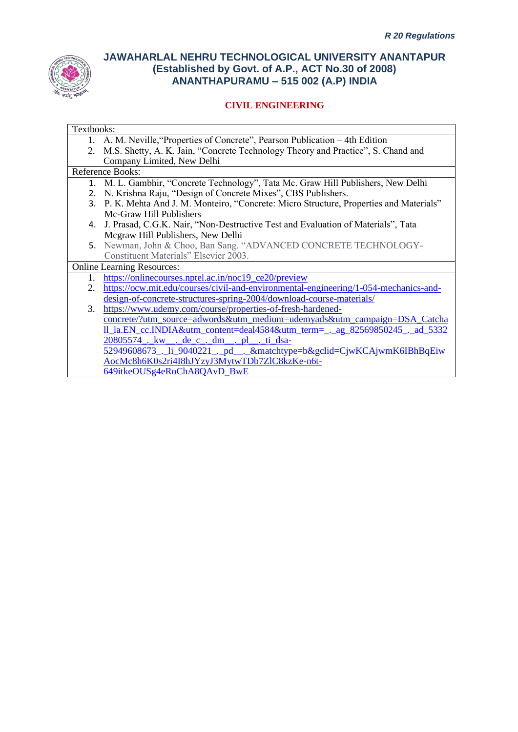

| Textbooks: |                                                                                            |
|------------|--------------------------------------------------------------------------------------------|
|            | 1. A. M. Neville, "Properties of Concrete", Pearson Publication – 4th Edition              |
|            | 2. M.S. Shetty, A. K. Jain, "Concrete Technology Theory and Practice", S. Chand and        |
|            | Company Limited, New Delhi                                                                 |
|            | <b>Reference Books:</b>                                                                    |
|            | 1. M. L. Gambhir, "Concrete Technology", Tata Mc. Graw Hill Publishers, New Delhi          |
|            | 2. N. Krishna Raju, "Design of Concrete Mixes", CBS Publishers.                            |
|            | 3. P. K. Mehta And J. M. Monteiro, "Concrete: Micro Structure, Properties and Materials"   |
|            | Mc-Graw Hill Publishers                                                                    |
|            | 4. J. Prasad, C.G.K. Nair, "Non-Destructive Test and Evaluation of Materials", Tata        |
|            | Mcgraw Hill Publishers, New Delhi                                                          |
|            | 5. Newman, John & Choo, Ban Sang. "ADVANCED CONCRETE TECHNOLOGY-                           |
|            | Constituent Materials" Elsevier 2003.                                                      |
|            | <b>Online Learning Resources:</b>                                                          |
| $1_{-}$    | https://onlinecourses.nptel.ac.in/noc19 ce20/preview                                       |
| 2.         | https://ocw.mit.edu/courses/civil-and-environmental-engineering/1-054-mechanics-and-       |
|            | design-of-concrete-structures-spring-2004/download-course-materials/                       |
| 3.         | https://www.udemy.com/course/properties-of-fresh-hardened-                                 |
|            | concrete/?utm_source=adwords&utm_medium=udemyads&utm_campaign=DSA_Catcha                   |
|            | <u>Il la.EN cc.INDIA&amp;utm content=deal4584&amp;utm term= . ag 82569850245 . ad 5332</u> |
|            | 20805574. kw. de c. dm. pl. i dsa-                                                         |
|            | 52949608673 li 9040221 bd . & matchtype=b&gclid=CjwKCAjwmK6IBhBqEiw                        |
|            | AocMc8h6K0s2ri4I8hJYzyJ3MytwTDb7ZlC8kzKe-n6t-                                              |
|            | 649itkeOUSg4eRoChA8QAvD_BwE                                                                |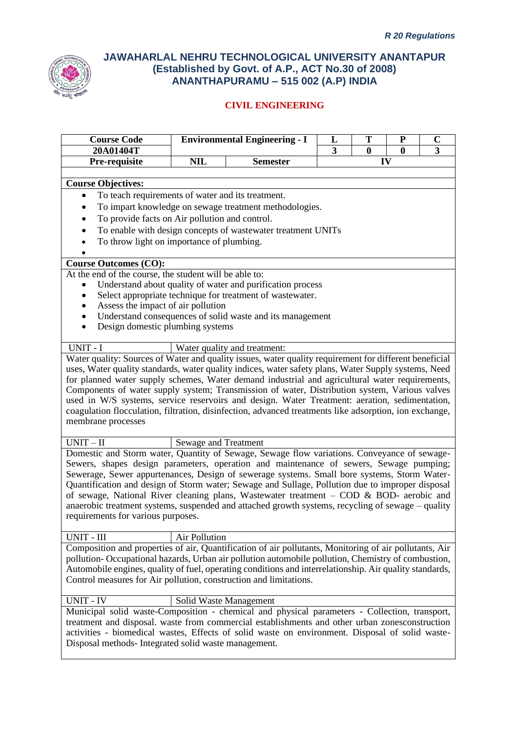

| <b>Course Code</b>                                                                                                                                                                          |                                           | <b>Environmental Engineering - I</b>                         | L              | T        | ${\bf P}$        | $\mathbf C$ |
|---------------------------------------------------------------------------------------------------------------------------------------------------------------------------------------------|-------------------------------------------|--------------------------------------------------------------|----------------|----------|------------------|-------------|
| 20A01404T                                                                                                                                                                                   |                                           |                                                              | $\overline{3}$ | $\bf{0}$ | $\boldsymbol{0}$ | 3           |
| Pre-requisite                                                                                                                                                                               | <b>NIL</b>                                | <b>Semester</b>                                              |                | IV       |                  |             |
| <b>Course Objectives:</b>                                                                                                                                                                   |                                           |                                                              |                |          |                  |             |
| To teach requirements of water and its treatment.<br>$\bullet$                                                                                                                              |                                           |                                                              |                |          |                  |             |
| $\bullet$                                                                                                                                                                                   |                                           | To impart knowledge on sewage treatment methodologies.       |                |          |                  |             |
| To provide facts on Air pollution and control.<br>٠                                                                                                                                         |                                           |                                                              |                |          |                  |             |
| ٠                                                                                                                                                                                           |                                           | To enable with design concepts of wastewater treatment UNITs |                |          |                  |             |
|                                                                                                                                                                                             | To throw light on importance of plumbing. |                                                              |                |          |                  |             |
|                                                                                                                                                                                             |                                           |                                                              |                |          |                  |             |
| <b>Course Outcomes (CO):</b>                                                                                                                                                                |                                           |                                                              |                |          |                  |             |
| At the end of the course, the student will be able to:                                                                                                                                      |                                           |                                                              |                |          |                  |             |
|                                                                                                                                                                                             |                                           | Understand about quality of water and purification process   |                |          |                  |             |
| $\bullet$                                                                                                                                                                                   |                                           | Select appropriate technique for treatment of wastewater.    |                |          |                  |             |
| Assess the impact of air pollution                                                                                                                                                          |                                           |                                                              |                |          |                  |             |
|                                                                                                                                                                                             |                                           | Understand consequences of solid waste and its management    |                |          |                  |             |
| Design domestic plumbing systems<br>$\bullet$                                                                                                                                               |                                           |                                                              |                |          |                  |             |
| UNIT - I                                                                                                                                                                                    |                                           | Water quality and treatment:                                 |                |          |                  |             |
| Water quality: Sources of Water and quality issues, water quality requirement for different beneficial                                                                                      |                                           |                                                              |                |          |                  |             |
| uses, Water quality standards, water quality indices, water safety plans, Water Supply systems, Need                                                                                        |                                           |                                                              |                |          |                  |             |
| for planned water supply schemes, Water demand industrial and agricultural water requirements,                                                                                              |                                           |                                                              |                |          |                  |             |
| Components of water supply system; Transmission of water, Distribution system, Various valves                                                                                               |                                           |                                                              |                |          |                  |             |
| used in W/S systems, service reservoirs and design. Water Treatment: aeration, sedimentation,                                                                                               |                                           |                                                              |                |          |                  |             |
| coagulation flocculation, filtration, disinfection, advanced treatments like adsorption, ion exchange,                                                                                      |                                           |                                                              |                |          |                  |             |
| membrane processes                                                                                                                                                                          |                                           |                                                              |                |          |                  |             |
| $UNIT-II$                                                                                                                                                                                   | Sewage and Treatment                      |                                                              |                |          |                  |             |
| Domestic and Storm water, Quantity of Sewage, Sewage flow variations. Conveyance of sewage-                                                                                                 |                                           |                                                              |                |          |                  |             |
| Sewers, shapes design parameters, operation and maintenance of sewers, Sewage pumping;                                                                                                      |                                           |                                                              |                |          |                  |             |
| Sewerage, Sewer appurtenances, Design of sewerage systems. Small bore systems, Storm Water-                                                                                                 |                                           |                                                              |                |          |                  |             |
| Quantification and design of Storm water; Sewage and Sullage, Pollution due to improper disposal<br>of sewage, National River cleaning plans, Wastewater treatment - COD & BOD- aerobic and |                                           |                                                              |                |          |                  |             |
| anaerobic treatment systems, suspended and attached growth systems, recycling of sewage – quality                                                                                           |                                           |                                                              |                |          |                  |             |
| requirements for various purposes.                                                                                                                                                          |                                           |                                                              |                |          |                  |             |
|                                                                                                                                                                                             |                                           |                                                              |                |          |                  |             |
| UNIT - III                                                                                                                                                                                  | Air Pollution                             |                                                              |                |          |                  |             |
| Composition and properties of air, Quantification of air pollutants, Monitoring of air pollutants, Air                                                                                      |                                           |                                                              |                |          |                  |             |
| pollution-Occupational hazards, Urban air pollution automobile pollution, Chemistry of combustion,                                                                                          |                                           |                                                              |                |          |                  |             |
| Automobile engines, quality of fuel, operating conditions and interrelationship. Air quality standards,                                                                                     |                                           |                                                              |                |          |                  |             |
| Control measures for Air pollution, construction and limitations.                                                                                                                           |                                           |                                                              |                |          |                  |             |
| <b>UNIT - IV</b>                                                                                                                                                                            |                                           | Solid Waste Management                                       |                |          |                  |             |
| Municipal solid waste-Composition - chemical and physical parameters - Collection, transport,                                                                                               |                                           |                                                              |                |          |                  |             |
| treatment and disposal. waste from commercial establishments and other urban zonesconstruction                                                                                              |                                           |                                                              |                |          |                  |             |
| activities - biomedical wastes, Effects of solid waste on environment. Disposal of solid waste-                                                                                             |                                           |                                                              |                |          |                  |             |
| Disposal methods- Integrated solid waste management.                                                                                                                                        |                                           |                                                              |                |          |                  |             |
|                                                                                                                                                                                             |                                           |                                                              |                |          |                  |             |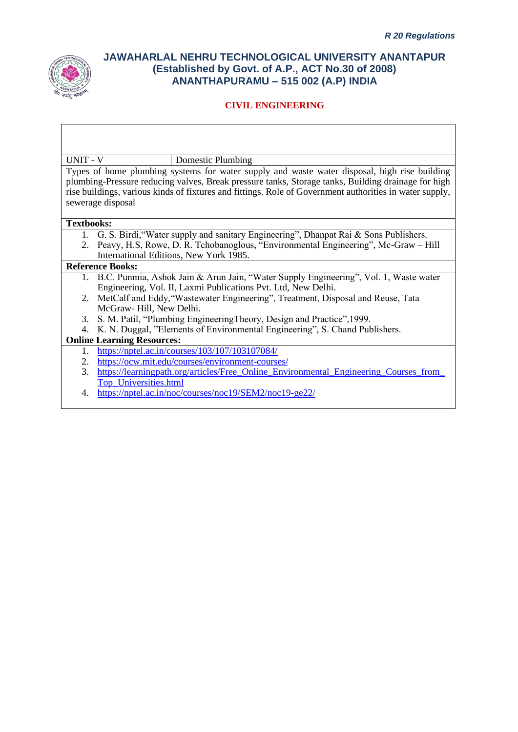

## **CIVIL ENGINEERING**

UNIT - V Domestic Plumbing

Types of home plumbing systems for water supply and waste water disposal, high rise building plumbing-Pressure reducing valves, Break pressure tanks, Storage tanks, Building drainage for high rise buildings, various kinds of fixtures and fittings. Role of Government authorities in water supply, sewerage disposal

#### **Textbooks:**

- 1. G. S. Birdi,"Water supply and sanitary Engineering", Dhanpat Rai & Sons Publishers.
- 2. Peavy, H.S, Rowe, D. R. Tchobanoglous, "Environmental Engineering", Mc-Graw Hill International Editions, New York 1985.

#### **Reference Books:**

- 1. B.C. Punmia, Ashok Jain & Arun Jain, "Water Supply Engineering", Vol. 1, Waste water Engineering, Vol. II, Laxmi Publications Pvt. Ltd, New Delhi.
- 2. MetCalf and Eddy,"Wastewater Engineering", Treatment, Disposal and Reuse, Tata McGraw- Hill, New Delhi.
- 3. S. M. Patil, "Plumbing EngineeringTheory, Design and Practice",1999.
- 4. K. N. Duggal, "Elements of Environmental Engineering", S. Chand Publishers.

#### **Online Learning Resources:**

- 1. <https://nptel.ac.in/courses/103/107/103107084/>
- 2. <https://ocw.mit.edu/courses/environment-courses/>
- 3. https://learningpath.org/articles/Free\_Online\_Environmental\_Engineering\_Courses\_from [Top\\_Universities.html](https://learningpath.org/articles/Free_Online_Environmental_Engineering_Courses_from_Top_Universities.html)
- 4. <https://nptel.ac.in/noc/courses/noc19/SEM2/noc19-ge22/>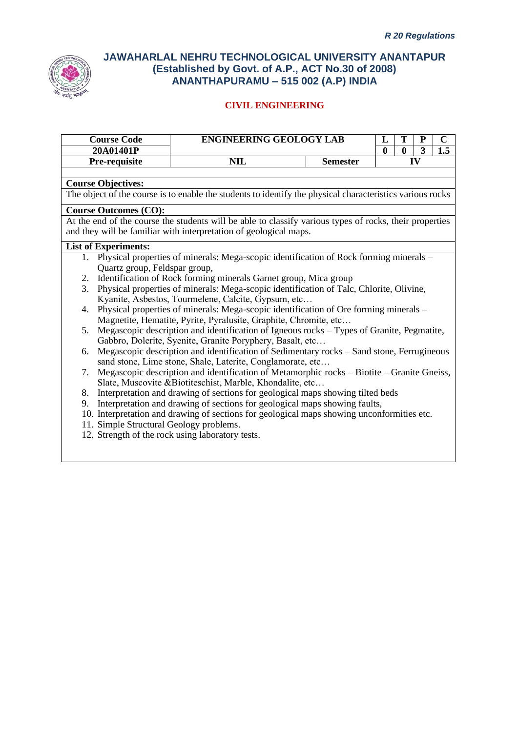

|    | <b>Course Code</b>                      | <b>ENGINEERING GEOLOGY LAB</b><br>T<br>L<br>${\bf P}$                                                     |                 |          |                  | $\mathbf C$ |     |
|----|-----------------------------------------|-----------------------------------------------------------------------------------------------------------|-----------------|----------|------------------|-------------|-----|
|    | 20A01401P                               |                                                                                                           |                 | $\bf{0}$ | $\boldsymbol{0}$ | 3           | 1.5 |
|    | Pre-requisite                           | <b>NIL</b>                                                                                                | <b>Semester</b> |          |                  | IV          |     |
|    |                                         |                                                                                                           |                 |          |                  |             |     |
|    | <b>Course Objectives:</b>               |                                                                                                           |                 |          |                  |             |     |
|    |                                         | The object of the course is to enable the students to identify the physical characteristics various rocks |                 |          |                  |             |     |
|    | <b>Course Outcomes (CO):</b>            |                                                                                                           |                 |          |                  |             |     |
|    |                                         | At the end of the course the students will be able to classify various types of rocks, their properties   |                 |          |                  |             |     |
|    |                                         | and they will be familiar with interpretation of geological maps.                                         |                 |          |                  |             |     |
|    | <b>List of Experiments:</b>             |                                                                                                           |                 |          |                  |             |     |
|    |                                         | 1. Physical properties of minerals: Mega-scopic identification of Rock forming minerals –                 |                 |          |                  |             |     |
|    | Quartz group, Feldspar group,           |                                                                                                           |                 |          |                  |             |     |
| 2. |                                         | Identification of Rock forming minerals Garnet group, Mica group                                          |                 |          |                  |             |     |
| 3. |                                         | Physical properties of minerals: Mega-scopic identification of Talc, Chlorite, Olivine,                   |                 |          |                  |             |     |
|    |                                         | Kyanite, Asbestos, Tourmelene, Calcite, Gypsum, etc                                                       |                 |          |                  |             |     |
|    |                                         | 4. Physical properties of minerals: Mega-scopic identification of Ore forming minerals -                  |                 |          |                  |             |     |
|    |                                         | Magnetite, Hematite, Pyrite, Pyralusite, Graphite, Chromite, etc                                          |                 |          |                  |             |     |
| 5. |                                         | Megascopic description and identification of Igneous rocks – Types of Granite, Pegmatite,                 |                 |          |                  |             |     |
|    |                                         | Gabbro, Dolerite, Syenite, Granite Poryphery, Basalt, etc                                                 |                 |          |                  |             |     |
| 6. |                                         | Megascopic description and identification of Sedimentary rocks – Sand stone, Ferrugineous                 |                 |          |                  |             |     |
|    |                                         | sand stone, Lime stone, Shale, Laterite, Conglamorate, etc                                                |                 |          |                  |             |     |
| 7. |                                         | Megascopic description and identification of Metamorphic rocks – Biotite – Granite Gneiss,                |                 |          |                  |             |     |
|    |                                         | Slate, Muscovite & Biotiteschist, Marble, Khondalite, etc                                                 |                 |          |                  |             |     |
|    |                                         | 8. Interpretation and drawing of sections for geological maps showing tilted beds                         |                 |          |                  |             |     |
|    |                                         | 9. Interpretation and drawing of sections for geological maps showing faults,                             |                 |          |                  |             |     |
|    |                                         | 10. Interpretation and drawing of sections for geological maps showing unconformities etc.                |                 |          |                  |             |     |
|    | 11. Simple Structural Geology problems. |                                                                                                           |                 |          |                  |             |     |
|    |                                         | 12. Strength of the rock using laboratory tests.                                                          |                 |          |                  |             |     |
|    |                                         |                                                                                                           |                 |          |                  |             |     |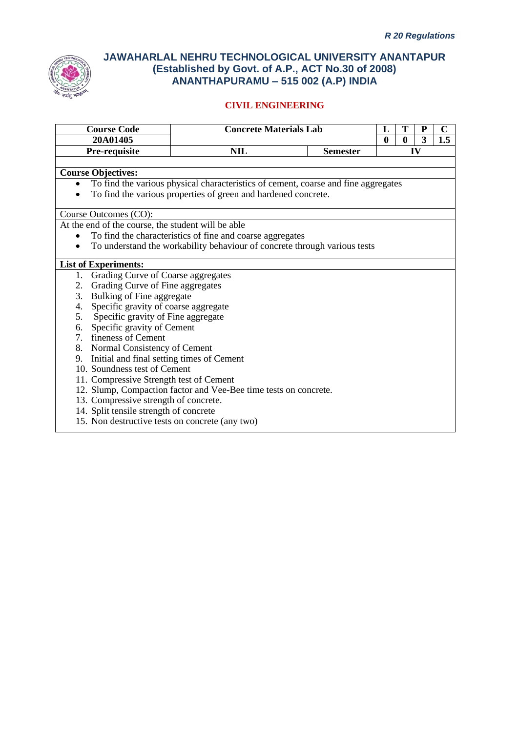

| <b>Course Code</b>                                 | <b>Concrete Materials Lab</b>                                                      |                 | L            | Т            | ${\bf P}$    | $\overline{\mathbf{C}}$ |
|----------------------------------------------------|------------------------------------------------------------------------------------|-----------------|--------------|--------------|--------------|-------------------------|
| 20A01405                                           |                                                                                    |                 | $\mathbf{0}$ | $\mathbf{0}$ | $\mathbf{3}$ | 1.5                     |
| Pre-requisite                                      | <b>NIL</b>                                                                         | <b>Semester</b> |              |              | $\bf{IV}$    |                         |
|                                                    |                                                                                    |                 |              |              |              |                         |
| <b>Course Objectives:</b>                          |                                                                                    |                 |              |              |              |                         |
|                                                    | To find the various physical characteristics of cement, coarse and fine aggregates |                 |              |              |              |                         |
|                                                    | To find the various properties of green and hardened concrete.                     |                 |              |              |              |                         |
|                                                    |                                                                                    |                 |              |              |              |                         |
| Course Outcomes (CO):                              |                                                                                    |                 |              |              |              |                         |
| At the end of the course, the student will be able |                                                                                    |                 |              |              |              |                         |
|                                                    | To find the characteristics of fine and coarse aggregates                          |                 |              |              |              |                         |
| ٠                                                  | To understand the workability behaviour of concrete through various tests          |                 |              |              |              |                         |
| <b>List of Experiments:</b>                        |                                                                                    |                 |              |              |              |                         |
| Grading Curve of Coarse aggregates<br>1.           |                                                                                    |                 |              |              |              |                         |
| Grading Curve of Fine aggregates<br>2.             |                                                                                    |                 |              |              |              |                         |
| Bulking of Fine aggregate<br>3.                    |                                                                                    |                 |              |              |              |                         |
| Specific gravity of coarse aggregate<br>4.         |                                                                                    |                 |              |              |              |                         |
| 5. Specific gravity of Fine aggregate              |                                                                                    |                 |              |              |              |                         |
| 6. Specific gravity of Cement                      |                                                                                    |                 |              |              |              |                         |
| 7. fineness of Cement                              |                                                                                    |                 |              |              |              |                         |
| 8. Normal Consistency of Cement                    |                                                                                    |                 |              |              |              |                         |
| 9. Initial and final setting times of Cement       |                                                                                    |                 |              |              |              |                         |
| 10. Soundness test of Cement                       |                                                                                    |                 |              |              |              |                         |
| 11. Compressive Strength test of Cement            |                                                                                    |                 |              |              |              |                         |
|                                                    | 12. Slump, Compaction factor and Vee-Bee time tests on concrete.                   |                 |              |              |              |                         |
| 13. Compressive strength of concrete.              |                                                                                    |                 |              |              |              |                         |
| 14. Split tensile strength of concrete             |                                                                                    |                 |              |              |              |                         |
| 15. Non destructive tests on concrete (any two)    |                                                                                    |                 |              |              |              |                         |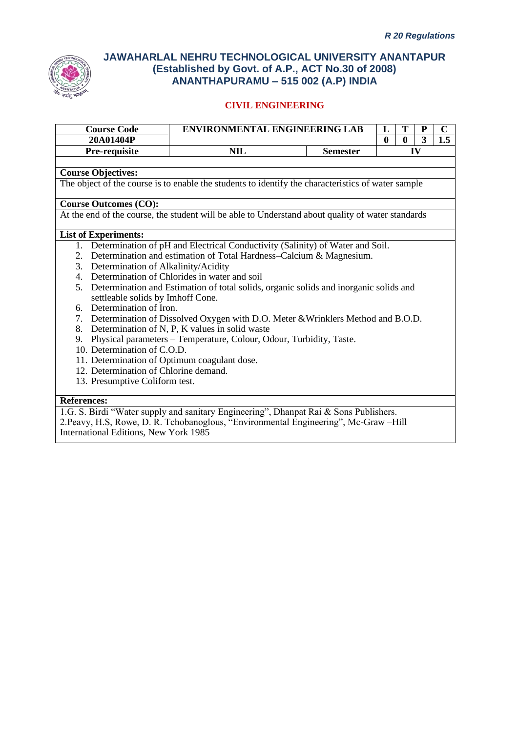

## **CIVIL ENGINEERING**

| <b>Course Code</b>                           | <b>ENVIRONMENTAL ENGINEERING LAB</b>                                                               |                 | L            | T        | ${\bf P}$ | $\mathbf C$ |
|----------------------------------------------|----------------------------------------------------------------------------------------------------|-----------------|--------------|----------|-----------|-------------|
| 20A01404P                                    |                                                                                                    |                 | $\mathbf{0}$ | $\bf{0}$ | 3         | 1.5         |
| Pre-requisite                                | <b>NIL</b>                                                                                         | <b>Semester</b> |              |          | IV        |             |
|                                              |                                                                                                    |                 |              |          |           |             |
| <b>Course Objectives:</b>                    |                                                                                                    |                 |              |          |           |             |
|                                              | The object of the course is to enable the students to identify the characteristics of water sample |                 |              |          |           |             |
| <b>Course Outcomes (CO):</b>                 |                                                                                                    |                 |              |          |           |             |
|                                              | At the end of the course, the student will be able to Understand about quality of water standards  |                 |              |          |           |             |
|                                              |                                                                                                    |                 |              |          |           |             |
| <b>List of Experiments:</b>                  |                                                                                                    |                 |              |          |           |             |
|                                              | 1. Determination of pH and Electrical Conductivity (Salinity) of Water and Soil.                   |                 |              |          |           |             |
| 2.                                           | Determination and estimation of Total Hardness–Calcium & Magnesium.                                |                 |              |          |           |             |
| 3. Determination of Alkalinity/Acidity       |                                                                                                    |                 |              |          |           |             |
|                                              | 4. Determination of Chlorides in water and soil                                                    |                 |              |          |           |             |
| settleable solids by Imhoff Cone.            | 5. Determination and Estimation of total solids, organic solids and inorganic solids and           |                 |              |          |           |             |
| 6. Determination of Iron.                    |                                                                                                    |                 |              |          |           |             |
|                                              | 7. Determination of Dissolved Oxygen with D.O. Meter & Wrinklers Method and B.O.D.                 |                 |              |          |           |             |
|                                              | 8. Determination of N, P, K values in solid waste                                                  |                 |              |          |           |             |
| 9.                                           | Physical parameters - Temperature, Colour, Odour, Turbidity, Taste.                                |                 |              |          |           |             |
| 10. Determination of C.O.D.                  |                                                                                                    |                 |              |          |           |             |
| 11. Determination of Optimum coagulant dose. |                                                                                                    |                 |              |          |           |             |
| 12. Determination of Chlorine demand.        |                                                                                                    |                 |              |          |           |             |
| 13. Presumptive Coliform test.               |                                                                                                    |                 |              |          |           |             |
|                                              |                                                                                                    |                 |              |          |           |             |
| <b>References:</b>                           |                                                                                                    |                 |              |          |           |             |

1.G. S. Birdi "Water supply and sanitary Engineering", Dhanpat Rai & Sons Publishers. 2.Peavy, H.S, Rowe, D. R. Tchobanoglous, "Environmental Engineering", Mc-Graw –Hill International Editions, New York 1985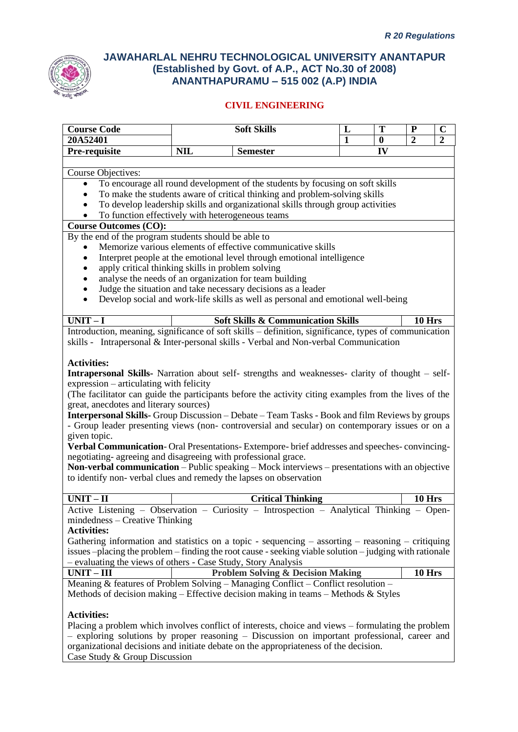

## **CIVIL ENGINEERING**

| <b>Course Code</b>                                                                                               | <b>Soft Skills</b>                                                                                                                                                                                                                                                                                                                                                                                                                                                                                                                                                                                                                                                           | L            | T            | ${\bf P}$     | $\mathbf C$ |
|------------------------------------------------------------------------------------------------------------------|------------------------------------------------------------------------------------------------------------------------------------------------------------------------------------------------------------------------------------------------------------------------------------------------------------------------------------------------------------------------------------------------------------------------------------------------------------------------------------------------------------------------------------------------------------------------------------------------------------------------------------------------------------------------------|--------------|--------------|---------------|-------------|
| 20A52401                                                                                                         |                                                                                                                                                                                                                                                                                                                                                                                                                                                                                                                                                                                                                                                                              | $\mathbf{1}$ | $\mathbf{0}$ | $\mathbf{2}$  | 2           |
| Pre-requisite                                                                                                    | <b>NIL</b><br><b>Semester</b>                                                                                                                                                                                                                                                                                                                                                                                                                                                                                                                                                                                                                                                |              | IV           |               |             |
|                                                                                                                  |                                                                                                                                                                                                                                                                                                                                                                                                                                                                                                                                                                                                                                                                              |              |              |               |             |
| Course Objectives:                                                                                               |                                                                                                                                                                                                                                                                                                                                                                                                                                                                                                                                                                                                                                                                              |              |              |               |             |
| $\bullet$                                                                                                        | To encourage all round development of the students by focusing on soft skills                                                                                                                                                                                                                                                                                                                                                                                                                                                                                                                                                                                                |              |              |               |             |
|                                                                                                                  | To make the students aware of critical thinking and problem-solving skills                                                                                                                                                                                                                                                                                                                                                                                                                                                                                                                                                                                                   |              |              |               |             |
|                                                                                                                  | To develop leadership skills and organizational skills through group activities                                                                                                                                                                                                                                                                                                                                                                                                                                                                                                                                                                                              |              |              |               |             |
|                                                                                                                  | To function effectively with heterogeneous teams                                                                                                                                                                                                                                                                                                                                                                                                                                                                                                                                                                                                                             |              |              |               |             |
| <b>Course Outcomes (CO):</b>                                                                                     |                                                                                                                                                                                                                                                                                                                                                                                                                                                                                                                                                                                                                                                                              |              |              |               |             |
| By the end of the program students should be able to                                                             |                                                                                                                                                                                                                                                                                                                                                                                                                                                                                                                                                                                                                                                                              |              |              |               |             |
|                                                                                                                  | Memorize various elements of effective communicative skills                                                                                                                                                                                                                                                                                                                                                                                                                                                                                                                                                                                                                  |              |              |               |             |
|                                                                                                                  | Interpret people at the emotional level through emotional intelligence                                                                                                                                                                                                                                                                                                                                                                                                                                                                                                                                                                                                       |              |              |               |             |
|                                                                                                                  | apply critical thinking skills in problem solving                                                                                                                                                                                                                                                                                                                                                                                                                                                                                                                                                                                                                            |              |              |               |             |
|                                                                                                                  | analyse the needs of an organization for team building                                                                                                                                                                                                                                                                                                                                                                                                                                                                                                                                                                                                                       |              |              |               |             |
|                                                                                                                  | Judge the situation and take necessary decisions as a leader                                                                                                                                                                                                                                                                                                                                                                                                                                                                                                                                                                                                                 |              |              |               |             |
|                                                                                                                  | Develop social and work-life skills as well as personal and emotional well-being                                                                                                                                                                                                                                                                                                                                                                                                                                                                                                                                                                                             |              |              |               |             |
|                                                                                                                  |                                                                                                                                                                                                                                                                                                                                                                                                                                                                                                                                                                                                                                                                              |              |              |               |             |
| $UNIT-I$                                                                                                         | <b>Soft Skills &amp; Communication Skills</b>                                                                                                                                                                                                                                                                                                                                                                                                                                                                                                                                                                                                                                |              |              | <b>10 Hrs</b> |             |
|                                                                                                                  | Introduction, meaning, significance of soft skills - definition, significance, types of communication                                                                                                                                                                                                                                                                                                                                                                                                                                                                                                                                                                        |              |              |               |             |
|                                                                                                                  | skills - Intrapersonal & Inter-personal skills - Verbal and Non-verbal Communication                                                                                                                                                                                                                                                                                                                                                                                                                                                                                                                                                                                         |              |              |               |             |
| expression – articulating with felicity<br>great, anecdotes and literary sources)<br>given topic.<br>$UNIT - II$ | (The facilitator can guide the participants before the activity citing examples from the lives of the<br>Interpersonal Skills- Group Discussion - Debate - Team Tasks - Book and film Reviews by groups<br>- Group leader presenting views (non-controversial and secular) on contemporary issues or on a<br>Verbal Communication-Oral Presentations-Extempore-brief addresses and speeches-convincing-<br>negotiating- agreeing and disagreeing with professional grace.<br>Non-verbal communication - Public speaking - Mock interviews - presentations with an objective<br>to identify non-verbal clues and remedy the lapses on observation<br><b>Critical Thinking</b> |              |              | 10 Hrs        |             |
|                                                                                                                  | Active Listening - Observation - Curiosity - Introspection - Analytical Thinking - Open-                                                                                                                                                                                                                                                                                                                                                                                                                                                                                                                                                                                     |              |              |               |             |
| $mindedness - Creative Thinking$<br><b>Activities:</b>                                                           | Gathering information and statistics on a topic - sequencing $-$ assorting $-$ reasoning $-$ critiquing<br>issues -placing the problem - finding the root cause - seeking viable solution - judging with rationale<br>- evaluating the views of others - Case Study, Story Analysis                                                                                                                                                                                                                                                                                                                                                                                          |              |              |               |             |
| $UNIT - III$                                                                                                     | <b>Problem Solving &amp; Decision Making</b>                                                                                                                                                                                                                                                                                                                                                                                                                                                                                                                                                                                                                                 |              |              | 10 Hrs        |             |
|                                                                                                                  | Meaning & features of Problem Solving - Managing Conflict - Conflict resolution -                                                                                                                                                                                                                                                                                                                                                                                                                                                                                                                                                                                            |              |              |               |             |
|                                                                                                                  | Methods of decision making – Effective decision making in teams – Methods & Styles                                                                                                                                                                                                                                                                                                                                                                                                                                                                                                                                                                                           |              |              |               |             |
| <b>Activities:</b>                                                                                               | Placing a problem which involves conflict of interests, choice and views – formulating the problem<br>- exploring solutions by proper reasoning - Discussion on important professional, career and<br>organizational decisions and initiate debate on the appropriateness of the decision.                                                                                                                                                                                                                                                                                                                                                                                   |              |              |               |             |

Case Study & Group Discussion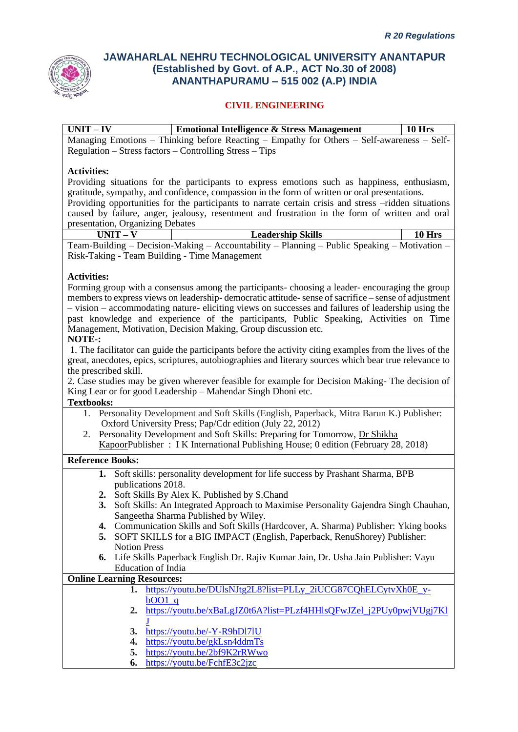

### **CIVIL ENGINEERING**

| $UNIT - IV$ | <b>Emotional Intelligence &amp; Stress Management</b>                                      | $\pm 10$ Hrs |
|-------------|--------------------------------------------------------------------------------------------|--------------|
|             | Managing Emotions – Thinking before Reacting – Empathy for Others – Self-awareness – Self- |              |
|             | $Regularion - Stress factors - Controlling Stress - Tips$                                  |              |

#### **Activities:**

Providing situations for the participants to express emotions such as happiness, enthusiasm, gratitude, sympathy, and confidence, compassion in the form of written or oral presentations. Providing opportunities for the participants to narrate certain crisis and stress –ridden situations caused by failure, anger, jealousy, resentment and frustration in the form of written and oral presentation, Organizing Debates

| UNIT – V                                      | <b>Leadership Skills</b>                                                                     | <b>10 Hrs</b> |
|-----------------------------------------------|----------------------------------------------------------------------------------------------|---------------|
|                                               | Team-Building – Decision-Making – Accountability – Planning – Public Speaking – Motivation – |               |
| Risk-Taking - Team Building - Time Management |                                                                                              |               |

#### **Activities:**

Forming group with a consensus among the participants- choosing a leader- encouraging the group members to express views on leadership- democratic attitude-sense of sacrifice – sense of adjustment – vision – accommodating nature- eliciting views on successes and failures of leadership using the past knowledge and experience of the participants, Public Speaking, Activities on Time Management, Motivation, Decision Making, Group discussion etc.

#### **NOTE-:**

1. The facilitator can guide the participants before the activity citing examples from the lives of the great, anecdotes, epics, scriptures, autobiographies and literary sources which bear true relevance to the prescribed skill.

2. Case studies may be given wherever feasible for example for Decision Making- The decision of King Lear or for good Leadership – Mahendar Singh Dhoni etc.

#### **Textbooks:**

- 1. Personality Development and Soft Skills (English, Paperback, Mitra Barun K.) Publisher: Oxford University Press; Pap/Cdr edition (July 22, 2012)
- 2. Personality Development and Soft Skills: Preparing for Tomorrow, [Dr Shikha](https://www.ikbooks.com/author-details/dr-shikhakapoor/1099)  [KapoorP](https://www.ikbooks.com/author-details/dr-shikhakapoor/1099)ublisher : I K International Publishing House; 0 edition (February 28, 2018)

#### **Reference Books:**

- **1.** Soft skills: personality development for life success by Prashant Sharma, BPB publications 2018.
- **2.** Soft Skills By Alex K. Published by S.Chand
- **3.** Soft Skills: An Integrated Approach to Maximise Personality Gajendra Singh Chauhan, Sangeetha Sharma Published by Wiley.
- **4.** Communication Skills and Soft Skills (Hardcover, A. Sharma) Publisher: Yking books
- **5.** SOFT SKILLS for a BIG IMPACT (English, Paperback, RenuShorey) Publisher: Notion Press
- **6.** Life Skills Paperback English Dr. Rajiv Kumar Jain, Dr. Usha Jain Publisher: Vayu Education of India

#### **Online Learning Resources:**

- **1.** [https://youtu.be/DUlsNJtg2L8?list=PLLy\\_2iUCG87CQhELCytvXh0E\\_y](https://youtu.be/DUlsNJtg2L8?list=PLLy_2iUCG87CQhELCytvXh0E_y-bOO1_q)[bOO1\\_q](https://youtu.be/DUlsNJtg2L8?list=PLLy_2iUCG87CQhELCytvXh0E_y-bOO1_q)
- **2.** [https://youtu.be/xBaLgJZ0t6A?list=PLzf4HHlsQFwJZel\\_j2PUy0pwjVUgj7Kl](https://youtu.be/xBaLgJZ0t6A?list=PLzf4HHlsQFwJZel_j2PUy0pwjVUgj7KlJ) [J](https://youtu.be/xBaLgJZ0t6A?list=PLzf4HHlsQFwJZel_j2PUy0pwjVUgj7KlJ)
- **3.** <https://youtu.be/-Y-R9hDl7lU>
- **4.** <https://youtu.be/gkLsn4ddmTs>
- **5.** <https://youtu.be/2bf9K2rRWwo>
- **6.** <https://youtu.be/FchfE3c2jzc>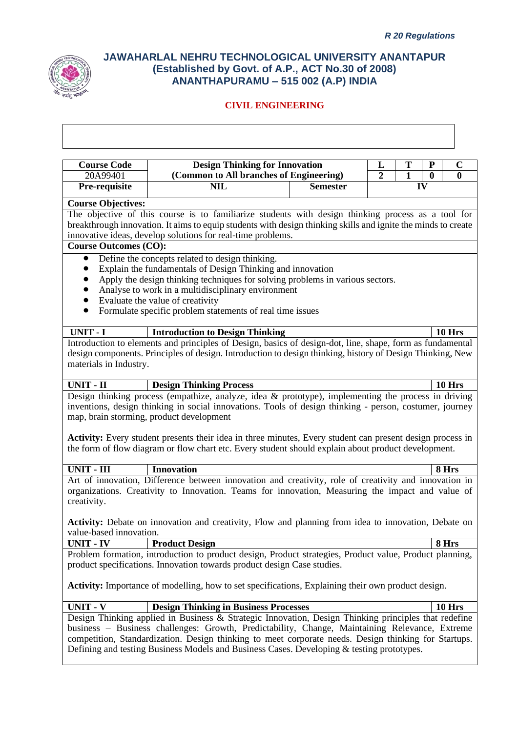

| <b>Course Code</b><br>20A99401              | <b>Design Thinking for Innovation</b><br>(Common to All branches of Engineering)                                                                                                                       |                 | L<br>$\overline{2}$ | T<br>1 | ${\bf P}$<br>$\mathbf{0}$ | $\mathbf C$<br>0 |
|---------------------------------------------|--------------------------------------------------------------------------------------------------------------------------------------------------------------------------------------------------------|-----------------|---------------------|--------|---------------------------|------------------|
| Pre-requisite                               | <b>NIL</b>                                                                                                                                                                                             | <b>Semester</b> |                     |        | IV                        |                  |
|                                             |                                                                                                                                                                                                        |                 |                     |        |                           |                  |
| <b>Course Objectives:</b>                   |                                                                                                                                                                                                        |                 |                     |        |                           |                  |
|                                             | The objective of this course is to familiarize students with design thinking process as a tool for                                                                                                     |                 |                     |        |                           |                  |
|                                             | breakthrough innovation. It aims to equip students with design thinking skills and ignite the minds to create                                                                                          |                 |                     |        |                           |                  |
|                                             | innovative ideas, develop solutions for real-time problems.                                                                                                                                            |                 |                     |        |                           |                  |
| <b>Course Outcomes (CO):</b>                |                                                                                                                                                                                                        |                 |                     |        |                           |                  |
|                                             | Define the concepts related to design thinking.                                                                                                                                                        |                 |                     |        |                           |                  |
|                                             | Explain the fundamentals of Design Thinking and innovation                                                                                                                                             |                 |                     |        |                           |                  |
|                                             | Apply the design thinking techniques for solving problems in various sectors.                                                                                                                          |                 |                     |        |                           |                  |
|                                             | Analyse to work in a multidisciplinary environment                                                                                                                                                     |                 |                     |        |                           |                  |
|                                             | Evaluate the value of creativity                                                                                                                                                                       |                 |                     |        |                           |                  |
|                                             | Formulate specific problem statements of real time issues                                                                                                                                              |                 |                     |        |                           |                  |
|                                             |                                                                                                                                                                                                        |                 |                     |        |                           |                  |
| UNIT - I                                    | <b>Introduction to Design Thinking</b>                                                                                                                                                                 |                 |                     |        |                           | 10 Hrs           |
|                                             | Introduction to elements and principles of Design, basics of design-dot, line, shape, form as fundamental                                                                                              |                 |                     |        |                           |                  |
|                                             | design components. Principles of design. Introduction to design thinking, history of Design Thinking, New                                                                                              |                 |                     |        |                           |                  |
| materials in Industry.                      |                                                                                                                                                                                                        |                 |                     |        |                           |                  |
|                                             |                                                                                                                                                                                                        |                 |                     |        |                           |                  |
|                                             |                                                                                                                                                                                                        |                 |                     |        |                           |                  |
|                                             | <b>Design Thinking Process</b>                                                                                                                                                                         |                 |                     |        |                           | <b>10 Hrs</b>    |
|                                             | Design thinking process (empathize, analyze, idea $\&$ prototype), implementing the process in driving                                                                                                 |                 |                     |        |                           |                  |
|                                             | inventions, design thinking in social innovations. Tools of design thinking - person, costumer, journey                                                                                                |                 |                     |        |                           |                  |
| <b>UNIT - II</b>                            | map, brain storming, product development                                                                                                                                                               |                 |                     |        |                           |                  |
|                                             |                                                                                                                                                                                                        |                 |                     |        |                           |                  |
|                                             | <b>Activity:</b> Every student presents their idea in three minutes, Every student can present design process in                                                                                       |                 |                     |        |                           |                  |
|                                             | the form of flow diagram or flow chart etc. Every student should explain about product development.                                                                                                    |                 |                     |        |                           |                  |
| <b>UNIT - III</b>                           | <b>Innovation</b>                                                                                                                                                                                      |                 |                     |        |                           | 8 Hrs            |
|                                             | Art of innovation, Difference between innovation and creativity, role of creativity and innovation in                                                                                                  |                 |                     |        |                           |                  |
|                                             | organizations. Creativity to Innovation. Teams for innovation, Measuring the impact and value of                                                                                                       |                 |                     |        |                           |                  |
|                                             |                                                                                                                                                                                                        |                 |                     |        |                           |                  |
| creativity.                                 |                                                                                                                                                                                                        |                 |                     |        |                           |                  |
|                                             | Activity: Debate on innovation and creativity, Flow and planning from idea to innovation, Debate on                                                                                                    |                 |                     |        |                           |                  |
|                                             |                                                                                                                                                                                                        |                 |                     |        |                           |                  |
|                                             | <b>Product Design</b>                                                                                                                                                                                  |                 |                     |        |                           | 8 Hrs            |
|                                             | Problem formation, introduction to product design, Product strategies, Product value, Product planning,                                                                                                |                 |                     |        |                           |                  |
|                                             | product specifications. Innovation towards product design Case studies.                                                                                                                                |                 |                     |        |                           |                  |
| value-based innovation.<br><b>UNIT - IV</b> |                                                                                                                                                                                                        |                 |                     |        |                           |                  |
|                                             | <b>Activity:</b> Importance of modelling, how to set specifications, Explaining their own product design.                                                                                              |                 |                     |        |                           |                  |
|                                             |                                                                                                                                                                                                        |                 |                     |        |                           |                  |
| <b>UNIT - V</b>                             | <b>Design Thinking in Business Processes</b>                                                                                                                                                           |                 |                     |        |                           | <b>10 Hrs</b>    |
|                                             | Design Thinking applied in Business & Strategic Innovation, Design Thinking principles that redefine                                                                                                   |                 |                     |        |                           |                  |
|                                             | business - Business challenges: Growth, Predictability, Change, Maintaining Relevance, Extreme<br>competition, Standardization. Design thinking to meet corporate needs. Design thinking for Startups. |                 |                     |        |                           |                  |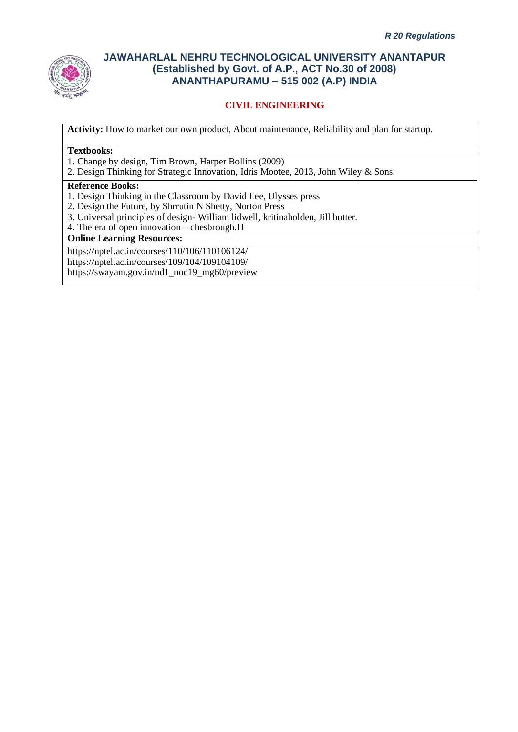

## **CIVIL ENGINEERING**

**Activity:** How to market our own product, About maintenance, Reliability and plan for startup.

#### **Textbooks:**

1. Change by design, Tim Brown, Harper Bollins (2009)

2. Design Thinking for Strategic Innovation, Idris Mootee, 2013, John Wiley & Sons.

#### **Reference Books:**

- 1. Design Thinking in the Classroom by David Lee, Ulysses press
- 2. Design the Future, by Shrrutin N Shetty, Norton Press
- 3. Universal principles of design- William lidwell, kritinaholden, Jill butter.
- 4. The era of open innovation chesbrough.H

#### **Online Learning Resources:**

https://nptel.ac.in/courses/110/106/110106124/ https://nptel.ac.in/courses/109/104/109104109/ https://swayam.gov.in/nd1\_noc19\_mg60/preview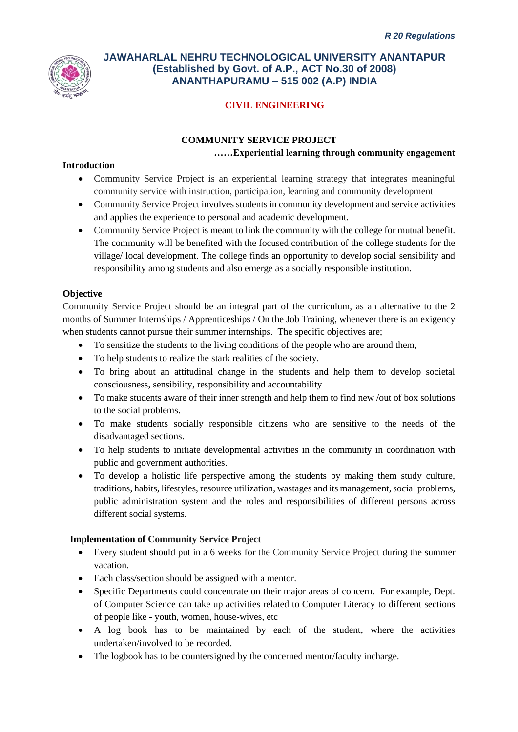

# **CIVIL ENGINEERING**

# **COMMUNITY SERVICE PROJECT ……Experiential learning through community engagement**

#### **Introduction**

- Community Service Project is an experiential learning strategy that integrates meaningful community service with instruction, participation, learning and community development
- Community Service Project involves students in community development and service activities and applies the experience to personal and academic development.
- Community Service Project is meant to link the community with the college for mutual benefit. The community will be benefited with the focused contribution of the college students for the village/ local development. The college finds an opportunity to develop social sensibility and responsibility among students and also emerge as a socially responsible institution.

### **Objective**

Community Service Project should be an integral part of the curriculum, as an alternative to the 2 months of Summer Internships / Apprenticeships / On the Job Training, whenever there is an exigency when students cannot pursue their summer internships. The specific objectives are;

- To sensitize the students to the living conditions of the people who are around them,
- To help students to realize the stark realities of the society.
- To bring about an attitudinal change in the students and help them to develop societal consciousness, sensibility, responsibility and accountability
- To make students aware of their inner strength and help them to find new /out of box solutions to the social problems.
- To make students socially responsible citizens who are sensitive to the needs of the disadvantaged sections.
- To help students to initiate developmental activities in the community in coordination with public and government authorities.
- To develop a holistic life perspective among the students by making them study culture, traditions, habits, lifestyles, resource utilization, wastages and its management, social problems, public administration system and the roles and responsibilities of different persons across different social systems.

### **Implementation of Community Service Project**

- Every student should put in a 6 weeks for the Community Service Project during the summer vacation.
- Each class/section should be assigned with a mentor.
- Specific Departments could concentrate on their major areas of concern. For example, Dept. of Computer Science can take up activities related to Computer Literacy to different sections of people like - youth, women, house-wives, etc
- A log book has to be maintained by each of the student, where the activities undertaken/involved to be recorded.
- The logbook has to be countersigned by the concerned mentor/faculty incharge.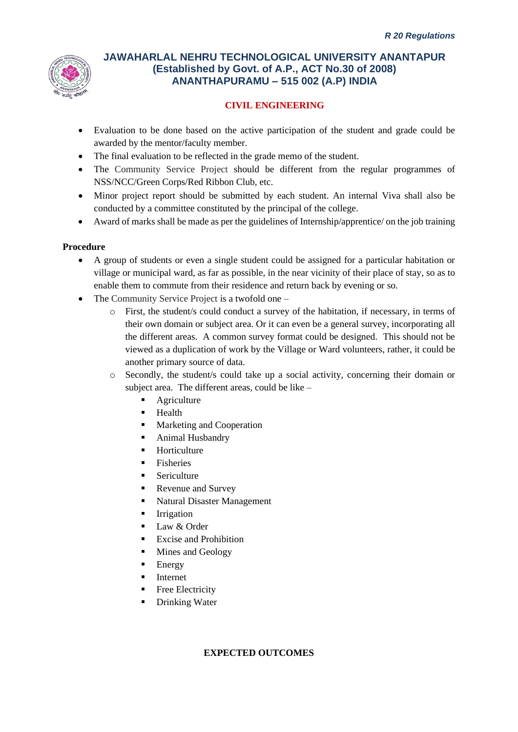

# **CIVIL ENGINEERING**

- Evaluation to be done based on the active participation of the student and grade could be awarded by the mentor/faculty member.
- The final evaluation to be reflected in the grade memo of the student.
- The Community Service Project should be different from the regular programmes of NSS/NCC/Green Corps/Red Ribbon Club, etc.
- Minor project report should be submitted by each student. An internal Viva shall also be conducted by a committee constituted by the principal of the college.
- Award of marks shall be made as per the guidelines of Internship/apprentice/ on the job training

## **Procedure**

- A group of students or even a single student could be assigned for a particular habitation or village or municipal ward, as far as possible, in the near vicinity of their place of stay, so as to enable them to commute from their residence and return back by evening or so.
- The Community Service Project is a twofold one
	- o First, the student/s could conduct a survey of the habitation, if necessary, in terms of their own domain or subject area. Or it can even be a general survey, incorporating all the different areas. A common survey format could be designed. This should not be viewed as a duplication of work by the Village or Ward volunteers, rather, it could be another primary source of data.
	- o Secondly, the student/s could take up a social activity, concerning their domain or subject area. The different areas, could be like –
		- **Agriculture**
		- **Health**
		- Marketing and Cooperation
		- Animal Husbandry
		- **Horticulture**
		- Fisheries
		- **Sericulture**
		- Revenue and Survey
		- Natural Disaster Management
		- **E** Irrigation
		- Law & Order
		- **Excise and Prohibition**
		- Mines and Geology
		- **Energy**
		- **Internet**
		- **•** Free Electricity
		- **Drinking Water**

### **EXPECTED OUTCOMES**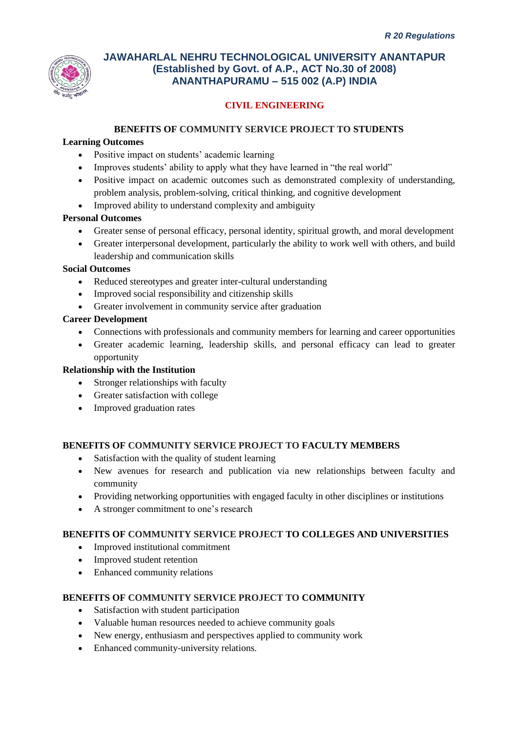

# **CIVIL ENGINEERING**

## **BENEFITS OF COMMUNITY SERVICE PROJECT TO STUDENTS**

### **Learning Outcomes**

- Positive impact on students' academic learning
- Improves students' ability to apply what they have learned in "the real world"
- Positive impact on academic outcomes such as demonstrated complexity of understanding, problem analysis, problem-solving, critical thinking, and cognitive development
- Improved ability to understand complexity and ambiguity

## **Personal Outcomes**

- Greater sense of personal efficacy, personal identity, spiritual growth, and moral development
- Greater interpersonal development, particularly the ability to work well with others, and build leadership and communication skills

### **Social Outcomes**

- Reduced stereotypes and greater inter-cultural understanding
- Improved social responsibility and citizenship skills
- Greater involvement in community service after graduation

### **Career Development**

- Connections with professionals and community members for learning and career opportunities
- Greater academic learning, leadership skills, and personal efficacy can lead to greater opportunity

## **Relationship with the Institution**

- Stronger relationships with faculty
- Greater satisfaction with college
- Improved graduation rates

### **BENEFITS OF COMMUNITY SERVICE PROJECT TO FACULTY MEMBERS**

- Satisfaction with the quality of student learning
- New avenues for research and publication via new relationships between faculty and community
- Providing networking opportunities with engaged faculty in other disciplines or institutions
- A stronger commitment to one's research

### **BENEFITS OF COMMUNITY SERVICE PROJECT TO COLLEGES AND UNIVERSITIES**

- Improved institutional commitment
- Improved student retention
- Enhanced community relations

### **BENEFITS OF COMMUNITY SERVICE PROJECT TO COMMUNITY**

- Satisfaction with student participation
- Valuable human resources needed to achieve community goals
- New energy, enthusiasm and perspectives applied to community work
- Enhanced community-university relations.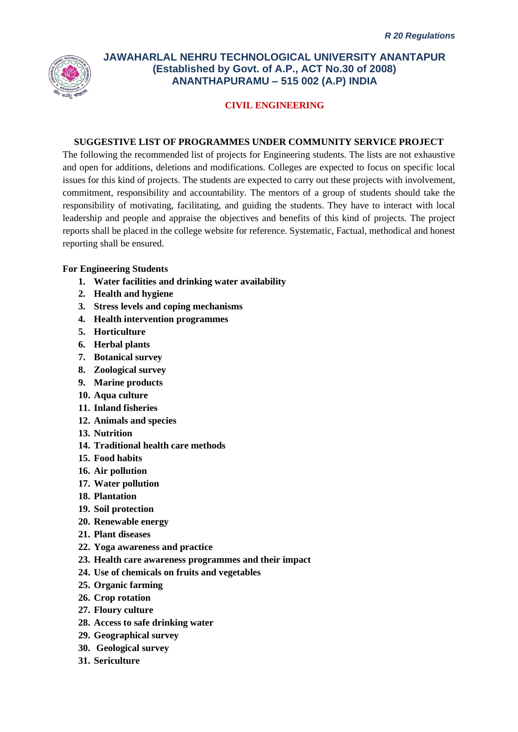

## **CIVIL ENGINEERING**

#### **SUGGESTIVE LIST OF PROGRAMMES UNDER COMMUNITY SERVICE PROJECT**

The following the recommended list of projects for Engineering students. The lists are not exhaustive and open for additions, deletions and modifications. Colleges are expected to focus on specific local issues for this kind of projects. The students are expected to carry out these projects with involvement, commitment, responsibility and accountability. The mentors of a group of students should take the responsibility of motivating, facilitating, and guiding the students. They have to interact with local leadership and people and appraise the objectives and benefits of this kind of projects. The project reports shall be placed in the college website for reference. Systematic, Factual, methodical and honest reporting shall be ensured.

#### **For Engineering Students**

- **1. Water facilities and drinking water availability**
- **2. Health and hygiene**
- **3. Stress levels and coping mechanisms**
- **4. Health intervention programmes**
- **5. Horticulture**
- **6. Herbal plants**
- **7. Botanical survey**
- **8. Zoological survey**
- **9. Marine products**
- **10. Aqua culture**
- **11. Inland fisheries**
- **12. Animals and species**
- **13. Nutrition**
- **14. Traditional health care methods**
- **15. Food habits**
- **16. Air pollution**
- **17. Water pollution**
- **18. Plantation**
- **19. Soil protection**
- **20. Renewable energy**
- **21. Plant diseases**
- **22. Yoga awareness and practice**
- **23. Health care awareness programmes and their impact**
- **24. Use of chemicals on fruits and vegetables**
- **25. Organic farming**
- **26. Crop rotation**
- **27. Floury culture**
- **28. Access to safe drinking water**
- **29. Geographical survey**
- **30. Geological survey**
- **31. Sericulture**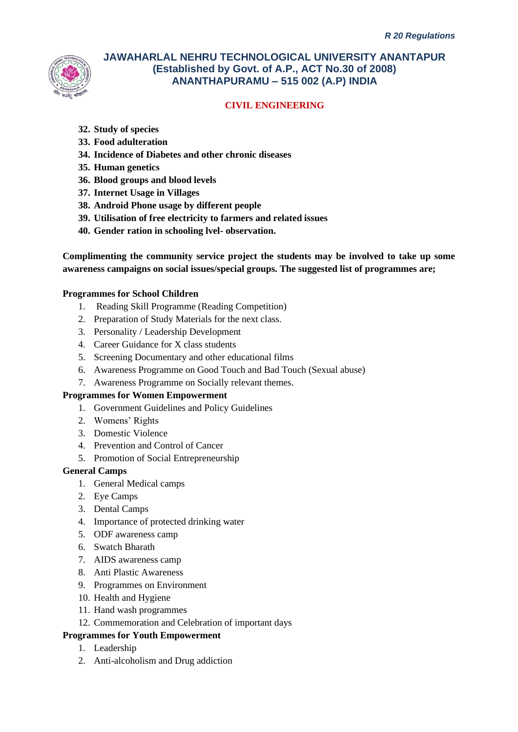

# **CIVIL ENGINEERING**

- **32. Study of species**
- **33. Food adulteration**
- **34. Incidence of Diabetes and other chronic diseases**
- **35. Human genetics**
- **36. Blood groups and blood levels**
- **37. Internet Usage in Villages**
- **38. Android Phone usage by different people**
- **39. Utilisation of free electricity to farmers and related issues**
- **40. Gender ration in schooling lvel- observation.**

**Complimenting the community service project the students may be involved to take up some awareness campaigns on social issues/special groups. The suggested list of programmes are;**

### **Programmes for School Children**

- 1. Reading Skill Programme (Reading Competition)
- 2. Preparation of Study Materials for the next class.
- 3. Personality / Leadership Development
- 4. Career Guidance for X class students
- 5. Screening Documentary and other educational films
- 6. Awareness Programme on Good Touch and Bad Touch (Sexual abuse)
- 7. Awareness Programme on Socially relevant themes.

### **Programmes for Women Empowerment**

- 1. Government Guidelines and Policy Guidelines
- 2. Womens' Rights
- 3. Domestic Violence
- 4. Prevention and Control of Cancer
- 5. Promotion of Social Entrepreneurship

### **General Camps**

- 1. General Medical camps
- 2. Eye Camps
- 3. Dental Camps
- 4. Importance of protected drinking water
- 5. ODF awareness camp
- 6. Swatch Bharath
- 7. AIDS awareness camp
- 8. Anti Plastic Awareness
- 9. Programmes on Environment
- 10. Health and Hygiene
- 11. Hand wash programmes
- 12. Commemoration and Celebration of important days

### **Programmes for Youth Empowerment**

- 1. Leadership
- 2. Anti-alcoholism and Drug addiction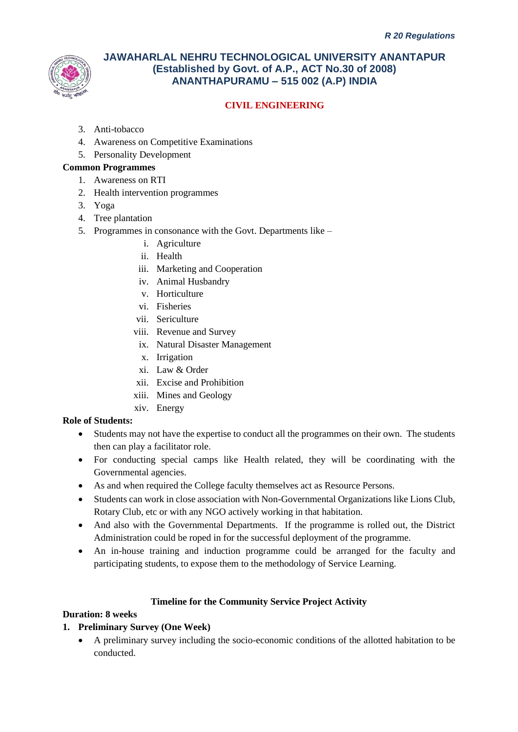

# **CIVIL ENGINEERING**

- 3. Anti-tobacco
- 4. Awareness on Competitive Examinations
- 5. Personality Development

### **Common Programmes**

- 1. Awareness on RTI
- 2. Health intervention programmes
- 3. Yoga
- 4. Tree plantation
- 5. Programmes in consonance with the Govt. Departments like
	- i. Agriculture
	- ii. Health
	- iii. Marketing and Cooperation
	- iv. Animal Husbandry
	- v. Horticulture
	- vi. Fisheries
	- vii. Sericulture
	- viii. Revenue and Survey
	- ix. Natural Disaster Management
	- x. Irrigation
	- xi. Law & Order
	- xii. Excise and Prohibition
	- xiii. Mines and Geology
	- xiv. Energy

### **Role of Students:**

- Students may not have the expertise to conduct all the programmes on their own. The students then can play a facilitator role.
- For conducting special camps like Health related, they will be coordinating with the Governmental agencies.
- As and when required the College faculty themselves act as Resource Persons.
- Students can work in close association with Non-Governmental Organizations like Lions Club, Rotary Club, etc or with any NGO actively working in that habitation.
- And also with the Governmental Departments. If the programme is rolled out, the District Administration could be roped in for the successful deployment of the programme.
- An in-house training and induction programme could be arranged for the faculty and participating students, to expose them to the methodology of Service Learning.

### **Timeline for the Community Service Project Activity**

## **Duration: 8 weeks**

# **1. Preliminary Survey (One Week)**

• A preliminary survey including the socio-economic conditions of the allotted habitation to be conducted.